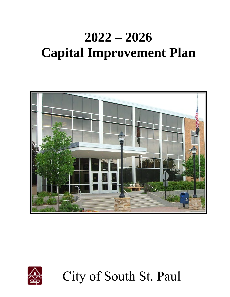# **2022 – 2026 Capital Improvement Plan**





City of South St. Paul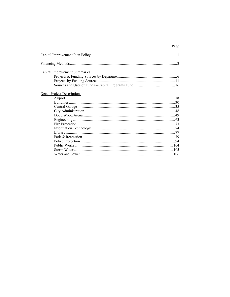| <b>Capital Improvement Summaries</b> |  |
|--------------------------------------|--|
|                                      |  |
|                                      |  |
|                                      |  |
| <b>Detail Project Descriptions</b>   |  |
|                                      |  |
|                                      |  |
|                                      |  |
|                                      |  |
|                                      |  |
|                                      |  |
|                                      |  |
|                                      |  |
|                                      |  |
|                                      |  |
|                                      |  |
|                                      |  |
|                                      |  |
|                                      |  |
|                                      |  |

### Page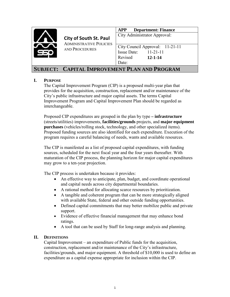

**City of South St. Paul** ADMINISTRATIVE POLICIES AND PROCEDURES

**APP Department: Finance**

City Administrator Approval:

City Council Approval: 11-21-11 Issue Date: 11-21-11 Revised Date: **12-1-14**

# **SUBJECT: CAPITAL IMPROVEMENT PLAN AND PROGRAM**

### **I. PURPOSE**

The Capital Improvement Program (CIP) is a proposed multi-year plan that provides for the acquisition, construction, replacement and/or maintenance of the City's public infrastructure and major capital assets. The terms Capital Improvement Program and Capital Improvement Plan should be regarded as interchangeable.

Proposed CIP expenditures are grouped in the plan by type **– infrastructure** (streets/utilities) improvements, **facilities/grounds** projects, and **major equipment purchases** (vehicles/rolling stock, technology, and other specialized items). Proposed funding sources are also identified for each expenditure. Execution of the program requires a careful balancing of needs, wants and available resources.

The CIP is manifested as a list of proposed capital expenditures, with funding sources, scheduled for the next fiscal year and the four years thereafter. With maturation of the CIP process, the planning horizon for major capital expenditures may grow to a ten-year projection.

The CIP process is undertaken because it provides:

- An effective way to anticipate, plan, budget, and coordinate operational and capital needs across city departmental boundaries.
- A rational method for allocating scarce resources by prioritization.
- A tangible and coherent program that can be more strategically aligned with available State, federal and other outside funding opportunities.
- Defined capital commitments that may better mobilize public and private support.
- Evidence of effective financial management that may enhance bond ratings.
- A tool that can be used by Staff for long-range analysis and planning.

### **II. DEFINITIONS**

Capital Improvement – an expenditure of Public funds for the acquisition, construction, replacement and/or maintenance of the City's infrastructure, facilities/grounds, and major equipment. A threshold of \$10,000 is used to define an expenditure as a capital expense appropriate for inclusion within the CIP.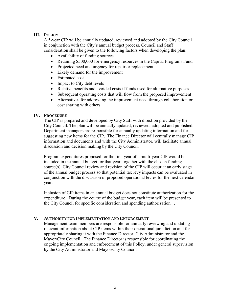### **III. POLICY**

A 5-year CIP will be annually updated, reviewed and adopted by the City Council in conjunction with the City's annual budget process. Council and Staff consideration shall be given to the following factors when developing the plan:

- Availability of funding sources
- Retaining \$500,000 for emergency resources in the Capital Programs Fund
- Projected need and urgency for repair or replacement
- Likely demand for the improvement
- Estimated cost
- Impact to City debt levels
- Relative benefits and avoided costs if funds used for alternative purposes
- Subsequent operating costs that will flow from the proposed improvement
- Alternatives for addressing the improvement need through collaboration or cost sharing with others

### **IV. PROCEDURE**

The CIP is prepared and developed by City Staff with direction provided by the City Council. The plan will be annually updated, reviewed, adopted and published. Department managers are responsible for annually updating information and for suggesting new items for the CIP. The Finance Director will centrally manage CIP information and documents and with the City Administrator, will facilitate annual discussion and decision making by the City Council.

Program expenditures proposed for the first year of a multi-year CIP would be included in the annual budget for that year, together with the chosen funding source(s). City Council review and revision of the CIP will occur at an early stage of the annual budget process so that potential tax levy impacts can be evaluated in conjunction with the discussion of proposed operational levies for the next calendar year.

Inclusion of CIP items in an annual budget does not constitute authorization for the expenditure. During the course of the budget year, each item will be presented to the City Council for specific consideration and spending authorization. .

### **V. AUTHORITY FOR IMPLEMENTATION AND ENFORCEMENT**

Management team members are responsible for annually reviewing and updating relevant information about CIP items within their operational jurisdiction and for appropriately sharing it with the Finance Director, City Administrator and the Mayor/City Council. The Finance Director is responsible for coordinating the ongoing implementation and enforcement of this Policy, under general supervision by the City Administrator and Mayor/City Council.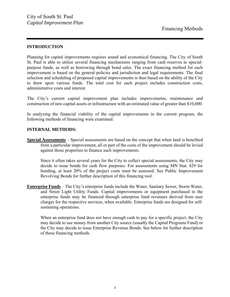### **INTRODUCTION**

Planning for capital improvements requires sound and economical financing. The City of South St. Paul is able to utilize several financing mechanisms ranging from cash reserves to specialpurpose funds, as well as borrowing through bond sales. The exact financing method for each improvement is based on the general policies and jurisdiction and legal requirements. The final selection and scheduling of proposed capital improvements is then based on the ability of the City to draw upon various funds. The total cost for each project includes construction costs, administrative costs and interest.

The City's current capital improvement plan includes improvements, maintenance and construction of new capital assets or infrastructure with an estimated value of greater than \$10,000.

In analyzing the financial viability of the capital improvements in the current program, the following methods of financing were examined:

### **INTERNAL METHODS:**

**Special Assessments** – Special assessments are based on the concept that when land is benefited from a particular improvement, all or part of the costs of the improvement should be levied against those properties to finance such improvements.

 Since it often takes several years for the City to collect special assessments, the City may decide to issue bonds for cash flow purposes. For assessments using MN Stat. 429 for bonding, at least 20% of the project costs must be assessed. See Public Improvement Revolving Bonds for further description of this financing tool.

**Enterprise Funds** – The City's enterprise funds include the Water, Sanitary Sewer, Storm Water, and Street Light Utility Funds. Capital improvements or equipment purchased in the enterprise funds may be financed through enterprise fund revenues derived from user charges for the respective services, when available. Enterprise funds are designed for selfsustaining operations.

When an enterprise fund does not have enough cash to pay for a specific project, the City may decide to use money from another City source (usually the Capital Programs Fund) or the City may decide to issue Enterprise Revenue Bonds. See below for further description of these financing methods.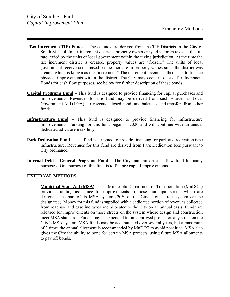- **Tax Increment (TIF) Funds** These funds are derived from the TIF Districts in the City of South St. Paul. In tax increment districts, property owners pay ad valorem taxes at the full rate levied by the units of local government within the taxing jurisdiction. At the time the tax increment district is created, property values are "frozen." The units of local government receive taxes based on the increase in property values since the district was created which is known as the "increment." The increment revenue is then used to finance physical improvements within the district. The City may decide to issue Tax Increment Bonds for cash flow purposes, see below for further description of these bonds.
- **Capital Programs Fund** This fund is designed to provide financing for capital purchases and improvements. Revenues for this fund may be derived from such sources as Local Government Aid (LGA), tax revenue, closed bond fund balances, and transfers from other funds.
- **Infrastructure Fund** This fund is designed to provide financing for infrastructure improvements. Funding for this fund began in 2020 and will continue with an annual dedicated ad valorem tax levy.
- **Park Dedication Fund** This fund is designed to provide financing for park and recreation type infrastructure. Revenues for this fund are derived from Park Dedication fees pursuant to City ordinance.
- **Internal Debt General Programs Fund** The City maintains a cash flow fund for many purposes. One purpose of this fund is to finance capital improvements.

### **EXTERNAL METHODS:**

**Municipal State Aid (MSA)** – The Minnesota Department of Transportation (MnDOT) provides funding assistance for improvements to those municipal streets which are designated as part of its MSA system (20% of the City's total street system can be designated). Money for this fund is supplied with a dedicated portion of revenues collected from road use and gasoline taxes and allocated to the City on an annual basis. Funds are released for improvements on those streets on the system whose design and construction meet MSA standards. Funds may be expended for an approved project on any street on the City's MSA system. MSA funds may be accumulated over several years, but a maximum of 3 times the annual allotment is recommended by MnDOT to avoid penalties. MSA also gives the City the ability to bond for certain MSA projects, using future MSA allotments to pay off bonds.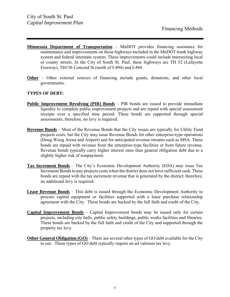- **Minnesota Department of Transportation** MnDOT provides financing assistance for maintenance and improvements on those highways included in the MnDOT trunk highway system and federal interstate system. These improvements could include intersecting local or county streets. In the City of South St. Paul, these highways are TH 52 (Lafayette Freeway), TH156 Concord St (north of I-494) and I-494.
- **Other** Other external sources of financing include grants, donations, and other local governments.

### **TYPES OF DEBT:**

- **Public Improvement Revolving (PIR) Bonds** PIR bonds are issued to provide immediate liquidity to complete public improvement projects and are repaid with special assessment receipts over a specified time period. These bonds are supported through special assessments; therefore, no levy is required.
- **Revenue Bonds** Most of the Revenue Bonds that the City issues are typically for Utility Fund projects costs, but the City may issue Revenue Bonds for other enterprise-type operations (Doug Woog Arena and Airport) and for anticipated revenue streams such as MSA. These bonds are repaid with revenue from the enterprise-type facilities or from future revenue. Revenue bonds typically carry higher interest rates than general obligation debt due to a slightly higher risk of nonpayment.
- **Tax Increment Bonds** The City's Economic Development Authority (EDA) may issue Tax Increment Bonds to pay projects costs when the district does not have sufficient cash. These bonds are repaid with the tax increment revenue that is generated by the district; therefore, no additional levy is required.
- **Lease Revenue Bonds** This debt is issued through the Economic Development Authority to procure capital equipment or facilities supported with a lease purchase relationship agreement with the City. These bonds are backed by the full faith and credit of the City.
- **Capital Improvement Bonds** Capital Improvement bonds may be issued only for certain projects, including city halls, public safety buildings, public works facilities and libraries. These bonds are backed by the full faith and credit of the City and supported through the property tax levy.
- **Other General Obligation (GO)** There are several other types of GO debt available for the City to use. These types of GO debt typically require an ad valorem tax levy.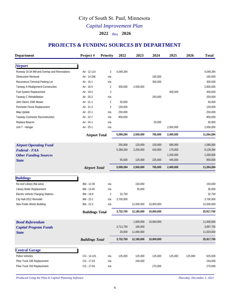# City of South St. Paul, Minnesota

*Capital Improvement Plan*

**2022** thru **2026**

# **PROJECTS & FUNDING SOURCES BY DEPARTMENT**

| <b>Department</b>                             | Project#               | <b>Priority</b> | 2022      | 2023       | 2024       | 2025      | 2026    | <b>Total</b> |
|-----------------------------------------------|------------------------|-----------------|-----------|------------|------------|-----------|---------|--------------|
| <b>Airport</b>                                |                        |                 |           |            |            |           |         |              |
| Runway 16-34 Mill and Overlay and Renovations | Air - 12-114           | 3               | 4,049,284 |            |            |           |         | 4,049,284    |
| <b>Obstruction Removal</b>                    | Air - 14-206           | n/a             |           |            | 165.000    |           |         | 165,000      |
| Reconstruct Terminal Parking Lot              | Air - 16-1             | n/a             |           |            | 300,000    |           |         | 300,000      |
| Taxiway A Realignment-Construction            | Air - 16-5             | $\overline{2}$  | 300,000   | 2,500,000  |            |           |         | 2,800,000    |
| Fuel System Replacement                       | Air - 19-2             | 3               |           |            |            | 400,000   |         | 400,000      |
| Taxiway C Rehabilitation                      | Air - 20-2             | n/a             |           |            | 250,000    |           |         | 250.000      |
| John Deere 1585 Mower                         | Air - 21-1             | $\overline{2}$  | 50,000    |            |            |           |         | 50,000       |
| Perimeter Fence Replacement                   | Air - 21-2             | $\overline{2}$  | 150,000   |            |            |           |         | 150,000      |
| Map Update                                    | Air - 22-1             | n/a             | 250,000   |            |            |           |         | 250,000      |
| Taxiway Connector Reconstruction              | Air - 22-7             | n/a             | 800,000   |            |            |           |         | 800,000      |
| Replace Beacon                                | Air - 24-1             | n/a             |           |            | 50,000     |           |         | 50,000       |
| Unit T - Hangar                               | Air - 25-1             | n/a             |           |            |            | 2,000,000 |         | 2,000,000    |
|                                               | <b>Airport Total</b>   |                 | 5,599,284 | 2,500,000  | 765,000    | 2,400,000 |         | 11,264,284   |
| <b>Airport Operating Fund</b>                 |                        |                 | 255,000   | 125,000    | 120,000    | 585,000   |         | 1,085,000    |
| <b>Federal - FAA</b>                          |                        |                 | 5,289,284 | 2,250,000  | 420,000    | 170,000   |         | 8,129,284    |
|                                               |                        |                 |           |            |            | 1,200,000 |         | 1,200,000    |
| <b>Other Funding Sources</b><br><b>State</b>  |                        |                 | 55,000    | 125,000    | 225,000    | 445,000   |         | 850,000      |
|                                               |                        |                 |           |            |            |           |         |              |
|                                               | <b>Airport Total</b>   |                 | 5,599,284 | 2,500,000  | 765,000    | 2,400,000 |         | 11,264,284   |
| <b>Buildings</b>                              |                        |                 |           |            |            |           |         |              |
| Re-roof Library (flat area)                   | Bld - 12-39            | n/a             |           | 150,000    |            |           |         | 150,000      |
| Library Boiler Replacement                    | Bld - 14-40            | n/a             |           | 35,000     |            |           |         | 35,000       |
| Electric Vehicle Charging Stations            | Bld - 18-9             | $\overline{2}$  | 32,750    |            |            |           |         | 32,750       |
| City Hall-2022 Remodel                        | Bld - 22-1             | n/a             | 3,700,000 |            |            |           |         | 3,700,000    |
| New Public Works Building                     | Bld - 22-2             | n/a             |           | 12,000,000 | 10,000,000 |           |         | 22,000,000   |
|                                               | <b>Buildings Total</b> |                 | 3,732,750 | 12,185,000 | 10,000,000 |           |         | 25,917,750   |
| <b>Bond Referendum</b>                        |                        |                 |           | 1,000,000  | 10,000,000 |           |         | 11,000,000   |
| <b>Capital Program Funds</b>                  |                        |                 | 3,712,750 | 185,000    |            |           |         | 3,897,750    |
| <b>State</b>                                  |                        |                 | 20,000    | 11,000,000 |            |           |         | 11,020,000   |
|                                               | <b>Buildings Total</b> |                 | 3,732,750 | 12,185,000 | 10,000,000 |           |         | 25,917,750   |
|                                               |                        |                 |           |            |            |           |         |              |
| <b>Central Garage</b><br>Police Vehicles      | CG - 14-101            | n/a             | 125,000   | 125,000    | 125,000    | 125,000   | 125,000 | 625,000      |
| Plow Truck 336 Replacement                    | CG - 17-03             | n/a             |           | 240,000    |            |           |         | 240,000      |
|                                               |                        |                 |           |            |            |           |         |              |
| Plow Truck 333 Replacement                    | CG - 17-04             | n/a             |           |            | 270,000    |           |         | 270,000      |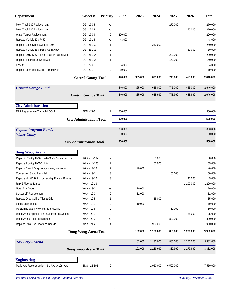| <b>Department</b>                                | Project#                         | <b>Priority</b> | 2022    | 2023    | 2024      | 2025      | 2026      | <b>Total</b> |
|--------------------------------------------------|----------------------------------|-----------------|---------|---------|-----------|-----------|-----------|--------------|
| Plow Truck 339 Replacement                       | $CG - 17 - 05$                   | n/a             |         |         |           | 270,000   |           | 270,000      |
| Plow Truck 332 Replacement                       | $CG - 17-06$                     | n/a             |         |         |           |           | 270,000   | 270,000      |
| Water Tanker Replacement                         | $CG - 17-09$                     | $\overline{2}$  | 220,000 |         |           |           |           | 220,000      |
| Replace Vehicle 323 F450                         | $CG - 17-16$                     | n/a             | 48,000  |         |           |           |           | 48,000       |
| Replace Elgin Street Sweeper 305                 | CG - 21-100                      | 1               |         |         | 240,000   |           |           | 240,000      |
| Replace Vehicle 338, F250 w/utility box          | $CG - 21 - 101$                  | $\overline{2}$  |         |         |           |           | 60,000    | 60,000       |
| Replace 2012 New Holland Tractor/Flail mower     | $CG - 21 - 104$                  | $\mathbf{1}$    |         |         |           | 200,000   |           | 200,000      |
| Replace Teamco Snow Blower                       | $CG - 21 - 105$                  | 1               |         |         |           | 150,000   |           | 150,000      |
| Forklift                                         | $CG - 22-01$                     | 3               | 34,000  |         |           |           |           | 34,000       |
| Replace John Deere Zero-Turn Mower               | $CG - 22-1$                      | 2               | 19,000  |         |           |           |           | 19,000       |
|                                                  | <b>Central Garage Total</b>      |                 | 446,000 | 365,000 | 635,000   | 745,000   | 455,000   | 2,646,000    |
| <b>Central Garage Fund</b>                       |                                  |                 | 446,000 | 365,000 | 635,000   | 745,000   | 455,000   | 2,646,000    |
|                                                  | <b>Central Garage Total</b>      |                 | 446,000 | 365,000 | 635,000   | 745,000   | 455,000   | 2,646,000    |
| <b>City Administration</b>                       |                                  |                 |         |         |           |           |           |              |
| ERP Replacement-Through LOGIS                    | ADM - 22-1                       | 2               | 500,000 |         |           |           |           | 500,000      |
|                                                  | <b>City Administration Total</b> |                 | 500,000 |         |           |           |           | 500,000      |
| <b>Capital Program Funds</b>                     |                                  |                 | 350,000 |         |           |           |           | 350,000      |
| <b>Water Utility</b>                             |                                  |                 | 150,000 |         |           |           |           | 150,000      |
|                                                  | <b>City Administration Total</b> |                 | 500,000 |         |           |           |           | 500,000      |
| Doug Woog Arena                                  |                                  |                 |         |         |           |           |           |              |
| Replace Rooftop HVAC units-Office Suites Section | WAK - 13-167                     | $\overline{2}$  |         |         | 80,000    |           |           | 80,000       |
| Replace Rooftop HVAC Units                       | WAK - 14-105                     | 2               |         |         | 65,000    |           |           | 65,000       |
| Replace Rink 1 Entry door, closers, hardware     | WAK - 19-10                      | 2               |         | 40,000  |           |           |           | 40,000       |
| <b>Concession Stand Remodel</b>                  | WAK - 19-11                      | 3               |         |         |           | 50,000    |           | 50,000       |
| Replace HVAC Rink1 Locker, Mtg, Dryland Rooms    | WAK - 19-12                      | 3               |         |         |           |           | 45,000    | 45,000       |
| Rink 2 Floor & Boards                            | WAK - 19-13                      | $\overline{4}$  |         |         |           |           | 1,200,000 | 1,200,000    |
| North Exit Doors                                 | WAK - 19-2                       | n/a             |         | 20,000  |           |           |           | 20,000       |
| Scissor Lift Replacement                         | WAK - 19-3                       | 2               |         | 32,000  |           |           |           | 32,000       |
| Replace Drop Ceiling Tiles & Grid                | WAK - 19-5                       | $\mathbf{1}$    |         |         | 35,000    |           |           | 35,000       |
| Lobby Entry Doors                                | WAK - 19-7                       | 2               |         | 10,000  |           |           |           | 10,000       |
| Mezzanine-Warm Viewing Area Flooring             | WAK - 19-8                       | 2               |         |         |           | 30,000    |           | 30,000       |
| Woog Arena Sprinkler Fire Suppression System     | WAK - 20-1                       | 3               |         |         |           |           | 25,000    | 25,000       |
| Woog Arena Roof Replacement                      | WAK - 20-2                       | n/a             |         |         |           | 800,000   |           | 800,000      |
| Replace Rink One Floor and Boards                | WAK - 21-2                       | 4               |         |         | 950,000   |           |           | 950,000      |
|                                                  | Doug Woog Arena Total            |                 |         | 102,000 | 1,130,000 | 880,000   | 1,270,000 | 3,382,000    |
| Tax Levy - Arena                                 |                                  |                 |         | 102,000 | 1,130,000 | 880,000   | 1,270,000 | 3,382,000    |
|                                                  | Doug Woog Arena Total            |                 |         | 102,000 | 1,130,000 | 880,000   | 1,270,000 | 3,382,000    |
| <b>Engineering</b>                               |                                  |                 |         |         |           |           |           |              |
| Marie Ave Reconstruction - 3rd Ave to 19th Ave   | ENG - 12-102                     | 2               |         |         | 1,050,000 | 6,500,000 |           | 7,550,000    |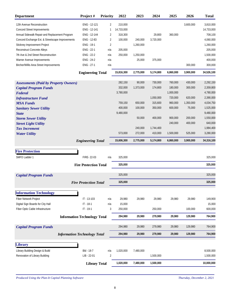| <b>Department</b>                                | Project#                            | <b>Priority</b> | 2022       | 2023      | 2024      | 2025      | 2026      | <b>Total</b> |
|--------------------------------------------------|-------------------------------------|-----------------|------------|-----------|-----------|-----------|-----------|--------------|
| 12th Avenue Reconstruction                       | ENG - 12-121                        | 2               | 210,000    |           |           |           | 3,600,000 | 3,810,000    |
| Concord Street Improvements                      | ENG - 12-141                        | $\mathbf{1}$    | 14,733,000 |           |           |           |           | 14,733,000   |
| Annual Sidewalk Repair and Replacement Program   | ENG - 12-144                        | 2               | 318,300    |           | 29,800    | 360,000   |           | 708,100      |
| Concord Exchange Ext. & Streetscape Improvements | ENG - 12-83                         | 2               | 100,000    | 240,000   | 3,720,000 |           |           | 4,060,000    |
| Stickney Improvement Project                     | ENG - 19-1                          | $\overline{2}$  |            | 1,260,000 |           |           |           | 1,260,000    |
| Reconstruct Concrete Alleys                      | ENG - 22-1                          | n/a             | 205,000    |           |           |           |           | 205,000      |
| 7th Ave & 2nd Street Reconstruction              | ENG - 22-2                          | n/a             | 250,000    | 1,250,000 |           |           |           | 1,500,000    |
| Warner Avenue Improvements                       | ENG - 24-2                          | n/a             |            | 25,000    | 375,000   |           |           | 400,000      |
| Bircher/Willis Area Street Improvements          | ENG - 27-1                          | n/a             |            |           |           |           | 300,000   | 300,000      |
|                                                  | <b>Engineering Total</b>            |                 | 15,816,300 | 2,775,000 | 5,174,800 | 6,860,000 | 3,900,000 | 34,526,100   |
| <b>Assessments (Paid by Property Owners)</b>     |                                     |                 | 282,150    | 90,000    | 730,000   | 760,000   | 430,000   | 2,292,150    |
| <b>Capital Program Funds</b>                     |                                     |                 | 332,000    | 1,373,000 | 174,800   | 180,000   | 300,000   | 2,359,800    |
| Federal                                          |                                     |                 | 3,780,000  |           |           | 1,000,000 |           | 4,780,000    |
| <b>Infrastructure Fund</b>                       |                                     |                 |            |           | 1,050,000 | 720,000   | 620,000   | 2,390,000    |
| <b>MSA Funds</b>                                 |                                     |                 | 759,150    | 650,000   | 315,600   | 960,000   | 1,350,000 | 4,034,750    |
| <b>Sanitary Sewer Utility</b>                    |                                     |                 | 400,000    | 100,000   | 350,000   | 600,000   | 75,000    | 1,525,000    |
| <b>State</b>                                     |                                     |                 | 9,480,000  |           |           |           |           | 9,480,000    |
| <b>Storm Sewer Utility</b>                       |                                     |                 |            | 50,000    | 400,000   | 900,000   | 200,000   | 1,550,000    |
| <b>Street Light Utility</b>                      |                                     |                 |            |           |           | 240,000   | 400,000   | 640,000      |
| <b>Tax Increment</b>                             |                                     |                 |            | 240,000   | 1,744,400 |           |           | 1,984,400    |
| <b>Water Utility</b>                             |                                     |                 | 573,000    | 272,000   | 410,000   | 1,500,000 | 525,000   | 3,280,000    |
|                                                  | <b>Engineering Total</b>            |                 | 15,606,300 | 2,775,000 | 5,174,800 | 6,860,000 | 3,900,000 | 34,316,100   |
| <b>Fire Protection</b>                           |                                     |                 |            |           |           |           |           |              |
| SMFD Ladder 1                                    | FIRE-22-03                          | n/a             | 325,000    |           |           |           |           | 325,000      |
|                                                  | <b>Fire Protection Total</b>        |                 | 325,000    |           |           |           |           | 325,000      |
| <b>Capital Program Funds</b>                     |                                     |                 | 325,000    |           |           |           |           | 325,000      |
|                                                  | <b>Fire Protection Total</b>        |                 | 325,000    |           |           |           |           | 325,000      |
| <b>Information Technology</b>                    |                                     |                 |            |           |           |           |           |              |
| Fiber Network Project                            | IT - 13-103                         | n/a             | 29,980     | 29,980    | 29,980    | 29,980    | 29,980    | 149,900      |
| Digital Sign Boards for City Hall                | $IT - 18-1$                         | n/a             | 15,000     |           |           |           |           | 15,000       |
| Fiber Optic Cable Infrastructure                 | $IT - 19-1$                         | 3               | 250,000    |           | 250,000   |           | 100,000   | 600,000      |
|                                                  | <b>Information Technology Total</b> |                 | 294,980    | 29,980    | 279,980   | 29,980    | 129,980   | 764,900      |
| <b>Capital Program Funds</b>                     |                                     |                 | 294,980    | 29,980    | 279,980   | 29,980    | 129,980   | 764,900      |
|                                                  | <b>Information Technology Total</b> |                 | 294,980    | 29,980    | 279,980   | 29,980    | 129,980   | 764,900      |
|                                                  |                                     |                 |            |           |           |           |           |              |
| <b>Library</b>                                   |                                     |                 |            |           |           |           |           |              |
| Library Building Design & Build                  | Bld - 18-7                          | n/a             | 1,020,000  | 7,480,000 |           |           |           | 8,500,000    |
| Renovation of Library Building                   | LIB - 22-01                         | 2               |            |           | 1,500,000 |           |           | 1,500,000    |
|                                                  | <b>Library Total</b>                |                 | 1,020,000  | 7,480,000 | 1,500,000 |           |           | 10,000,000   |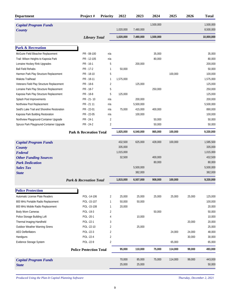| <b>Department</b>                            | Project#                           | <b>Priority</b> | 2022      | 2023      | 2024      | 2025    | 2026   | <b>Total</b> |
|----------------------------------------------|------------------------------------|-----------------|-----------|-----------|-----------|---------|--------|--------------|
| <b>Capital Program Funds</b>                 |                                    |                 |           |           | 1,500,000 |         |        | 1,500,000    |
| <b>County</b>                                |                                    |                 | 1,020,000 | 7,480,000 |           |         |        | 8,500,000    |
|                                              | <b>Library Total</b>               |                 | 1,020,000 | 7,480,000 | 1,500,000 |         |        | 10,000,000   |
| <b>Park &amp; Recreation</b>                 |                                    |                 |           |           |           |         |        |              |
| McGuire Field Bleacher Replacement           | PR - 08-100                        | n/a             |           |           | 35,000    |         |        | 35,000       |
| Trail: Wilson Heights to Kaposia Park        | PR - 12-105                        | n/a             |           |           | 80,000    |         |        | 80,000       |
| Lorraine Hockey Rink Upgrades                | PR - 16-1                          | 5               |           | 200,000   |           |         |        | 200,000      |
| <b>Ball Field Rehabs</b>                     | PR - 17-2                          | $\mathbf{1}$    | 50,000    |           |           |         |        | 50,000       |
| Harmon Park Play Structure Replacement       | PR - 18-10                         | 5               |           |           |           | 100,000 |        | 100,000      |
| Wakota Trailhead                             | PR - 18-11                         | 1               | 1,575,000 |           |           |         |        | 1,575,000    |
| Veterans Field Play Structure Replacement    | PR - 18-6                          | 2               |           | 125,000   |           |         |        | 125,000      |
| Lorraine Park Play Structure Replacement     | PR - 18-7                          | 5               |           |           | 250,000   |         |        | 250,000      |
| Kaposia Park Play Structure Replacement      | PR - 18-8                          | 5               | 125,000   |           |           |         |        | 125,000      |
| Splash Pool Improvements                     | PR - 21 - 10                       | n/a             |           | 200,000   |           |         |        | 200,000      |
| Northview Pool Replacement                   | PR - 21 11                         | n/a             |           | 5,500,000 |           |         |        | 5,500,000    |
| Seidl's Lake Trail and Shoreline Restoration | PR - 22-01                         | n/a             | 75,000    | 415,000   | 400,000   |         |        | 890,000      |
| Kaposia Park Building Restoration            | PR - 22-05                         | n/a             |           | 100,000   |           |         |        | 100,000      |
| Northview Playground-Container Upgrade       | PR - 24-1                          | $\overline{2}$  |           |           | 50,000    |         |        | 50,000       |
| Spruce Park Playground-Container Upgrade     | PR - 24-2                          | $\overline{2}$  |           |           | 50,000    |         |        | 50,000       |
|                                              | <b>Park &amp; Recreation Total</b> |                 | 1,825,000 | 6,540,000 | 865,000   | 100,000 |        | 9,330,000    |
| <b>Capital Program Funds</b>                 |                                    |                 | 432,500   | 625,000   | 428,000   | 100,000 |        | 1,585,500    |
| <b>County</b>                                |                                    |                 | 335,000   |           |           |         |        | 335,000      |
| Federal                                      |                                    |                 | 1,015,000 |           |           |         |        | 1,015,000    |
| <b>Other Funding Sources</b>                 |                                    |                 | 32,500    |           | 400,000   |         |        | 432,500      |
| <b>Park Dedication</b>                       |                                    |                 |           |           | 80,000    |         |        | 80,000       |
| <b>Sales Tax</b>                             |                                    |                 |           | 5,500,000 |           |         |        | 5,500,000    |
| <b>State</b>                                 |                                    |                 |           | 382,000   |           |         |        | 382,000      |
|                                              | <b>Park &amp; Recreation Total</b> |                 | 1,815,000 | 6,507,000 | 908,000   | 100,000 |        | 9,330,000    |
| <b>Police Protection</b>                     |                                    |                 |           |           |           |         |        |              |
| Automatic License Plate Readers              | POL -14-106                        | 2               | 25,000    | 25,000    | 25,000    | 25,000  | 25,000 | 125,000      |
| 800 MHz Portable Radio Replacement           | POL -15-107                        | 1               | 50,000    | 50,000    |           |         |        | 100,000      |
| 800 MHz Mobile Radio Replacement             | POL -15-108                        | 1               | 20,000    |           |           |         |        | 20,000       |
| Body Worn Cameras                            | POL -19-3                          | $\overline{2}$  |           |           | 50,000    |         |        | 50,000       |
| Police Storage Building Loft                 | POL-20-1                           | $\overline{4}$  |           | 10,000    |           |         |        | 10,000       |
| Thermal Imaging-Handheld                     | POL -22-1                          | 3               |           |           |           |         | 20,000 | 20,000       |
| Outdoor Weather Warning Sirens               | POL-22-10                          | 2               |           | 25,000    |           |         |        | 25,000       |
| <b>AED Defibrillators</b>                    | POL -22-3                          | $\overline{2}$  |           |           |           | 24,000  | 24,000 | 48,000       |
| Handguns                                     | POL -22-4                          | $\overline{2}$  |           |           |           |         | 30,000 | 30,000       |
| Evidence Storage System                      | POL -22-9                          | $\overline{2}$  |           |           |           | 65,000  |        | 65,000       |
|                                              | <b>Police Protection Total</b>     |                 | 95,000    | 110,000   | 75,000    | 114,000 | 99,000 | 493,000      |
| <b>Capital Program Funds</b>                 |                                    |                 | 70,000    | 85,000    | 75,000    | 114,000 | 99,000 | 443,000      |
| <b>State</b>                                 |                                    |                 | 25,000    | 25,000    |           |         |        | 50,000       |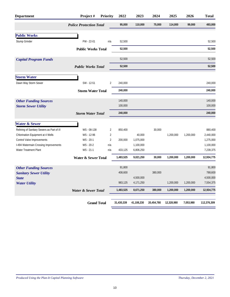| <b>Department</b>                          | Project#                       | <b>Priority</b> | 2022       | 2023       | 2024       | 2025       | 2026      | <b>Total</b> |
|--------------------------------------------|--------------------------------|-----------------|------------|------------|------------|------------|-----------|--------------|
|                                            | <b>Police Protection Total</b> |                 | 95,000     | 110,000    | 75,000     | 114,000    | 99,000    | 493,000      |
| <b>Public Works</b>                        |                                |                 |            |            |            |            |           |              |
| Stump Grinder                              | PW - 22-01                     | n/a             | 52,500     |            |            |            |           | 52,500       |
|                                            | <b>Public Works Total</b>      |                 | 52,500     |            |            |            |           | 52,500       |
| <b>Capital Program Funds</b>               |                                |                 | 52,500     |            |            |            |           | 52,500       |
|                                            | <b>Public Works Total</b>      |                 | 52,500     |            |            |            |           | 52,500       |
| <b>Storm Water</b>                         |                                |                 |            |            |            |            |           |              |
| Dawn Way Storm Sewer                       | SW - 12-51                     | $\overline{2}$  | 240,000    |            |            |            |           | 240,000      |
|                                            | <b>Storm Water Total</b>       |                 | 240,000    |            |            |            |           | 240,000      |
| <b>Other Funding Sources</b>               |                                |                 | 140,000    |            |            |            |           | 140,000      |
| <b>Storm Sewer Utility</b>                 |                                |                 | 100,000    |            |            |            |           | 100,000      |
|                                            | <b>Storm Water Total</b>       |                 | 240,000    |            |            |            |           | 240,000      |
| <b>Water &amp; Sewer</b>                   |                                |                 |            |            |            |            |           |              |
| Relining of Sanitary Sewers as Part of I/I | WS-08-138                      | $\overline{2}$  | 850,400    |            | 30,000     |            |           | 880,400      |
| Chlorination Equipment at 4 Wells          | WS - 12-96                     | $\sqrt{2}$      |            | 40,000     |            | 1,200,000  | 1,200,000 | 2,440,000    |
| Control Valve Improvements                 | WS - 20-1                      | $\overline{2}$  | 200,000    | 1,075,000  |            |            |           | 1,275,000    |
| I-494 Watermain Crossing Improvements      | WS-20-2                        | n/a             |            | 1,100,000  |            |            |           | 1,100,000    |
| Water Treatment Plant                      | WS-21-1                        | n/a             | 433,125    | 6,806,250  |            |            |           | 7,239,375    |
|                                            | <b>Water &amp; Sewer Total</b> |                 | 1,483,525  | 9,021,250  | 30,000     | 1,200,000  | 1,200,000 | 12,934,775   |
| <b>Other Funding Sources</b>               |                                |                 | 91,800     |            |            |            |           | 91,800       |
| <b>Sanitary Sewer Utility</b>              |                                |                 | 408,600    |            | 380,000    |            |           | 788,600      |
| <b>State</b>                               |                                |                 |            | 4,500,000  |            |            |           | 4,500,000    |
| <b>Water Utility</b>                       |                                |                 | 983,125    | 4,171,250  |            | 1,200,000  | 1,200,000 | 7,554,375    |
|                                            | Water & Sewer Total            |                 | 1,483,525  | 8,671,250  | 380,000    | 1,200,000  | 1,200,000 | 12,934,775   |
|                                            | <b>Grand Total</b>             |                 | 31,430,339 | 41,108,230 | 20,454,780 | 12,328,980 | 7,053,980 | 112,376,309  |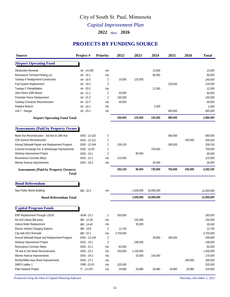# City of South St. Paul, Minnesota

*Capital Improvement Plan*

**2022** thru **2026**

# **PROJECTS BY FUNDING SOURCE**

| <b>Source</b>                                                | Project#        | <b>Priority</b> | 2022      | 2023      | 2024       | 2025    | 2026    | <b>Total</b> |
|--------------------------------------------------------------|-----------------|-----------------|-----------|-----------|------------|---------|---------|--------------|
| <b>Airport Operating Fund</b>                                |                 |                 |           |           |            |         |         |              |
| Obstruction Removal                                          | Air - 14-206    | n/a             |           |           | 15,000     |         |         | 15,000       |
| Reconstruct Terminal Parking Lot                             | Air - 16-1      | n/a             |           |           | 90,000     |         |         | 90,000       |
| Taxiway A Realignment-Construction                           | Air - 16-5      | 2               | 15,000    | 125,000   |            |         |         | 140,000      |
| Fuel System Replacement                                      | Air - 19-2      | 3               |           |           |            | 120,000 |         | 120,000      |
| Taxiway C Rehabilitation                                     | Air - 20-2      | n/a             |           |           | 12,500     |         |         | 12,500       |
| John Deere 1585 Mower                                        | Air - 21-1      | 2               | 50,000    |           |            |         |         | 50,000       |
| Perimeter Fence Replacement                                  | Air - 21-2      | $\overline{2}$  | 150,000   |           |            |         |         | 150,000      |
| Taxiway Connector Reconstruction                             | Air - 22-7      | n/a             | 40,000    |           |            |         |         | 40,000       |
| Replace Beacon                                               | Air - 24-1      | n/a             |           |           | 2,500      |         |         | 2,500        |
| Unit T - Hangar                                              | Air - 25-1      | n/a             |           |           |            | 465,000 |         | 465,000      |
| <b>Airport Operating Fund Total</b>                          |                 |                 | 255,000   | 125,000   | 120,000    | 585,000 |         | 1,085,000    |
| <b>Assessments (Paid by Property Owner)</b>                  |                 |                 |           |           |            |         |         |              |
| Marie Ave Reconstruction - 3rd Ave to 19th Ave               | ENG - 12-102    | 2               |           |           |            | 580,000 |         | 580,000      |
| 12th Avenue Reconstruction                                   | ENG - 12-121    | 2               |           |           |            |         | 430,000 | 430,000      |
| Annual Sidewalk Repair and Replacement Program               | ENG - 12-144    | 2               | 159,150   |           |            | 180,000 |         | 339,150      |
| Concord Exchange Ext. & Streetscape Improvements             | ENG - 12-83     | 2               |           |           | 700,000    |         |         | 700,000      |
| Stickney Improvement Project                                 | ENG - 19-1      | $\overline{2}$  |           | 90,000    |            |         |         | 90,000       |
| Reconstruct Concrete Alleys                                  | ENG - 22-1      | n/a             | 123,000   |           |            |         |         | 123,000      |
| Warner Avenue Improvements                                   | ENG - 24-2      | n/a             |           |           | 30,000     |         |         | 30,000       |
| <b>Assessments (Paid by Property Owners)</b><br><b>Total</b> |                 |                 | 282,150   | 90,000    | 730,000    | 760,000 | 430,000 | 2,292,150    |
| <b>Bond Referendum</b>                                       |                 |                 |           |           |            |         |         |              |
| New Public Works Building                                    | Bld - 22-2      | n/a             |           | 1,000,000 | 10,000,000 |         |         | 11,000,000   |
| <b>Bond Referendum Total</b>                                 |                 |                 |           | 1,000,000 | 10,000,000 |         |         | 11,000,000   |
|                                                              |                 |                 |           |           |            |         |         |              |
| <b>Capital Program Funds</b>                                 |                 |                 |           |           |            |         |         |              |
| ERP Replacement-Through LOGIS                                | $ADM - 22-1$    | $\overline{2}$  | 350,000   |           |            |         |         | 350.000      |
| Re-roof Library (flat area)                                  | Bld - 12-39     | n/a             |           | 150.000   |            |         |         | 150,000      |
| Library Boiler Replacement                                   | Bld - 14-40     | n/a             |           | 35,000    |            |         |         | 35,000       |
| Electric Vehicle Charging Stations                           | Bld - 18-9      | $\overline{2}$  | 12,750    |           |            |         |         | 12,750       |
| City Hall-2022 Remodel                                       | Bld - 22-1      | n/a             | 3,700,000 |           |            |         |         | 3,700,000    |
| Annual Sidewalk Repair and Replacement Program               | ENG - 12-144    | 2               |           |           | 29,800     | 180,000 |         | 209,800      |
| Stickney Improvement Project                                 | ENG - 19-1      | $\overline{2}$  |           | 198,000   |            |         |         | 198,000      |
| Reconstruct Concrete Alleys                                  | ENG - 22-1      | n/a             | 82,000    |           |            |         |         | 82,000       |
| 7th Ave & 2nd Street Reconstruction                          | ENG - 22-2      | n/a             | 250,000   | 1,150,000 |            |         |         | 1,400,000    |
| Warner Avenue Improvements                                   | ENG - 24-2      | n/a             |           | 25,000    | 145,000    |         |         | 170,000      |
| Bircher/Willis Area Street Improvements                      | ENG - 27-1      | n/a             |           |           |            |         | 300,000 | 300,000      |
| SMFD Ladder 1                                                | FIRE-22-03      | n/a             | 325,000   |           |            |         |         | 325,000      |
| Fiber Network Project                                        | $1T - 13 - 103$ | n/a             | 29,980    | 29,980    | 29,980     | 29,980  | 29,980  | 149,900      |
|                                                              |                 |                 |           |           |            |         |         |              |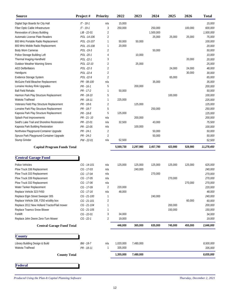| <b>Source</b>                                | Project#        | Priority       | 2022      | 2023      | 2024      | 2025    | 2026    | <b>Total</b> |
|----------------------------------------------|-----------------|----------------|-----------|-----------|-----------|---------|---------|--------------|
| Digital Sign Boards for City Hall            | $IT - 18-1$     | n/a            | 15,000    |           |           |         |         | 15,000       |
| Fiber Optic Cable Infrastructure             | $1T - 19 - 1$   | 3              | 250,000   |           | 250,000   |         | 100,000 | 600,000      |
| Renovation of Library Building               | $LIB - 22 - 01$ | 2              |           |           | 1,500,000 |         |         | 1,500,000    |
| Automatic License Plate Readers              | POL -14-106     | 2              |           |           | 25,000    | 25,000  | 25,000  | 75,000       |
| 800 MHz Portable Radio Replacement           | POL -15-107     | 1              | 50,000    | 50,000    |           |         |         | 100,000      |
| 800 MHz Mobile Radio Replacement             | POL -15-108     |                | 20,000    |           |           |         |         | 20,000       |
| Body Worn Cameras                            | POL -19-3       | 2              |           |           | 50,000    |         |         | 50,000       |
| Police Storage Building Loft                 | POL -20-1       | 4              |           | 10,000    |           |         |         | 10,000       |
| Thermal Imaging-Handheld                     | POL -22-1       | 3              |           |           |           |         | 20,000  | 20,000       |
| Outdoor Weather Warning Sirens               | POL -22-10      | 2              |           | 25,000    |           |         |         | 25,000       |
| <b>AED Defibrillators</b>                    | POL -22-3       | 2              |           |           |           | 24,000  | 24,000  | 48,000       |
| Handguns                                     | POL -22-4       | 2              |           |           |           |         | 30,000  | 30,000       |
| Evidence Storage System                      | POL -22-9       | $\overline{2}$ |           |           |           | 65,000  |         | 65,000       |
| McGuire Field Bleacher Replacement           | PR - 08-100     | n/a            |           |           | 35,000    |         |         | 35,000       |
| Lorraine Hockey Rink Upgrades                | $PR - 16 - 1$   | 5              |           | 200,000   |           |         |         | 200,000      |
| <b>Ball Field Rehabs</b>                     | $PR - 17 - 2$   |                | 50,000    |           |           |         |         | 50,000       |
| Harmon Park Play Structure Replacement       | PR - 18-10      | 5              |           |           |           | 100,000 |         | 100,000      |
| Wakota Trailhead                             | PR - 18-11      | 1              | 225,000   |           |           |         |         | 225,000      |
| Veterans Field Play Structure Replacement    | PR - 18-6       | 2              |           | 125,000   |           |         |         | 125,000      |
| Lorraine Park Play Structure Replacement     | PR - 18-7       | 5              |           |           | 250,000   |         |         | 250,000      |
| Kaposia Park Play Structure Replacement      | PR - 18-8       | 5              | 125,000   |           |           |         |         | 125,000      |
| Splash Pool Improvements                     | PR - 21 - 10    | n/a            |           | 200,000   |           |         |         | 200,000      |
| Seidl's Lake Trail and Shoreline Restoration | PR - 22-01      | n/a            | 32,500    |           | 43,000    |         |         | 75,500       |
| Kaposia Park Building Restoration            | PR - 22-05      | n/a            |           | 100,000   |           |         |         | 100,000      |
| Northview Playground-Container Upgrade       | $PR - 24 - 1$   | 2              |           |           | 50,000    |         |         | 50,000       |
| Spruce Park Playground-Container Upgrade     | $PR - 24 - 2$   | $\overline{2}$ |           |           | 50,000    |         |         | 50,000       |
| Stump Grinder                                | PW - 22-01      | n/a            | 52,500    |           |           |         |         | 52,500       |
| <b>Capital Program Funds Total</b>           |                 |                | 5,569,730 | 2,297,980 | 2,457,780 | 423,980 | 528,980 | 11,278,450   |
| <b>Central Garage Fund</b>                   |                 |                |           |           |           |         |         |              |
| Police Vehicles                              | $CG - 14 - 101$ | n/a            | 125,000   | 125,000   | 125,000   | 125,000 | 125,000 | 625,000      |
| Plow Truck 336 Replacement                   | CG - 17-03      | n/a            |           | 240,000   |           |         |         | 240,000      |
| Plow Truck 333 Replacement                   | CG - 17-04      | n/a            |           |           | 270,000   |         |         | 270,000      |
| Plow Truck 339 Replacement                   | CG - 17-05      | n/a            |           |           |           | 270,000 |         | 270,000      |
| Plow Truck 332 Replacement                   | CG - 17-06      | n/a            |           |           |           |         | 270,000 | 270,000      |
| Water Tanker Replacement                     | CG - 17-09      | $\overline{2}$ | 220,000   |           |           |         |         | 220,000      |
| Replace Vehicle 323 F450                     | $CG - 17 - 16$  | n/a            | 48,000    |           |           |         |         | 48,000       |
| Replace Elgin Street Sweeper 305             | CG-21-100       |                |           |           | 240,000   |         |         | 240,000      |
| Replace Vehicle 338, F250 w/utility box      | $CG - 21 - 101$ | 2              |           |           |           |         | 60,000  | 60,000       |
| Replace 2012 New Holland Tractor/Flail mower | CG-21-104       |                |           |           |           | 200,000 |         | 200,000      |
| Replace Teamco Snow Blower                   | $CG - 21 - 105$ |                |           |           |           | 150,000 |         | 150,000      |
| Forklift                                     | CG - 22-01      | 3              | 34,000    |           |           |         |         | 34,000       |
| Replace John Deere Zero-Turn Mower           | $CG - 22-1$     | 2              | 19,000    |           |           |         |         | 19,000       |
| <b>Central Garage Fund Total</b>             |                 |                | 446,000   | 365,000   | 635,000   | 745,000 | 455,000 | 2,646,000    |
| <b>County</b>                                |                 |                |           |           |           |         |         |              |
| Library Building Design & Build              | Bld - 18-7      | n/a            | 1,020,000 | 7,480,000 |           |         |         | 8,500,000    |
| Wakota Trailhead                             | PR - 18-11      | 1              | 335,000   |           |           |         |         | 335,000      |
| <b>County Total</b>                          |                 |                | 1,355,000 | 7,480,000 |           |         |         | 8,835,000    |
|                                              |                 |                |           |           |           |         |         |              |
| <b>Federal</b>                               |                 |                |           |           |           |         |         |              |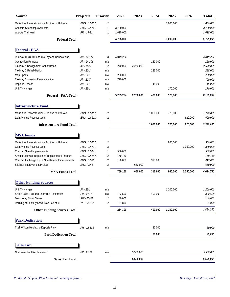| <b>Source</b>                                                                                                                                                                                                                                     | Project#                                                                                                         | <b>Priority</b>                                  | 2022                                       | 2023      | 2024                         | 2025      | 2026      | <b>Total</b>                                                                            |
|---------------------------------------------------------------------------------------------------------------------------------------------------------------------------------------------------------------------------------------------------|------------------------------------------------------------------------------------------------------------------|--------------------------------------------------|--------------------------------------------|-----------|------------------------------|-----------|-----------|-----------------------------------------------------------------------------------------|
| Marie Ave Reconstruction - 3rd Ave to 19th Ave<br>Concord Street Improvements<br>Wakota Trailhead                                                                                                                                                 | ENG - 12-102<br>ENG - 12-141<br>PR - 18-11                                                                       | $\overline{2}$<br>$\mathbf{1}$<br>1              | 3,780,000<br>1,015,000                     |           |                              | 1,000,000 |           | 1,000,000<br>3,780,000<br>1,015,000                                                     |
| <b>Federal Total</b>                                                                                                                                                                                                                              |                                                                                                                  |                                                  | 4,795,000                                  |           |                              | 1,000,000 |           | 5,795,000                                                                               |
| <b>Federal - FAA</b>                                                                                                                                                                                                                              |                                                                                                                  |                                                  |                                            |           |                              |           |           |                                                                                         |
| Runway 16-34 Mill and Overlay and Renovations<br>Obstruction Removal<br>Taxiway A Realignment-Construction<br>Taxiway C Rehabilitation<br>Map Update<br>Taxiway Connector Reconstruction<br>Replace Beacon<br>Unit T - Hangar                     | Air - 12-114<br>Air - 14-206<br>Air - 16-5<br>Air - 20-2<br>Air - 22-1<br>Air - 22-7<br>Air - 24-1<br>Air - 25-1 | 3<br>n/a<br>2<br>n/a<br>n/a<br>n/a<br>n/a<br>n/a | 4,049,284<br>270,000<br>250,000<br>720,000 | 2,250,000 | 150,000<br>225,000<br>45,000 | 170,000   |           | 4.049.284<br>150,000<br>2,520,000<br>225,000<br>250,000<br>720,000<br>45,000<br>170,000 |
| <b>Federal - FAA Total</b>                                                                                                                                                                                                                        |                                                                                                                  |                                                  | 5,289,284                                  | 2,250,000 | 420,000                      | 170,000   |           | 8,129,284                                                                               |
| <b>Infrastructure Fund</b>                                                                                                                                                                                                                        |                                                                                                                  |                                                  |                                            |           |                              |           |           |                                                                                         |
| Marie Ave Reconstruction - 3rd Ave to 19th Ave<br>12th Avenue Reconstruction                                                                                                                                                                      | ENG - 12-102<br>ENG - 12-121                                                                                     | 2<br>2                                           |                                            |           | 1,050,000                    | 720,000   | 620,000   | 1,770,000<br>620,000                                                                    |
| <b>Infrastructure Fund Total</b>                                                                                                                                                                                                                  |                                                                                                                  |                                                  |                                            |           | 1,050,000                    | 720,000   | 620,000   | 2,390,000                                                                               |
| <b>MSA Funds</b>                                                                                                                                                                                                                                  |                                                                                                                  |                                                  |                                            |           |                              |           |           |                                                                                         |
| Marie Ave Reconstruction - 3rd Ave to 19th Ave<br>12th Avenue Reconstruction<br>Concord Street Improvements<br>Annual Sidewalk Repair and Replacement Program<br>Concord Exchange Ext. & Streetscape Improvements<br>Stickney Improvement Project | ENG - 12-102<br>ENG - 12-121<br>ENG - 12-141<br>ENG - 12-144<br>ENG - 12-83<br>ENG - 19-1                        | 2<br>2<br>1<br>2<br>2<br>2                       | 500,000<br>159,150<br>100,000              | 650,000   | 315,600                      | 960,000   | 1,350,000 | 960,000<br>1,350,000<br>500,000<br>159,150<br>415,600<br>650,000                        |
| <b>MSA Funds Total</b>                                                                                                                                                                                                                            |                                                                                                                  |                                                  | 759,150                                    | 650,000   | 315,600                      | 960,000   | 1,350,000 | 4,034,750                                                                               |
| $\alpha$ <sup>n</sup><br><b>Other Funding Sources</b>                                                                                                                                                                                             |                                                                                                                  |                                                  |                                            |           |                              |           |           |                                                                                         |
| Unit T - Hangar<br>Seidl's Lake Trail and Shoreline Restoration<br>Dawn Way Storm Sewer<br>Relining of Sanitary Sewers as Part of I/I                                                                                                             | Air - 25-1<br>PR - 22-01<br>SW - 12-51<br>WS-08-138                                                              | n/a<br>n/a<br>2<br>2                             | 32,500<br>140,000<br>91,800                |           | 400,000                      | 1,200,000 |           | 1,200,000<br>432,500<br>140,000<br>91,800                                               |
| <b>Other Funding Sources Total</b>                                                                                                                                                                                                                |                                                                                                                  |                                                  | 264,300                                    |           | 400,000                      | 1,200,000 |           | 1,864,300                                                                               |
| <b>Park Dedication</b>                                                                                                                                                                                                                            |                                                                                                                  |                                                  |                                            |           |                              |           |           |                                                                                         |
| Trail: Wilson Heights to Kaposia Park                                                                                                                                                                                                             | PR - 12-105                                                                                                      | n/a                                              |                                            |           | 80,000                       |           |           | 80,000                                                                                  |
| <b>Park Dedication Total</b>                                                                                                                                                                                                                      |                                                                                                                  |                                                  |                                            |           | 80,000                       |           |           | 80,000                                                                                  |
| <b>Sales Tax</b>                                                                                                                                                                                                                                  |                                                                                                                  |                                                  |                                            |           |                              |           |           |                                                                                         |
| Northview Pool Replacement                                                                                                                                                                                                                        | PR - 21 11                                                                                                       | n/a                                              |                                            | 5,500,000 |                              |           |           | 5,500,000                                                                               |
| <b>Sales Tax Total</b>                                                                                                                                                                                                                            |                                                                                                                  |                                                  |                                            | 5,500,000 |                              |           |           | 5,500,000                                                                               |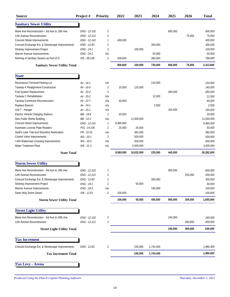| <b>Source</b>                                                            | Project#                 | <b>Priority</b>       | 2022      | 2023       | 2024              | 2025    | 2026    | <b>Total</b>      |
|--------------------------------------------------------------------------|--------------------------|-----------------------|-----------|------------|-------------------|---------|---------|-------------------|
| <b>Sanitary Sewer Utility</b>                                            |                          |                       |           |            |                   |         |         |                   |
| Marie Ave Reconstruction - 3rd Ave to 19th Ave                           | ENG - 12-102             | 2                     |           |            |                   | 600,000 |         | 600,000           |
| 12th Avenue Reconstruction                                               | ENG - 12-121             | $\overline{2}$        |           |            |                   |         | 75,000  | 75,000            |
| Concord Street Improvements                                              | ENG - 12-141             | $\mathbf{1}$          | 400.000   |            |                   |         |         | 400.000           |
| Concord Exchange Ext. & Streetscape Improvements                         | ENG - 12-83              | 2                     |           |            | 300,000           |         |         | 300,000           |
| Stickney Improvement Project                                             | ENG - 19-1               | $\overline{2}$        |           | 100,000    |                   |         |         | 100,000           |
| Warner Avenue Improvements<br>Relining of Sanitary Sewers as Part of I/I | ENG - 24-2<br>WS-08-138  | n/a<br>$\overline{2}$ | 408,600   |            | 50,000<br>380,000 |         |         | 50,000<br>788,600 |
| <b>Sanitary Sewer Utility Total</b>                                      |                          |                       | 808,600   | 100,000    | 730,000           | 600,000 | 75,000  | 2,313,600         |
|                                                                          |                          |                       |           |            |                   |         |         |                   |
| <b>State</b>                                                             |                          |                       |           |            |                   |         |         |                   |
| Reconstruct Terminal Parking Lot                                         | Air - 16-1               | n/a                   |           |            | 210,000           |         |         | 210,000           |
| Taxiway A Realignment-Construction                                       | Air - 16-5               | $\overline{2}$        | 15,000    | 125,000    |                   |         |         | 140,000           |
| Fuel System Replacement                                                  | Air - 19-2               | 3                     |           |            |                   | 280,000 |         | 280,000           |
| Taxiway C Rehabilitation<br>Taxiway Connector Reconstruction             | Air - 20-2<br>Air - 22-7 | n/a<br>n/a            | 40,000    |            | 12,500            |         |         | 12,500<br>40,000  |
| Replace Beacon                                                           | Air - 24-1               | n/a                   |           |            | 2,500             |         |         | 2,500             |
| Unit T - Hangar                                                          | Air - 25-1               | n/a                   |           |            |                   | 165,000 |         | 165,000           |
| Electric Vehicle Charging Stations                                       | Bld - 18-9               | $\overline{2}$        | 20,000    |            |                   |         |         | 20,000            |
| New Public Works Building                                                | Bld - 22-2               | n/a                   |           | 11,000,000 |                   |         |         | 11,000,000        |
| Concord Street Improvements                                              | ENG - 12-141             | 1                     | 9,480,000 |            |                   |         |         | 9,480,000         |
| Automatic License Plate Readers                                          | POL -14-106              | 2                     | 25,000    | 25,000     |                   |         |         | 50,000            |
| Seidl's Lake Trail and Shoreline Restoration                             | PR - 22-01               | n/a                   |           | 382,000    |                   |         |         | 382,000           |
| Control Valve Improvements                                               | WS-20-1                  | $\overline{2}$        |           | 500,000    |                   |         |         | 500,000           |
| I-494 Watermain Crossing Improvements                                    | WS-20-2                  | n/a                   |           | 500,000    |                   |         |         | 500,000           |
| Water Treatment Plant                                                    | $WS - 21 - 1$            | n/a                   |           | 3,500,000  |                   |         |         | 3,500,000         |
| <b>State Total</b>                                                       |                          |                       | 9,580,000 | 16,032,000 | 225,000           | 445,000 |         | 26,282,000        |
| <b>Storm Sewer Utility</b>                                               |                          |                       |           |            |                   |         |         |                   |
| Marie Ave Reconstruction - 3rd Ave to 19th Ave                           | ENG - 12-102             | 2                     |           |            |                   | 900,000 |         | 900,000           |
| 12th Avenue Reconstruction                                               | ENG - 12-121             | $\overline{2}$        |           |            |                   |         | 200,000 | 200,000           |
| Concord Exchange Ext. & Streetscape Improvements                         | ENG - 12-83              | 2                     |           |            | 300,000           |         |         | 300,000           |
| Stickney Improvement Project                                             | ENG - 19-1               | 2                     |           | 50,000     |                   |         |         | 50,000            |
| Warner Avenue Improvements                                               | ENG - 24-2               | n/a                   |           |            | 100,000           |         |         | 100,000           |
| Dawn Way Storm Sewer                                                     | SW - 12-51               | 2                     | 100,000   |            |                   |         |         | 100,000           |
| <b>Storm Sewer Utility Total</b>                                         |                          |                       | 100,000   | 50,000     | 400,000           | 900,000 | 200,000 | 1,650,000         |
| <b>Street Light Utility</b>                                              |                          |                       |           |            |                   |         |         |                   |
| Marie Ave Reconstruction - 3rd Ave to 19th Ave                           | ENG - 12-102             | 2                     |           |            |                   | 240,000 |         | 240,000           |
| 12th Avenue Reconstruction                                               | ENG - 12-121             | $\overline{2}$        |           |            |                   |         | 400,000 | 400,000           |
| <b>Street Light Utility Total</b>                                        |                          |                       |           |            |                   | 240,000 | 400,000 | 640,000           |
|                                                                          |                          |                       |           |            |                   |         |         |                   |
| <b>Tax Increment</b>                                                     |                          |                       |           |            |                   |         |         |                   |
| Concord Exchange Ext. & Streetscape Improvements                         | ENG - 12-83              | 2                     |           | 240,000    | 1,744,400         |         |         | 1,984,400         |
| <b>Tax Increment Total</b>                                               |                          |                       |           | 240,000    | 1,744,400         |         |         | 1,984,400         |
| <b>Tax Levy - Arena</b>                                                  |                          |                       |           |            |                   |         |         |                   |
|                                                                          |                          |                       |           |            |                   |         |         |                   |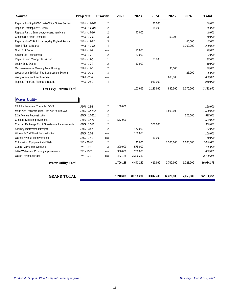| <b>Source</b>                                    | Project#     | <b>Priority</b> | 2022 | 2023    | 2024      | 2025    | 2026      | <b>Total</b> |
|--------------------------------------------------|--------------|-----------------|------|---------|-----------|---------|-----------|--------------|
| Replace Rooftop HVAC units-Office Suites Section | WAK - 13-167 | 2               |      |         | 80,000    |         |           | 80,000       |
| Replace Rooftop HVAC Units                       | WAK - 14-105 | 2               |      |         | 65,000    |         |           | 65,000       |
| Replace Rink 1 Entry door, closers, hardware     | WAK - 19-10  | 2               |      | 40,000  |           |         |           | 40,000       |
| Concession Stand Remodel                         | WAK - 19-11  | 3               |      |         |           | 50,000  |           | 50,000       |
| Replace HVAC Rink1 Locker, Mtg, Dryland Rooms    | WAK - 19-12  | 3               |      |         |           |         | 45,000    | 45,000       |
| Rink 2 Floor & Boards                            | WAK - 19-13  | 4               |      |         |           |         | 1,200,000 | 1,200,000    |
| North Exit Doors                                 | WAK - 19-2   | n/a             |      | 20,000  |           |         |           | 20,000       |
| Scissor Lift Replacement                         | WAK - 19-3   |                 |      | 32,000  |           |         |           | 32,000       |
| Replace Drop Ceiling Tiles & Grid                | WAK - 19-5   |                 |      |         | 35.000    |         |           | 35,000       |
| Lobby Entry Doors                                | WAK - 19-7   | 2               |      | 10.000  |           |         |           | 10,000       |
| Mezzanine-Warm Viewing Area Flooring             | WAK - 19-8   | 2               |      |         |           | 30,000  |           | 30,000       |
| Woog Arena Sprinkler Fire Suppression System     | WAK - 20-1   | 3               |      |         |           |         | 25,000    | 25,000       |
| Woog Arena Roof Replacement                      | WAK - 20-2   | n/a             |      |         |           | 800,000 |           | 800,000      |
| Replace Rink One Floor and Boards                | WAK - 21-2   | 4               |      |         | 950,000   |         |           | 950,000      |
| Tax Levy - Arena Total                           |              |                 |      | 102,000 | 1,130,000 | 880,000 | 1,270,000 | 3,382,000    |

### **Water Utility**

| <b>Water Utility</b>                             |               |                |            |            |            |            |           |             |
|--------------------------------------------------|---------------|----------------|------------|------------|------------|------------|-----------|-------------|
| ERP Replacement-Through LOGIS                    | ADM - 22-1    | 2              | 150,000    |            |            |            |           | 150,000     |
| Marie Ave Reconstruction - 3rd Ave to 19th Ave   | ENG - 12-102  | 2              |            |            |            | 1,500,000  |           | 1,500,000   |
| 12th Avenue Reconstruction                       | ENG - 12-121  | $\overline{2}$ |            |            |            |            | 525.000   | 525,000     |
| <b>Concord Street Improvements</b>               | ENG - 12-141  |                | 573.000    |            |            |            |           | 573,000     |
| Concord Exchange Ext. & Streetscape Improvements | ENG - 12-83   | $\overline{2}$ |            |            | 360,000    |            |           | 360,000     |
| Stickney Improvement Project                     | ENG - 19-1    | $\overline{2}$ |            | 172,000    |            |            |           | 172,000     |
| 7th Ave & 2nd Street Reconstruction              | ENG - 22-2    | n/a            |            | 100,000    |            |            |           | 100,000     |
| Warner Avenue Improvements                       | ENG - 24-2    | n/a            |            |            | 50,000     |            |           | 50,000      |
| Chlorination Equipment at 4 Wells                | WS - 12-96    | $\overline{2}$ |            | 40,000     |            | 1,200,000  | 1,200,000 | 2,440,000   |
| Control Valve Improvements                       | WS-20-1       | $\overline{2}$ | 200,000    | 575,000    |            |            |           | 775,000     |
| I-494 Watermain Crossing Improvements            | WS - 20-2     | n/a            | 350,000    | 250,000    |            |            |           | 600,000     |
| Water Treatment Plant                            | $WS - 21 - 1$ | n/a            | 433,125    | 3,306,250  |            |            |           | 3,739,375   |
| <b>Water Utility Total</b>                       |               |                | 1,706,125  | 4,443,250  | 410,000    | 2,700,000  | 1,725,000 | 10,984,375  |
| <b>GRAND TOTAL</b>                               |               |                | 31.210.339 | 40.725.230 | 20.847.780 | 12.328.980 | 7.053.980 | 112,166,309 |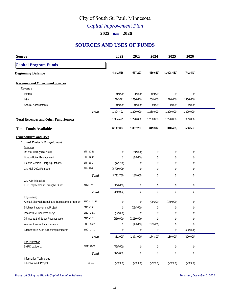# City of South St. Paul, Minnesota

# *Capital Improvement Plan*

### **2022** thru **2026**

# **SOURCES AND USES OF FUNDS**

| <b>Source</b>                                   |               | 2022          | 2023          | 2024           | 2025        | 2026        |  |
|-------------------------------------------------|---------------|---------------|---------------|----------------|-------------|-------------|--|
| <b>Capital Program Funds</b>                    |               |               |               |                |             |             |  |
| <b>Beginning Balance</b>                        |               | 4,842,536     | 577,297       | (430,683)      | (1,608,463) | (742, 443)  |  |
| <b>Revenues and Other Fund Sources</b>          |               |               |               |                |             |             |  |
| Revenue                                         |               |               |               |                |             |             |  |
| Interest                                        |               | 40,000        | 20,000        | 10,000         | 0           | $\cal O$    |  |
| LGA                                             |               | 1,224,491     | 1,230,000     | 1,250,000      | 1,270,000   | 1,300,000   |  |
| Special Assessments                             |               | 40,000        | 40,000        | 20,000         | 20,000      | 9,000       |  |
|                                                 | Total         | 1,304,491     | 1,290,000     | 1,280,000      | 1,290,000   | 1,309,000   |  |
| <b>Total Revenues and Other Fund Sources</b>    |               | 1,304,491     | 1,290,000     | 1,280,000      | 1,290,000   | 1,309,000   |  |
| <b>Total Funds Available</b>                    |               | 6,147,027     | 1,867,297     | 849,317        | (318, 463)  | 566,557     |  |
| <b>Expenditures and Uses</b>                    |               |               |               |                |             |             |  |
| Capital Projects & Equipment                    |               |               |               |                |             |             |  |
| <b>Buildings</b>                                |               |               |               |                |             |             |  |
| Re-roof Library (flat area)                     | Bld - 12-39   | 0             | (150,000)     | 0              | 0           | $\cal O$    |  |
| Library Boiler Replacement                      | Bld - 14-40   | 0             | (35,000)      | 0              | 0           | $\cal O$    |  |
| Electric Vehicle Charging Stations              | Bld - 18-9    | (12, 750)     | 0             | 0              | 0           | 0           |  |
| City Hall-2022 Remodel                          | Bld - 22-1    | (3,700,000)   | 0             | 0              | 0           | $\cal O$    |  |
|                                                 | Total         | (3, 712, 750) | (185,000)     | $\mathbf 0$    | $\mathbf 0$ | $\mathbf 0$ |  |
| <b>City Administration</b>                      |               |               |               |                |             |             |  |
| ERP Replacement-Through LOGIS                   | ADM - 22-1    | (350,000)     | 0             | 0              | 0           | $\cal O$    |  |
|                                                 | Total         | (350,000)     | $\mathbf 0$   | $\mathbf 0$    | $\mathbf 0$ | $\mathbf 0$ |  |
| Engineering                                     |               |               |               |                |             |             |  |
| Annual Sidewalk Repair and Replacement Program  | ENG - 12-144  | 0             | 0             | (29, 800)      | (180,000)   | 0           |  |
| Stickney Improvement Project                    | ENG - 19-1    | 0             | (198,000)     | 0              | 0           | 0           |  |
| Reconstruct Concrete Alleys                     | ENG - 22-1    | (82,000)      | 0             | 0              | 0           | 0           |  |
| 7th Ave & 2nd Street Reconstruction             | ENG - 22-2    | (250,000)     | (1, 150, 000) | 0              | 0           | $\cal O$    |  |
| Warner Avenue Improvements                      | ENG - 24-2    | 0             | (25,000)      | (145,000)      | 0           | ${\cal O}$  |  |
| Bircher/Willis Area Street Improvements         | ENG - 27-1    | 0             | 0             | 0              | 0           | (300,000)   |  |
|                                                 | Total         | (332,000)     | (1, 373, 000) | (174, 800)     | (180,000)   | (300,000)   |  |
| <b>Fire Protection</b>                          |               |               |               |                |             |             |  |
| SMFD Ladder 1                                   | FIRE-22-03    | (325,000)     | 0             | 0              | 0           | ${\cal O}$  |  |
|                                                 | Total         | (325,000)     | $\,0\,$       | $\overline{0}$ | $\mathbf 0$ | $\,0\,$     |  |
| Information Technology<br>Fiber Network Project | $IT - 13-103$ | (29, 980)     | (29,980)      | (29, 980)      | (29,980)    | (29, 980)   |  |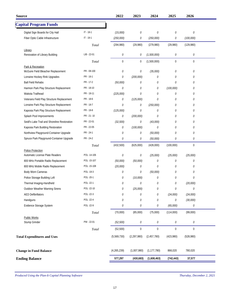| <b>Source</b>                                |               | 2022        | 2023          | 2024          | 2025        | 2026        |  |
|----------------------------------------------|---------------|-------------|---------------|---------------|-------------|-------------|--|
| <b>Capital Program Funds</b>                 |               |             |               |               |             |             |  |
| Digital Sign Boards for City Hall            | $IT - 18-1$   | (15,000)    | 0             | $\cal O$      | $\cal O$    | 0           |  |
| Fiber Optic Cable Infrastructure             | $IT - 19-1$   | (250,000)   | 0             | (250,000)     | 0           | (100,000)   |  |
|                                              | Total         | (294, 980)  | (29,980)      | (279,980)     | (29,980)    | (129,980)   |  |
| Library                                      |               |             |               |               |             |             |  |
| Renovation of Library Building               | $LIB - 22-01$ | 0           | 0             | (1,500,000)   | $\cal O$    | 0           |  |
|                                              | Total         | $\mathbf 0$ | 0             | (1,500,000)   | $\mathbf 0$ | $\mathbf 0$ |  |
| Park & Recreation                            |               |             |               |               |             |             |  |
| McGuire Field Bleacher Replacement           | PR - 08-100   | $\cal O$    | 0             | (35,000)      | $\cal O$    | 0           |  |
| Lorraine Hockey Rink Upgrades                | PR - 16-1     | 0           | (200,000)     | 0             | 0           | 0           |  |
| <b>Ball Field Rehabs</b>                     | PR - 17-2     | (50,000)    | 0             | 0             | $\theta$    | 0           |  |
| Harmon Park Play Structure Replacement       | PR - 18-10    | 0           | 0             | 0             | (100,000)   | 0           |  |
| Wakota Trailhead                             | PR - 18-11    | (225,000)   | 0             | 0             | $\cal O$    | 0           |  |
| Veterans Field Play Structure Replacement    | PR - 18-6     | 0           | (125,000)     | 0             | 0           | 0           |  |
| Lorraine Park Play Structure Replacement     | PR - 18-7     | 0           | 0             | (250,000)     | 0           | 0           |  |
| Kaposia Park Play Structure Replacement      | PR - 18-8     | (125,000)   | 0             | 0             | 0           | 0           |  |
| Splash Pool Improvements                     | PR - 21 - 10  | 0           | (200,000)     | 0             | 0           | 0           |  |
| Seidl's Lake Trail and Shoreline Restoration | PR - 22-01    | (32, 500)   | 0             | (43,000)      | 0           | 0           |  |
| Kaposia Park Building Restoration            | PR - 22-05    | 0           | (100,000)     | $\mathcal{O}$ | 0           | 0           |  |
| Northview Playground-Container Upgrade       | PR - 24-1     | 0           | 0             | (50,000)      | 0           | 0           |  |
| Spruce Park Playground-Container Upgrade     | PR - 24-2     | 0           | 0             | (50,000)      | 0           | 0           |  |
|                                              | Total         | (432,500)   | (625,000)     | (428,000)     | (100,000)   | $\mathbf 0$ |  |
| Police Protection                            |               |             |               |               |             |             |  |
| Automatic License Plate Readers              | POL-14-106    | 0           | 0             | (25,000)      | (25,000)    | (25,000)    |  |
| 800 MHz Portable Radio Replacement           | POL-15-107    | (50,000)    | (50,000)      | 0             | 0           | 0           |  |
| 800 MHz Mobile Radio Replacement             | POL-15-108    | (20,000)    | 0             | 0             | 0           | 0           |  |
| Body Worn Cameras                            | POL-19-3      | 0           | 0             | (50,000)      | 0           | 0           |  |
| Police Storage Building Loft                 | POL-20-1      | 0           | (10,000)      | 0             | 0           | 0           |  |
| Thermal Imaging-Handheld                     | POL -22-1     | $\cal O$    | 0             | 0             | $\cal O$    | (20,000)    |  |
| Outdoor Weather Warning Sirens               | POL-22-10     | 0           | (25,000)      | 0             | 0           | 0           |  |
| <b>AED Defibrillators</b>                    | POL-22-3      | 0           | 0             | 0             | (24,000)    | (24,000)    |  |
| Handguns                                     | POL-22-4      | $\cal O$    | 0             | $\cal O$      | $\cal O$    | (30,000)    |  |
| Evidence Storage System                      | POL-22-9      | 0           | 0             | 0             | (65,000)    | 0           |  |
|                                              | Total         | (70,000)    | (85,000)      | (75,000)      | (114,000)   | (99,000)    |  |
| Public Works                                 |               |             |               |               |             |             |  |
| Stump Grinder                                | PW - 22-01    | (52, 500)   | $\cal O$      | ${\cal O}$    | 0           | 0           |  |
|                                              | Total         | (52, 500)   | $\mathbf 0$   | $\mathbf 0$   | $\mathbf 0$ | $\mathbf 0$ |  |
| <b>Total Expenditures and Uses</b>           |               | (5,569,730) | (2, 297, 980) | (2,457,780)   | (423,980)   | (528,980)   |  |
| <b>Change in Fund Balance</b>                |               | (4,265,239) | (1,007,980)   | (1, 177, 780) | 866,020     | 780,020     |  |
| <b>Ending Balance</b>                        |               | 577,297     | (430,683)     | (1,608,463)   | (742, 443)  | 37,577      |  |
|                                              |               |             |               |               |             |             |  |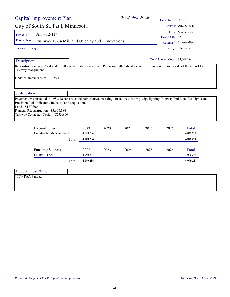|                                                                 | Capital Improvement Plan                                                                                                                                                                          |       |                   |      | 2022 thru 2026 |      | Department Airport              |                         |
|-----------------------------------------------------------------|---------------------------------------------------------------------------------------------------------------------------------------------------------------------------------------------------|-------|-------------------|------|----------------|------|---------------------------------|-------------------------|
|                                                                 | City of South St. Paul, Minnesota                                                                                                                                                                 |       |                   |      |                |      |                                 | Contact Andrew Wall     |
| Project#                                                        | Air - 12-114                                                                                                                                                                                      |       |                   |      |                |      |                                 | Type Maintenance        |
| Project Name                                                    |                                                                                                                                                                                                   |       |                   |      |                |      | Useful Life 25                  |                         |
|                                                                 | Runway 16-34 Mill and Overlay and Renovations                                                                                                                                                     |       |                   |      |                |      |                                 | Category Streets/Alleys |
| <b>Finance Priority</b>                                         |                                                                                                                                                                                                   |       |                   |      |                |      |                                 | Priority 3 Important    |
| Description                                                     |                                                                                                                                                                                                   |       |                   |      |                |      | Total Project Cost: \$4,049,284 |                         |
| Taxiway realignment.                                            | Reconstruct runway 16-34 and install a new lighting system and Precision Path Indicators. Axquire land on the south side of the airport for<br>Updated amounts as of 10/22/21.                    |       |                   |      |                |      |                                 |                         |
|                                                                 |                                                                                                                                                                                                   |       |                   |      |                |      |                                 |                         |
|                                                                 | Pavement was installed in 1988. Reconstruct and paint runway marking. Install new runway edge lighting, Runway End Identifier Lights and<br>Precision Path Indicators. Includes land acquisition. |       |                   |      |                |      |                                 |                         |
|                                                                 | Runway Reconstruction - \$3,608,184<br>Taxiway Connector Design - \$253,800                                                                                                                       |       |                   |      |                |      |                                 |                         |
|                                                                 | Expenditures<br>Construction/Maintenance                                                                                                                                                          |       | 2022<br>4,049,284 | 2023 | 2024           | 2025 | 2026                            | Total<br>4,049,284      |
|                                                                 |                                                                                                                                                                                                   | Total | 4,049,284         |      |                |      |                                 | 4,049,284               |
|                                                                 | Funding Sources                                                                                                                                                                                   |       | 2022              | 2023 | 2024           | 2025 | 2026                            | Total                   |
|                                                                 | Federal - FAA                                                                                                                                                                                     |       | 4,049,284         |      |                |      |                                 | 4,049,284               |
|                                                                 |                                                                                                                                                                                                   | Total | 4,049,284         |      |                |      |                                 | 4,049,284               |
| Justification<br>Land - \$187,300<br><b>Budget Impact/Other</b> |                                                                                                                                                                                                   |       |                   |      |                |      |                                 |                         |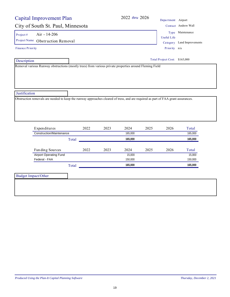| <b>Capital Improvement Plan</b>                                                                                                   |       |      |      | 2022 thru 2026 |      | Department Airport            |                            |
|-----------------------------------------------------------------------------------------------------------------------------------|-------|------|------|----------------|------|-------------------------------|----------------------------|
| City of South St. Paul, Minnesota                                                                                                 |       |      |      |                |      |                               | Contact Andrew Wall        |
| Air - 14-206<br>Project#                                                                                                          |       |      |      |                |      |                               | Type Maintenance           |
| Project Name Obstruction Removal                                                                                                  |       |      |      |                |      | <b>Useful Life</b>            |                            |
|                                                                                                                                   |       |      |      |                |      |                               | Category Land Improvements |
| <b>Finance Priority</b>                                                                                                           |       |      |      |                |      | Priority n/a                  |                            |
| Description                                                                                                                       |       |      |      |                |      | Total Project Cost: \$165,000 |                            |
| Removal various Runway obstructions (mostly trees) from various private properties around Fleming Field                           |       |      |      |                |      |                               |                            |
|                                                                                                                                   |       |      |      |                |      |                               |                            |
|                                                                                                                                   |       |      |      |                |      |                               |                            |
|                                                                                                                                   |       |      |      |                |      |                               |                            |
|                                                                                                                                   |       |      |      |                |      |                               |                            |
| Justification                                                                                                                     |       |      |      |                |      |                               |                            |
| Obstruction removals are needed to keep the runway approaches cleared of tress, and are required as part of FAA grant assurances. |       |      |      |                |      |                               |                            |
|                                                                                                                                   |       |      |      |                |      |                               |                            |
|                                                                                                                                   |       |      |      |                |      |                               |                            |
|                                                                                                                                   |       |      |      |                |      |                               |                            |
|                                                                                                                                   |       |      |      |                |      |                               |                            |
| Expenditures                                                                                                                      |       | 2022 | 2023 | 2024           | 2025 | 2026                          | Total                      |
| Construction/Maintenance                                                                                                          |       |      |      | 165,000        |      |                               | 165,000                    |
|                                                                                                                                   | Total |      |      | 165,000        |      |                               | 165,000                    |
|                                                                                                                                   |       |      |      |                |      |                               |                            |
| Funding Sources                                                                                                                   |       | 2022 | 2023 | 2024           | 2025 | 2026                          | Total                      |
| <b>Airport Operating Fund</b>                                                                                                     |       |      |      | 15,000         |      |                               | 15,000                     |
| Federal - FAA                                                                                                                     |       |      |      | 150,000        |      |                               | 150,000                    |
|                                                                                                                                   | Total |      |      | 165,000        |      |                               | 165,000                    |
|                                                                                                                                   |       |      |      |                |      |                               |                            |
| <b>Budget Impact/Other</b>                                                                                                        |       |      |      |                |      |                               |                            |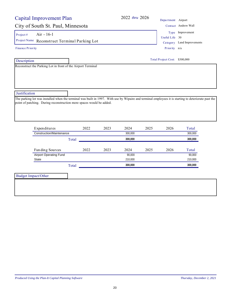# City of South St. Paul, Minnesota

Project #  $Air - 16-1$ 

Project Name Reconstruct Terminal Parking Lot Category Land Improvements

Finance Priority

Description

Reconstruct the Parking Lot in front of the Airport Terminal

### **Justification**

The parking lot was installed when the terminal was built in 1997. With use by Wipaire and terminal employees it is starting to deteriorate past the point of patching. During reconstruction more spaces would be added.

| Expenditures                  |       | 2022 | 2023 | 2024    | 2025 | 2026 | Total   |
|-------------------------------|-------|------|------|---------|------|------|---------|
| Construction/Maintenance      |       |      |      | 300,000 |      |      | 300,000 |
|                               | Total |      |      | 300,000 |      |      | 300,000 |
|                               |       |      |      |         |      |      |         |
| Funding Sources               |       | 2022 | 2023 | 2024    | 2025 | 2026 | Total   |
| <b>Airport Operating Fund</b> |       |      |      | 90.000  |      |      | 90.000  |
| State                         |       |      |      | 210,000 |      |      | 210,000 |
|                               | Total |      |      | 300.000 |      |      | 300.000 |
|                               |       |      |      |         |      |      |         |

Budget Impact/Other

2022 *thru* 2026 Department Airport

|               | Contact Andrew Wall       |
|---------------|---------------------------|
|               | Type Improvement          |
| seful Life 30 |                           |
|               | Category Land Improvement |
| Priority n/a  |                           |

 $\overline{U}$ 

Priority n/a

Total Project Cost: \$300,000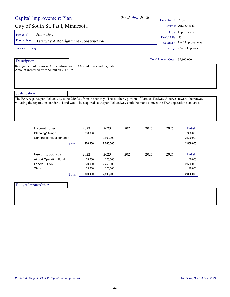# City of South St. Paul, Minnesota Contact Andrew Wallet

Project #  $Air - 16-5$ 

Project Name Taxiway A Realignment-Construction Category Land Improvements

Finance Priority

Description

**Justification** 

Realignment of Taxiway A to confrom with FAA guidelines and regulations Amount increased from \$1 mil on 2-15-19

| Department Airport |                           |
|--------------------|---------------------------|
|                    | Contact Andrew Wall       |
|                    | Type Improvement          |
| Useful Life 50     |                           |
|                    | Category Land Improvement |
|                    | Priority 2 Very Important |

| Expenditures                  |       | 2022    | 2023      | 2024 | 2025 | 2026 | Total     |
|-------------------------------|-------|---------|-----------|------|------|------|-----------|
| Planning/Design               |       | 300.000 |           |      |      |      | 300.000   |
| Construction/Maintenance      |       |         | 2.500.000 |      |      |      | 2,500,000 |
|                               | Total | 300.000 | 2.500.000 |      |      |      | 2.800.000 |
|                               |       |         |           |      |      |      |           |
| Fun ding Sources              |       | 2022    | 2023      | 2024 | 2025 | 2026 | Total     |
| <b>Airport Operating Fund</b> |       | 15.000  | 125.000   |      |      |      | 140.000   |
| Federal - FAA                 |       | 270.000 | 2.250.000 |      |      |      | 2,520,000 |
| State                         |       | 15.000  | 125.000   |      |      |      | 140,000   |
|                               | Total | 300.000 | 2.500.000 |      |      |      | 2.800.000 |

The FAA requires parallel taxiway to be 250 feet from the runway. The southerly portion of Parallel Taxiway A curves toward the runway violating the separation standard. Land would be acquired so the parallel taxiway could be move to meet the FAA separation standards.

2022 *thru* 2026 Depart

Total Project Cost: \$2,800,000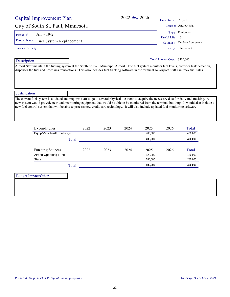| Capital Improvement Plan                                                                                                                                                                                                                                                                                                                                                                                                                                        |       |      |      | 2022 thru 2026 |         | Department Airport            |                     |
|-----------------------------------------------------------------------------------------------------------------------------------------------------------------------------------------------------------------------------------------------------------------------------------------------------------------------------------------------------------------------------------------------------------------------------------------------------------------|-------|------|------|----------------|---------|-------------------------------|---------------------|
| City of South St. Paul, Minnesota                                                                                                                                                                                                                                                                                                                                                                                                                               |       |      |      |                |         |                               | Contact Andrew Wall |
| Air - 19-2<br>Project#                                                                                                                                                                                                                                                                                                                                                                                                                                          |       |      |      |                |         |                               | Type Equipment      |
| Project Name                                                                                                                                                                                                                                                                                                                                                                                                                                                    |       |      |      |                |         | Useful Life                   | -10                 |
| Fuel System Replacement                                                                                                                                                                                                                                                                                                                                                                                                                                         |       |      |      |                |         | Category                      | Outdoor Equipment   |
| <b>Finance Priority</b>                                                                                                                                                                                                                                                                                                                                                                                                                                         |       |      |      |                |         | Priority                      | 3 Important         |
| Description                                                                                                                                                                                                                                                                                                                                                                                                                                                     |       |      |      |                |         | Total Project Cost: \$400,000 |                     |
| Justification<br>The current fuel system is outdated and requires staff to go to several physical locations to acquire the necessary data for daily fuel tracking. A<br>new system would provide new tank monitoring equipment that would be able to be monitored from the terminal building. It would also include a<br>new fuel control system that will be able to process new credit card technology. It will also include updated fuel monitoring software |       |      |      |                |         |                               |                     |
| Expenditures                                                                                                                                                                                                                                                                                                                                                                                                                                                    |       | 2022 | 2023 | 2024           | 2025    | 2026                          | Total               |
| Equip/Vehicles/Furnishings                                                                                                                                                                                                                                                                                                                                                                                                                                      |       |      |      |                | 400.000 |                               | 400.000             |
|                                                                                                                                                                                                                                                                                                                                                                                                                                                                 | Total |      |      |                | 400,000 |                               | 400,000             |
| Funding Sources                                                                                                                                                                                                                                                                                                                                                                                                                                                 |       | 2022 | 2023 | 2024           | 2025    | 2026                          | Total               |
| <b>Airport Operating Fund</b>                                                                                                                                                                                                                                                                                                                                                                                                                                   |       |      |      |                | 120,000 |                               | 120,000             |
| <b>State</b>                                                                                                                                                                                                                                                                                                                                                                                                                                                    |       |      |      |                | 280,000 |                               | 280,000             |
|                                                                                                                                                                                                                                                                                                                                                                                                                                                                 | Total |      |      |                | 400,000 |                               | 400,000             |
|                                                                                                                                                                                                                                                                                                                                                                                                                                                                 |       |      |      |                |         |                               |                     |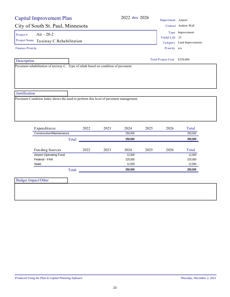| <b>Capital Improvement Plan</b>                                                       | 2022 thru 2026       | Department Airport            |                            |
|---------------------------------------------------------------------------------------|----------------------|-------------------------------|----------------------------|
| City of South St. Paul, Minnesota                                                     |                      |                               | Contact Andrew Wall        |
| Air - 20-2<br>Project#                                                                |                      |                               | Type Improvement           |
|                                                                                       |                      | Useful Life 25                |                            |
| Project Name Taxiway C Rehabilitation                                                 |                      |                               | Category Land Improvements |
| Finance Priority                                                                      |                      | Priority n/a                  |                            |
| Description                                                                           |                      | Total Project Cost: \$250,000 |                            |
| Pavement rehabilitation of taxiway C. Type of rehab based on condition of pavement.   |                      |                               |                            |
|                                                                                       |                      |                               |                            |
|                                                                                       |                      |                               |                            |
|                                                                                       |                      |                               |                            |
|                                                                                       |                      |                               |                            |
| Justification                                                                         |                      |                               |                            |
|                                                                                       |                      |                               |                            |
| Pavement Condition Index shows the need to perform this level of pavement management. |                      |                               |                            |
|                                                                                       |                      |                               |                            |
|                                                                                       |                      |                               |                            |
|                                                                                       |                      |                               |                            |
|                                                                                       |                      |                               |                            |
|                                                                                       |                      |                               |                            |
| Expenditures<br>2022                                                                  | 2023<br>2024<br>2025 | 2026                          | Total                      |
| <b>Construction/Maintenance</b>                                                       | 250,000              |                               | 250,000                    |
| Total                                                                                 | 250,000              |                               | 250,000                    |
|                                                                                       |                      |                               |                            |
| 2022<br>Funding Sources                                                               | 2023<br>2024<br>2025 | 2026                          | Total                      |
| <b>Airport Operating Fund</b>                                                         | 12,500               |                               | 12,500                     |
| Federal - FAA                                                                         | 225,000              |                               | 225,000                    |
| <b>State</b>                                                                          | 12,500               |                               | 12,500                     |
| Total                                                                                 | 250,000              |                               | 250,000                    |
|                                                                                       |                      |                               |                            |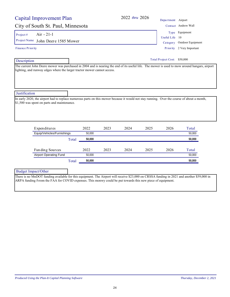| Capital Improvement Plan                                                                                                                                                                                                                                                                                                                                                                                                                  |       |        |      | 2022 thru 2026 |      | Department Airport           |                                                                  |
|-------------------------------------------------------------------------------------------------------------------------------------------------------------------------------------------------------------------------------------------------------------------------------------------------------------------------------------------------------------------------------------------------------------------------------------------|-------|--------|------|----------------|------|------------------------------|------------------------------------------------------------------|
| City of South St. Paul, Minnesota                                                                                                                                                                                                                                                                                                                                                                                                         |       |        |      |                |      |                              | Contact Andrew Wall                                              |
| Air $-21-1$<br>Project#<br>Project Name John Deere 1585 Mower<br><b>Finance Priority</b>                                                                                                                                                                                                                                                                                                                                                  |       |        |      |                |      | Useful Life 10<br>Category   | Type Equipment<br>Outdoor Equipment<br>Priority 2 Very Important |
| Description                                                                                                                                                                                                                                                                                                                                                                                                                               |       |        |      |                |      | Total Project Cost: \$50,000 |                                                                  |
| The current John Deere mower was purchased in 2004 and is nearing the end of its useful life. The mower is used to mow around hangars, airport<br>lighting, and runway edges where the larger tractor mower cannot access.<br>Justification<br>In early 2020, the airport had to replace numerous parts on this mower because it would not stay running. Over the course of about a month,<br>\$1,500 was spent on parts and maintenance. |       |        |      |                |      |                              |                                                                  |
| Expenditures                                                                                                                                                                                                                                                                                                                                                                                                                              |       | 2022   | 2023 | 2024           | 2025 | 2026                         | Total                                                            |
| Equip/Vehicles/Furnishings                                                                                                                                                                                                                                                                                                                                                                                                                |       | 50,000 |      |                |      |                              | 50,000                                                           |
|                                                                                                                                                                                                                                                                                                                                                                                                                                           | Total | 50,000 |      |                |      |                              | 50,000                                                           |
| Funding Sources                                                                                                                                                                                                                                                                                                                                                                                                                           |       | 2022   | 2023 | 2024           | 2025 | 2026                         | Total                                                            |
| <b>Airport Operating Fund</b>                                                                                                                                                                                                                                                                                                                                                                                                             |       | 50.000 |      |                |      |                              | 50.000                                                           |
|                                                                                                                                                                                                                                                                                                                                                                                                                                           | Total | 50.000 |      |                |      |                              | 50,000                                                           |

Budget Impact/Other

There is no MnDOT funding available for this equipment. The Airport will receive \$23,000 on CRSSA funding in 2021 and another \$59,000 in ARPA funding fvrom the FAA for COVID expenses. This monwy could be put towards this new piece of equipment.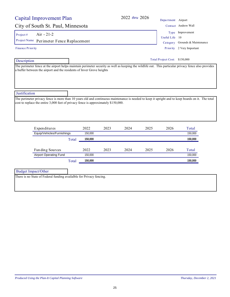| Capital Improvement Plan                                                                                                                                                                                                                                 |       |                 |      | 2022 thru 2026 |      | Department Airport            |                                                    |
|----------------------------------------------------------------------------------------------------------------------------------------------------------------------------------------------------------------------------------------------------------|-------|-----------------|------|----------------|------|-------------------------------|----------------------------------------------------|
| City of South St. Paul, Minnesota                                                                                                                                                                                                                        |       |                 |      |                |      |                               | Contact Andrew Wall                                |
| $Air -21-2$<br>Project #<br>Project Name Perimeter Fence Replacement                                                                                                                                                                                     |       |                 |      |                |      | Useful Life 10                | Type Improvement<br>Category Grounds & Maintenance |
| <b>Finance Priority</b>                                                                                                                                                                                                                                  |       |                 |      |                |      |                               | Priority 2 Very Important                          |
| Description                                                                                                                                                                                                                                              |       |                 |      |                |      | Total Project Cost: \$150,000 |                                                    |
| The perimeter fence at the airport helps maintain perimeter security as well as keeping the wildlife out. This particular privacy fence also provides<br>a buffer between the airport and the residents of Inver Grove heights                           |       |                 |      |                |      |                               |                                                    |
| Justification<br>The perimeter privacy fence is more than 10 years old and continuous maintenance is needed to keep it upright and to keep boards on it. The total<br>cost to replace the entire 3,000 feet of privacy fence is approximately \$150,000. |       |                 |      |                |      |                               |                                                    |
| Expenditures                                                                                                                                                                                                                                             |       | 2022            | 2023 | 2024           | 2025 | 2026                          | Total                                              |
| Equip/Vehicles/Furnishings                                                                                                                                                                                                                               |       | 150,000         |      |                |      |                               | 150,000                                            |
|                                                                                                                                                                                                                                                          | Total | 150,000         |      |                |      |                               | 150,000                                            |
| Funding Sources<br><b>Airport Operating Fund</b>                                                                                                                                                                                                         |       | 2022<br>150,000 | 2023 | 2024           | 2025 | 2026                          | Total<br>150,000                                   |
|                                                                                                                                                                                                                                                          | Total | 150,000         |      |                |      |                               | 150,000                                            |
|                                                                                                                                                                                                                                                          |       |                 |      |                |      |                               |                                                    |

Budget Impact/Other

There is no State of Federal funding availalble for Privacy fencing.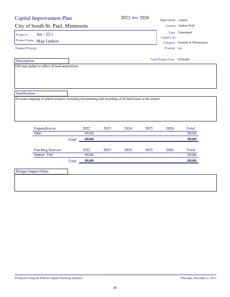| <b>Capital Improvement Plan</b>                                                                                                                            |       |         |      |      | 2022 thru 2026 | Department Airport            |                                |
|------------------------------------------------------------------------------------------------------------------------------------------------------------|-------|---------|------|------|----------------|-------------------------------|--------------------------------|
| City of South St. Paul, Minnesota                                                                                                                          |       |         |      |      |                |                               | Contact Andrew Wall            |
| Air - 22-1<br>Project $#$                                                                                                                                  |       |         |      |      |                |                               | Type Unassigned                |
| Project Name Map Update                                                                                                                                    |       |         |      |      |                | <b>Useful Life</b>            |                                |
|                                                                                                                                                            |       |         |      |      |                |                               | Category Grounds & Maintenance |
| <b>Finance Priority</b>                                                                                                                                    |       |         |      |      |                | Priority n/a                  |                                |
| Description                                                                                                                                                |       |         |      |      |                | Total Project Cost: \$250,000 |                                |
| GIS map update to reflect all land acquisitions.                                                                                                           |       |         |      |      |                |                               |                                |
|                                                                                                                                                            |       |         |      |      |                |                               |                                |
|                                                                                                                                                            |       |         |      |      |                |                               |                                |
| Expenditures                                                                                                                                               |       | 2022    | 2023 | 2024 | 2025           | 2026                          | Total                          |
| Other                                                                                                                                                      |       | 250,000 |      |      |                |                               | 250,000                        |
|                                                                                                                                                            | Total | 250,000 |      |      |                |                               | 250,000                        |
| Funding Sources                                                                                                                                            |       | 2022    | 2023 | 2024 | 2025           | 2026                          | Total                          |
| Federal - FAA                                                                                                                                              |       | 250,000 |      |      |                |                               | 250,000                        |
|                                                                                                                                                            | Total | 250,000 |      |      |                |                               | 250,000                        |
| Justification<br>Accurate mapping of airport property including documenting and recording of all land leases at the airport.<br><b>Budget Impact/Other</b> |       |         |      |      |                |                               |                                |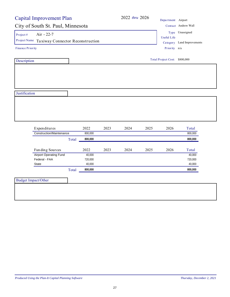|                                               | <b>Capital Improvement Plan</b> |         |      |      |      | Department Airport            |                            |  |
|-----------------------------------------------|---------------------------------|---------|------|------|------|-------------------------------|----------------------------|--|
| City of South St. Paul, Minnesota             |                                 |         |      |      |      |                               | Contact Andrew Wall        |  |
| Air - 22-7<br>Project #                       |                                 |         |      |      |      |                               | Type Unassigned            |  |
| Project Name Taxiway Connector Reconstruction |                                 |         |      |      |      | <b>Useful Life</b>            |                            |  |
|                                               |                                 |         |      |      |      |                               | Category Land Improvements |  |
| <b>Finance Priority</b>                       |                                 |         |      |      |      | Priority n/a                  |                            |  |
| Description                                   |                                 |         |      |      |      | Total Project Cost: \$800,000 |                            |  |
|                                               |                                 |         |      |      |      |                               |                            |  |
|                                               |                                 |         |      |      |      |                               |                            |  |
|                                               |                                 |         |      |      |      |                               |                            |  |
| Justification                                 |                                 |         |      |      |      |                               |                            |  |
|                                               |                                 |         |      |      |      |                               |                            |  |
|                                               |                                 |         |      |      |      |                               |                            |  |
|                                               |                                 |         |      |      |      |                               |                            |  |
|                                               |                                 |         |      |      |      |                               |                            |  |
|                                               |                                 |         |      |      |      |                               |                            |  |
|                                               |                                 |         |      |      |      |                               |                            |  |
|                                               |                                 |         |      |      |      |                               |                            |  |
| Expenditures                                  |                                 | 2022    | 2023 | 2024 | 2025 | 2026                          | Total                      |  |
| <b>Construction/Maintenance</b>               |                                 | 800,000 |      |      |      |                               | 800,000                    |  |
|                                               | Total                           | 800,000 |      |      |      |                               | 800,000                    |  |
| Funding Sources                               |                                 | 2022    | 2023 | 2024 | 2025 | 2026                          | Total                      |  |
| <b>Airport Operating Fund</b>                 |                                 | 40,000  |      |      |      |                               | 40,000                     |  |
| Federal - FAA                                 |                                 | 720,000 |      |      |      |                               | 720,000                    |  |
| <b>State</b>                                  |                                 | 40,000  |      |      |      |                               | 40,000                     |  |
|                                               |                                 | 800,000 |      |      |      |                               | 800,000                    |  |
|                                               | Total                           |         |      |      |      |                               |                            |  |
| <b>Budget Impact/Other</b>                    |                                 |         |      |      |      |                               |                            |  |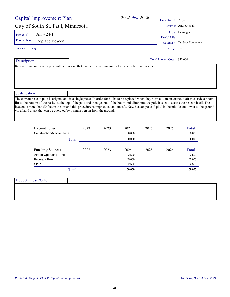| Capital Improvement Plan                                                                              | 2022 thru 2026 | Department Airport         |                     |
|-------------------------------------------------------------------------------------------------------|----------------|----------------------------|---------------------|
| City of South St. Paul, Minnesota                                                                     |                |                            | Contact Andrew Wall |
| $Air - 24-1$<br>Project#                                                                              |                | Type                       | Unassigned          |
|                                                                                                       |                | Useful Life                |                     |
| Project Name Replace Beacon                                                                           |                | Category                   | Outdoor Equipment   |
| Finance Priority                                                                                      |                | Priority n/a               |                     |
| Description                                                                                           |                | <b>Total Project Cost:</b> | \$50,000            |
| Replace existing beacon pole with a new one that can be lowered manually for beacon bulb replacement. |                |                            |                     |
|                                                                                                       |                |                            |                     |
|                                                                                                       |                |                            |                     |

### **Justification**

The current beacon pole is original and is a single piece. In order for bulbs to be replaced when they burn out, maintenance staff must ride a boom lift to the bottom of the basket at the top of the pole and then get out of the boom and climb into the pole basket to access the beacon itself. The beacon is more than 50 feet in the air and this procedure is impractical and unsafe. New beacon poles "split" in the middle and lower to the ground via a hand crank that can be operated by a single person from the ground.

| Expenditures                  |       | 2022 | 2023 | 2024   | 2025 | 2026 | Total  |
|-------------------------------|-------|------|------|--------|------|------|--------|
| Construction/Maintenance      |       |      |      | 50.000 |      |      | 50,000 |
|                               | Total |      |      | 50.000 |      |      | 50,000 |
| Funding Sources               |       | 2022 | 2023 | 2024   | 2025 | 2026 | Total  |
| <b>Airport Operating Fund</b> |       |      |      | 2.500  |      |      | 2,500  |
| Federal - FAA                 |       |      |      | 45,000 |      |      | 45,000 |
| State                         |       |      |      | 2,500  |      |      | 2,500  |
|                               | Total |      |      | 50.000 |      |      | 50,000 |

| Budget Impact/Other |  |
|---------------------|--|
|                     |  |
|                     |  |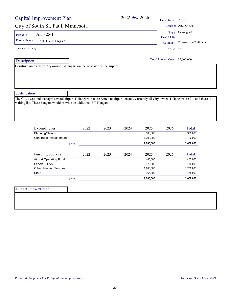| <b>Capital Improvement Plan</b>                                                                                                                                                                                                                          |       |      |      |      | 2022 thru 2026 | Department Airport              |                        |
|----------------------------------------------------------------------------------------------------------------------------------------------------------------------------------------------------------------------------------------------------------|-------|------|------|------|----------------|---------------------------------|------------------------|
| City of South St. Paul, Minnesota                                                                                                                                                                                                                        |       |      |      |      |                |                                 | Contact Andrew Wall    |
| Air - 25-1<br>Project#                                                                                                                                                                                                                                   |       |      |      |      |                |                                 | Type Unassigned        |
| Project Name Unit T - Hangar                                                                                                                                                                                                                             |       |      |      |      |                | <b>Useful Life</b>              |                        |
| <b>Finance Priority</b>                                                                                                                                                                                                                                  |       |      |      |      |                | Category<br>Priority n/a        | Construction/Buildings |
|                                                                                                                                                                                                                                                          |       |      |      |      |                |                                 |                        |
| Description                                                                                                                                                                                                                                              |       |      |      |      |                | Total Project Cost: \$2,000,000 |                        |
| Construct nre bank of City owned T-Hangars on the west side of the airport.                                                                                                                                                                              |       |      |      |      |                |                                 |                        |
|                                                                                                                                                                                                                                                          |       |      |      |      |                |                                 |                        |
|                                                                                                                                                                                                                                                          |       |      |      |      |                |                                 |                        |
|                                                                                                                                                                                                                                                          |       |      |      |      |                |                                 |                        |
| Justification                                                                                                                                                                                                                                            |       |      |      |      |                |                                 |                        |
|                                                                                                                                                                                                                                                          |       |      |      |      |                |                                 |                        |
|                                                                                                                                                                                                                                                          |       |      |      |      |                |                                 |                        |
|                                                                                                                                                                                                                                                          |       |      |      |      |                |                                 |                        |
| Expenditures                                                                                                                                                                                                                                             |       | 2022 | 2023 | 2024 | 2025           | 2026                            | Total                  |
| Planning/Design                                                                                                                                                                                                                                          |       |      |      |      | 300,000        |                                 | 300,000                |
| Construction/Maintenance                                                                                                                                                                                                                                 |       |      |      |      | 1,700,000      |                                 | 1,700,000              |
|                                                                                                                                                                                                                                                          | Total |      |      |      | 2,000,000      |                                 | 2,000,000              |
| Funding Sources                                                                                                                                                                                                                                          |       | 2022 | 2023 | 2024 | 2025           | 2026                            | Total                  |
| <b>Airport Operating Fund</b>                                                                                                                                                                                                                            |       |      |      |      | 465,000        |                                 | 465,000                |
| Federal - FAA                                                                                                                                                                                                                                            |       |      |      |      | 170,000        |                                 | 170,000                |
| <b>Other Funding Sources</b>                                                                                                                                                                                                                             |       |      |      |      | 1,200,000      |                                 | 1,200,000              |
| State                                                                                                                                                                                                                                                    |       |      |      |      | 165,000        |                                 | 165,000                |
|                                                                                                                                                                                                                                                          | Total |      |      |      | 2,000,000      |                                 | 2,000,000              |
| The City owns and manages several airport T-Hangars that are rented to airport tenants. Currently all City owned T-Hangars are full and there is a<br>waiting list. These hangars would provide an additional 8 T-Hangars.<br><b>Budget Impact/Other</b> |       |      |      |      |                |                                 |                        |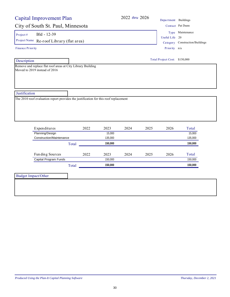# 2022 *thru* 2026 Department Buildings

### City of South St. Paul, Minnesota Contact Pat Dunnesota

Project # Bld - 12-39

Project Name Re-roof Library (flat area) Category Construction/Buildings

Finance Priority

Description

Remove and replace flat roof areas at City Library Building Moved to 2019 instead of 2016

| ontact Pat Dunn  |
|------------------|
| Type Maintenance |

Useful Life 20

Priority n/a

Total Project Cost: \$150,000

**Justification** 

The 2010 roof evaluation report provides the justification for this roof replacement

| Expenditures             | 2022 | 2023    | 2024 | 2025 | 2026 | Total   |
|--------------------------|------|---------|------|------|------|---------|
| Planning/Design          |      | 15.000  |      |      |      | 15,000  |
| Construction/Maintenance |      | 135,000 |      |      |      | 135,000 |
| Total                    |      | 150.000 |      |      |      | 150,000 |
| Funding Sources          | 2022 | 2023    | 2024 | 2025 | 2026 | Total   |
| Capital Program Funds    |      | 150,000 |      |      |      | 150,000 |
| Total                    |      | 150.000 |      |      |      | 150.000 |

Budget Impact/Other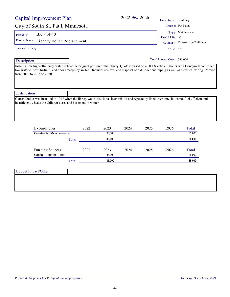# City of South St. Paul, Minnesota

Project #  $Bld - 14-40$ 

Project Name Library Boiler Replacement Category Construction/Buildings

### Finance Priority

Description

Install a new high-efficiency boiler to heat the original portion of the library. Quote is based on a 80.1% efficient boiler with Honeywell controller, low water cut-off, hi-limit, and door emergency switch. Includes removal and disposal of old boiler and piping as well as electrical wiring. Moved from 2016 to 2018 to 2020

### **Justification**

Current boiler was installed in 1927 when the library was built. It has been rebuilt and repeatedly fixed over time, but is not fuel efficient and insufficiently heats the children's area and basement in winter

| Expenditures             |       | 2022 | 2023   | 2024 | 2025 | 2026 | Total  |
|--------------------------|-------|------|--------|------|------|------|--------|
| Construction/Maintenance |       |      | 35,000 |      |      |      | 35,000 |
|                          | Total |      | 35.000 |      |      |      | 35,000 |
| Funding Sources          |       | 2022 | 2023   | 2024 | 2025 | 2026 | Total  |
| Capital Program Funds    |       |      | 35,000 |      |      |      | 35,000 |
|                          | Total |      | 35,000 |      |      |      | 35.000 |

Budget Impact/Other

| 2022 thru 2026 |                      |                               |
|----------------|----------------------|-------------------------------|
|                | Department Buildings |                               |
|                |                      | Contact Pat Dunn              |
|                |                      | Type Maintenance              |
|                | Useful Life 30       |                               |
|                |                      | Category Construction/Buildin |
|                | Priority n/a         |                               |

Total Project Cost: \$35,000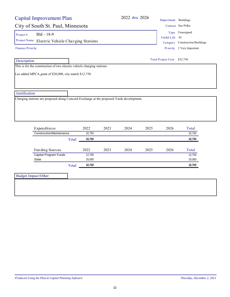# City of South St. Paul, Minnesota Contact Sue Polka

Project #  $Bld - 18-9$ 

Project Name Electric Vehicle Charging Stations Category Construction/Buildings

Finance Priority

 Description This is for the construction of two electric vehicle charging stations.

Lee added MPCA grant of \$20,000, city match \$12,750

**Justification** 

Charging stations are proposed along Concord Exchange at the proposed Yards development.

| Expenditures             | 2022   | 2023 | 2024 | 2025 | 2026 | Total  |
|--------------------------|--------|------|------|------|------|--------|
| Construction/Maintenance | 32.750 |      |      |      |      | 32,750 |
| Total                    | 32,750 |      |      |      |      | 32,750 |
|                          |        |      |      |      |      |        |
| Funding Sources          | 2022   | 2023 | 2024 | 2025 | 2026 | Total  |
| Capital Program Funds    | 12,750 |      |      |      |      | 12,750 |
| State                    | 20,000 |      |      |      |      | 20,000 |
|                          | 32,750 |      |      |      |      | 32,750 |

32

Useful Life 30 Type Unassigned

Priority 2 Very Important

Total Project Cost: \$32,750

2022 *thru* 2026 Department Buildings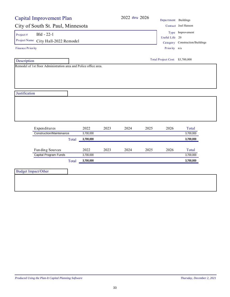| <b>Capital Improvement Plan</b>                                  |           |      | 2022 thru 2026 |      | Department Buildings            |                                                     |  |
|------------------------------------------------------------------|-----------|------|----------------|------|---------------------------------|-----------------------------------------------------|--|
| City of South St. Paul, Minnesota                                |           |      |                |      |                                 | Contact Joel Hanson                                 |  |
| Bld - 22-1<br>Project $#$<br>Project Name City Hall-2022 Remodel |           |      |                |      | Useful Life 20                  | Type Improvement<br>Category Construction/Buildings |  |
| Finance Priority                                                 |           |      |                |      | Priority n/a                    |                                                     |  |
| Description                                                      |           |      |                |      | Total Project Cost: \$3,700,000 |                                                     |  |
| Remodel of 1st floor Administration area and Police office area. |           |      |                |      |                                 |                                                     |  |
|                                                                  |           |      |                |      |                                 |                                                     |  |
|                                                                  |           |      |                |      |                                 |                                                     |  |
|                                                                  |           |      |                |      |                                 |                                                     |  |
|                                                                  |           |      |                |      |                                 |                                                     |  |
| Justification                                                    |           |      |                |      |                                 |                                                     |  |
|                                                                  |           |      |                |      |                                 |                                                     |  |
|                                                                  |           |      |                |      |                                 |                                                     |  |
|                                                                  |           |      |                |      |                                 |                                                     |  |
| Expenditures                                                     | 2022      | 2023 | 2024           | 2025 | 2026                            | Total                                               |  |
| <b>Construction/Maintenance</b>                                  | 3,700,000 |      |                |      |                                 | 3,700,000                                           |  |
| Total                                                            | 3,700,000 |      |                |      |                                 | 3,700,000                                           |  |
| Funding Sources                                                  | 2022      | 2023 | 2024           | 2025 | 2026                            | Total                                               |  |
| Capital Program Funds                                            | 3,700,000 |      |                |      |                                 | 3,700,000                                           |  |
| Total                                                            | 3,700,000 |      |                |      |                                 | 3,700,000                                           |  |
|                                                                  |           |      |                |      |                                 |                                                     |  |
| <b>Budget Impact/Other</b>                                       |           |      |                |      |                                 |                                                     |  |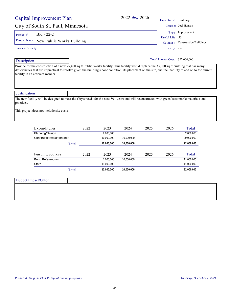| Produced Using the Plan-It Capital Planning Software | Thursday, December 2, 2021 |
|------------------------------------------------------|----------------------------|
|                                                      |                            |

# City of South St. Paul, Minnesota Contact Joel Hanson

Project #  $Bld - 22-2$ 

Project Name New Public Works Building Category Construction/Buildings

Description

Provide for the construction of a new 75,400 sq ft Public Works facility. This facility would replace the 33,000 sq ft building that has many deficiencues that are impractical to resolve given the building's poor condition, its placement on the site, and the inability to add on to the current facility in an efficient manner.

**Justification** 

The new facility will be designed to meet the City's needs for the next 50+ years and will beconstructed with green/sustainable materials and practices.

This project does not include site costs.

| Expenditures             | 2022 | 2023       | 2024       | 2025 | 2026 | Total      |
|--------------------------|------|------------|------------|------|------|------------|
| Planning/Design          |      | 2,000,000  |            |      |      | 2,000,000  |
| Construction/Maintenance |      | 10,000,000 | 10.000.000 |      |      | 20,000,000 |
| Total                    |      | 12,000,000 | 10,000,000 |      |      | 22,000,000 |
|                          |      |            |            |      |      |            |
| Funding Sources          | 2022 | 2023       | 2024       | 2025 | 2026 | Total      |
| <b>Bond Referendum</b>   |      | 1.000.000  | 10.000.000 |      |      | 11,000,000 |
| State                    |      | 11,000,000 |            |      |      | 11,000,000 |
| Total                    |      | 12,000,000 | 10.000.000 |      |      | 22,000,000 |

| Budget Impact/Other |  |
|---------------------|--|
|                     |  |
|                     |  |
|                     |  |

2022 *thru* 2026 Department Buildings

Priority n/a Useful Life 50 Type Improvement

Total Project Cost: \$22,000,000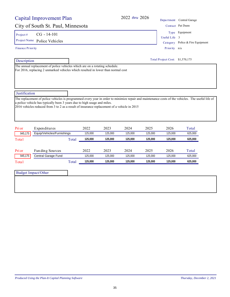| Contact Pat Dunn                                                                                                                                  |                                                                             |
|---------------------------------------------------------------------------------------------------------------------------------------------------|-----------------------------------------------------------------------------|
|                                                                                                                                                   | City of South St. Paul, Minnesota                                           |
| Type Equipment                                                                                                                                    | $CG - 14 - 101$                                                             |
| Useful Life<br>3                                                                                                                                  | Project Name<br>Police Vehicles                                             |
| Police & Fire Equipment<br>Category                                                                                                               |                                                                             |
| Priority n/a                                                                                                                                      | <b>Finance Priority</b>                                                     |
| <b>Total Project Cost:</b><br>\$1,570,175                                                                                                         | Description                                                                 |
|                                                                                                                                                   | Justification                                                               |
| The replacement of police vehicles is programmed every year in order to minimize repair and maintenance costs of the vehicles. The useful life of | a police vehicle has typically been 3 years due to high usage and miles.    |
| 2016 vehicles reduced from 3 to 2 as a result of insurance replacement of a vehicle in 2015                                                       |                                                                             |
| 2022<br>2023<br>2024<br>2025<br>2026<br>Total                                                                                                     | Expenditures                                                                |
| 625,000<br>125,000<br>125,000<br>125,000<br>125,000<br>125,000                                                                                    | Equip/Vehicles/Furnishings<br>945,175                                       |
| For 2016, replacing 2 unmarked vehicles which resulted in lower than normal cost                                                                  | The annual replacement of police vehicles which are on a rotating schedule. |

| Pri or  | Funding Sources     |       | 2022    | 2023   | 2024    | 2025   | 2026    | $\tau_{\text{otai}}$ |
|---------|---------------------|-------|---------|--------|---------|--------|---------|----------------------|
| 945,175 | Central Garage Fund |       | 125,000 | 25.000 | 125,000 | 25,000 | 125,000 | 625,000              |
| Total   |                     | Total | 125.000 | 25.000 | 125.000 | 25,000 | 125.000 | 625.000              |

| <b>Budget Impact/Other</b> |  |
|----------------------------|--|
|                            |  |
|                            |  |
|                            |  |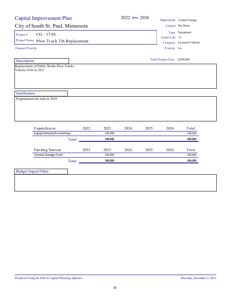| <b>Capital Improvement Plan</b>                                                                                  |       |      |         | 2022 thru 2026 |      |                               | Department Central Garage  |
|------------------------------------------------------------------------------------------------------------------|-------|------|---------|----------------|------|-------------------------------|----------------------------|
| City of South St. Paul, Minnesota                                                                                |       |      |         |                |      |                               | Contact Pat Dunn           |
| $CG - 17-03$<br>Project #                                                                                        |       |      |         |                |      | Useful Life 15                | Type Equipment             |
| Project Name Plow Truck 336 Replacement                                                                          |       |      |         |                |      |                               | Category Licensed Vehicles |
| <b>Finance Priority</b>                                                                                          |       |      |         |                |      | Priority n/a                  |                            |
| Description                                                                                                      |       |      |         |                |      | Total Project Cost: \$240,000 |                            |
| Replacement of Public Works Plow Trucks<br>Vehicle #336 in 2021<br>Justification<br>Programmed life ends in 2019 |       |      |         |                |      |                               |                            |
| Expenditures                                                                                                     |       | 2022 | 2023    | 2024           | 2025 | 2026                          | Total                      |
| Equip/Vehicles/Furnishings                                                                                       |       |      | 240,000 |                |      |                               | 240,000                    |
|                                                                                                                  | Total |      | 240,000 |                |      |                               | 240,000                    |
| Funding Sources                                                                                                  |       | 2022 | 2023    | 2024           | 2025 | 2026                          | Total                      |
| Central Garage Fund                                                                                              |       |      | 240,000 |                |      |                               | 240,000                    |
|                                                                                                                  | Total |      | 240,000 |                |      |                               | 240,000                    |
| <b>Budget Impact/Other</b>                                                                                       |       |      |         |                |      |                               |                            |
|                                                                                                                  |       |      |         |                |      |                               |                            |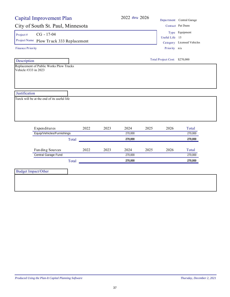| <b>Capital Improvement Plan</b>                                                                |       |      | 2022 thru 2026 |      |                                | Department Central Garage                    |
|------------------------------------------------------------------------------------------------|-------|------|----------------|------|--------------------------------|----------------------------------------------|
| City of South St. Paul, Minnesota                                                              |       |      |                |      |                                | Contact Pat Dunn                             |
| $CG - 17-04$<br>Project#<br>Project Name Plow Truck 333 Replacement<br><b>Finance Priority</b> |       |      |                |      | Useful Life 15<br>Priority n/a | Type Equipment<br>Category Licensed Vehicles |
| Description                                                                                    |       |      |                |      | Total Project Cost: \$270,000  |                                              |
| Replacement of Public Works Plow Trucks<br>Vehicle #333 in 2023                                |       |      |                |      |                                |                                              |
|                                                                                                |       |      |                |      |                                |                                              |
| Justification                                                                                  |       |      |                |      |                                |                                              |
|                                                                                                |       |      |                |      |                                |                                              |
| Expenditures                                                                                   | 2022  | 2023 | 2024           | 2025 | 2026                           | Total                                        |
| Equip/Vehicles/Furnishings                                                                     |       |      | 270,000        |      |                                | 270,000                                      |
|                                                                                                | Total |      | 270,000        |      |                                | 270,000                                      |
| Fun ding Sources                                                                               | 2022  | 2023 | 2024           | 2025 | 2026                           | Total                                        |
| Central Garage Fund                                                                            |       |      | 270,000        |      |                                | 270,000                                      |
|                                                                                                | Total |      | 270,000        |      |                                | 270,000                                      |
| <b>Budget Impact/Other</b>                                                                     |       |      |                |      |                                |                                              |
|                                                                                                |       |      |                |      |                                |                                              |
|                                                                                                |       |      |                |      |                                |                                              |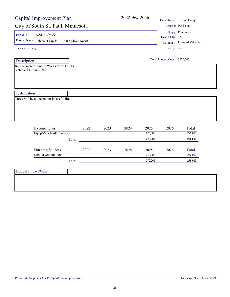| <b>Capital Improvement Plan</b>                                                                |       |      |      | 2022 thru 2026 |         |                                | Department Central Garage                    |
|------------------------------------------------------------------------------------------------|-------|------|------|----------------|---------|--------------------------------|----------------------------------------------|
| City of South St. Paul, Minnesota                                                              |       |      |      |                |         |                                | Contact Pat Dunn                             |
| $CG - 17-05$<br>Project#<br>Project Name Plow Truck 339 Replacement<br><b>Finance Priority</b> |       |      |      |                |         | Useful Life 15<br>Priority n/a | Type Equipment<br>Category Licensed Vehicles |
| Description                                                                                    |       |      |      |                |         | Total Project Cost: \$270,000  |                                              |
| Replacement of Public Works Plow Trucks<br>Vehicle #339 in 2024                                |       |      |      |                |         |                                |                                              |
|                                                                                                |       |      |      |                |         |                                |                                              |
| Justification                                                                                  |       |      |      |                |         |                                |                                              |
| Turck will be at the end of its useful life                                                    |       |      |      |                |         |                                |                                              |
| Expenditures                                                                                   |       | 2022 | 2023 | 2024           | 2025    | 2026                           | Total                                        |
| Equip/Vehicles/Furnishings                                                                     |       |      |      |                | 270,000 |                                | 270,000                                      |
|                                                                                                | Total |      |      |                | 270,000 |                                | 270,000                                      |
| Fun ding Sources                                                                               |       | 2022 | 2023 | 2024           | 2025    | 2026                           | Total                                        |
| Central Garage Fund                                                                            |       |      |      |                | 270,000 |                                | 270,000                                      |
|                                                                                                | Total |      |      |                | 270,000 |                                | 270,000                                      |
| <b>Budget Impact/Other</b>                                                                     |       |      |      |                |         |                                |                                              |
|                                                                                                |       |      |      |                |         |                                |                                              |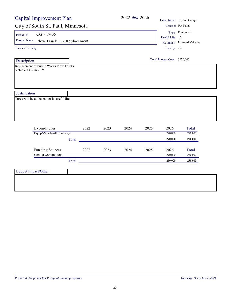|                         | <b>Capital Improvement Plan</b>                         |       |      |      | 2022 thru 2026 |      |                               | Department Central Garage                    |
|-------------------------|---------------------------------------------------------|-------|------|------|----------------|------|-------------------------------|----------------------------------------------|
|                         | City of South St. Paul, Minnesota                       |       |      |      |                |      |                               | Contact Pat Dunn                             |
| Project#                | $CG - 17-06$<br>Project Name Plow Truck 332 Replacement |       |      |      |                |      | Useful Life 15                | Type Equipment<br>Category Licensed Vehicles |
| <b>Finance Priority</b> |                                                         |       |      |      |                |      | Priority n/a                  |                                              |
| Description             |                                                         |       |      |      |                |      | Total Project Cost: \$270,000 |                                              |
| Vehicle #332 in 2025    | Replacement of Public Works Plow Trucks                 |       |      |      |                |      |                               |                                              |
| Justification           | Turck will be at the end of its useful life             |       |      |      |                |      |                               |                                              |
|                         | Expenditures                                            |       | 2022 | 2023 | 2024           | 2025 | 2026                          | Total                                        |
|                         | Equip/Vehicles/Furnishings                              |       |      |      |                |      | 270,000                       | 270,000                                      |
|                         |                                                         | Total |      |      |                |      | 270,000                       | 270,000                                      |
|                         | Funding Sources                                         |       | 2022 | 2023 | 2024           | 2025 | 2026                          | Total                                        |
|                         | Central Garage Fund                                     |       |      |      |                |      | 270,000                       | 270,000                                      |
|                         |                                                         | Total |      |      |                |      | 270,000                       | 270,000                                      |
|                         | <b>Budget Impact/Other</b>                              |       |      |      |                |      |                               |                                              |
|                         |                                                         |       |      |      |                |      |                               |                                              |
|                         |                                                         |       |      |      |                |      |                               |                                              |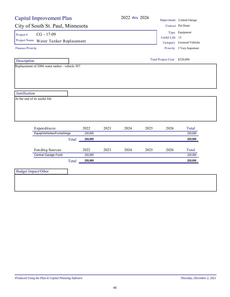| <b>Capital Improvement Plan</b>                |       |                 |      | 2022 thru 2026 |      |                               | Department Central Garage  |
|------------------------------------------------|-------|-----------------|------|----------------|------|-------------------------------|----------------------------|
| City of South St. Paul, Minnesota              |       |                 |      |                |      |                               | Contact Pat Dunn           |
| $CG - 17-09$<br>Project#                       |       |                 |      |                |      | Useful Life 15                | Type Equipment             |
| Project Name Water Tanker Replacement          |       |                 |      |                |      |                               | Category Licensed Vehicles |
| <b>Finance Priority</b>                        |       |                 |      |                |      |                               | Priority 2 Very Important  |
| Description                                    |       |                 |      |                |      | Total Project Cost: \$220,000 |                            |
| Replacement of 2006 water tanker - vehicle 307 |       |                 |      |                |      |                               |                            |
|                                                |       |                 |      |                |      |                               |                            |
|                                                |       |                 |      |                |      |                               |                            |
|                                                |       |                 |      |                |      |                               |                            |
|                                                |       |                 |      |                |      |                               |                            |
| Justification                                  |       |                 |      |                |      |                               |                            |
| At the end of its useful life                  |       |                 |      |                |      |                               |                            |
|                                                |       |                 |      |                |      |                               |                            |
|                                                |       |                 |      |                |      |                               |                            |
|                                                |       |                 |      |                |      |                               |                            |
| Expenditures                                   |       | 2022            | 2023 | 2024           | 2025 | 2026                          | Total                      |
| Equip/Vehicles/Furnishings                     |       | 220,000         |      |                |      |                               | 220,000                    |
|                                                | Total | 220,000         |      |                |      |                               |                            |
|                                                |       |                 |      |                |      |                               |                            |
|                                                |       |                 |      |                |      |                               | 220,000                    |
|                                                |       |                 |      |                |      |                               |                            |
| Funding Sources<br>Central Garage Fund         |       | 2022<br>220,000 | 2023 | 2024           | 2025 | 2026                          | Total<br>220,000           |
|                                                | Total | 220,000         |      |                |      |                               | 220,000                    |
|                                                |       |                 |      |                |      |                               |                            |
| <b>Budget Impact/Other</b>                     |       |                 |      |                |      |                               |                            |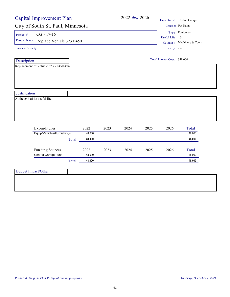| <b>Capital Improvement Plan</b>                                    |                 |      | 2022 thru 2026 |      |                              | Department Central Garage                    |
|--------------------------------------------------------------------|-----------------|------|----------------|------|------------------------------|----------------------------------------------|
| City of South St. Paul, Minnesota                                  |                 |      |                |      |                              | Contact Pat Dunn                             |
| $CG - 17-16$<br>Project #<br>Project Name Replace Vehicle 323 F450 |                 |      |                |      | Useful Life 10               | Type Equipment<br>Category Machinery & Tools |
| <b>Finance Priority</b>                                            |                 |      |                |      | Priority n/a                 |                                              |
| Description                                                        |                 |      |                |      | Total Project Cost: \$48,000 |                                              |
| Replacement of Vehicle 323 - F450 4x4                              |                 |      |                |      |                              |                                              |
|                                                                    |                 |      |                |      |                              |                                              |
|                                                                    |                 |      |                |      |                              |                                              |
|                                                                    |                 |      |                |      |                              |                                              |
|                                                                    |                 |      |                |      |                              |                                              |
|                                                                    |                 |      |                |      |                              |                                              |
| Justification                                                      |                 |      |                |      |                              |                                              |
| At the end of its useful life.                                     |                 |      |                |      |                              |                                              |
|                                                                    |                 |      |                |      |                              |                                              |
|                                                                    |                 |      |                |      |                              |                                              |
|                                                                    |                 |      |                |      |                              |                                              |
| Expenditures                                                       | 2022            | 2023 | 2024           | 2025 | 2026                         | Total                                        |
| Equip/Vehicles/Furnishings                                         | 48,000          |      |                |      |                              | 48,000                                       |
|                                                                    | 48,000<br>Total |      |                |      |                              | 48,000                                       |
|                                                                    |                 |      |                |      |                              |                                              |
| Fun ding Sources                                                   | 2022            | 2023 | 2024           | 2025 | 2026                         | Total                                        |
| Central Garage Fund                                                | 48,000          |      |                |      |                              | 48,000                                       |
|                                                                    | 48,000<br>Total |      |                |      |                              | 48,000                                       |
|                                                                    |                 |      |                |      |                              |                                              |
| <b>Budget Impact/Other</b>                                         |                 |      |                |      |                              |                                              |
|                                                                    |                 |      |                |      |                              |                                              |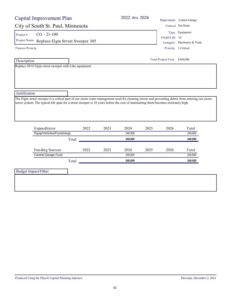| Capital Improvement Plan                                                                                                                                                                                                                                                                               |       |      | 2022 thru 2026 |      |                               | Department Central Garage  |
|--------------------------------------------------------------------------------------------------------------------------------------------------------------------------------------------------------------------------------------------------------------------------------------------------------|-------|------|----------------|------|-------------------------------|----------------------------|
| City of South St. Paul, Minnesota                                                                                                                                                                                                                                                                      |       |      |                |      |                               | Contact Pat Dunn           |
| $CG - 21 - 100$<br>Project#                                                                                                                                                                                                                                                                            |       |      |                |      |                               | Type Equipment             |
| Project Name Replace Elgin Street Sweeper 305                                                                                                                                                                                                                                                          |       |      |                |      | Useful Life                   | 10                         |
|                                                                                                                                                                                                                                                                                                        |       |      |                |      |                               | Category Machinery & Tools |
| <b>Finance Priority</b>                                                                                                                                                                                                                                                                                |       |      |                |      |                               | Priority 1 Critical        |
| Description                                                                                                                                                                                                                                                                                            |       |      |                |      | Total Project Cost: \$240,000 |                            |
| Replace 2014 Elgin street sweeper with Like equipment                                                                                                                                                                                                                                                  |       |      |                |      |                               |                            |
| Justification<br>The Elgin street sweeper is a critical part of our storm water management used for cleaning streets and preventing debris from entering our storm<br>sewer system. The typical life span for a street sweeper is 10 years before the cost of maintaining them becomes extremely high. |       |      |                |      |                               |                            |
|                                                                                                                                                                                                                                                                                                        |       |      |                |      |                               |                            |
| Expenditures                                                                                                                                                                                                                                                                                           | 2022  | 2023 | 2024           | 2025 | 2026                          | Total                      |
| Equip/Vehicles/Furnishings                                                                                                                                                                                                                                                                             |       |      | 240,000        |      |                               | 240,000                    |
|                                                                                                                                                                                                                                                                                                        | Total |      | 240,000        |      |                               | 240,000                    |
| Fun ding Sources                                                                                                                                                                                                                                                                                       | 2022  | 2023 | 2024           | 2025 | 2026                          | Total                      |
| Central Garage Fund                                                                                                                                                                                                                                                                                    |       |      | 240,000        |      |                               | 240,000                    |
|                                                                                                                                                                                                                                                                                                        | Total |      | 240,000        |      |                               | 240,000                    |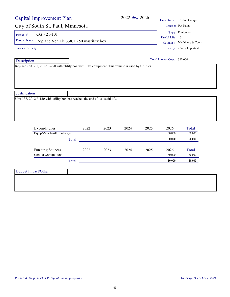|                         | Capital Improvement Plan                                                                              |       |      |      |      |      | Department Central Garage    |                            |
|-------------------------|-------------------------------------------------------------------------------------------------------|-------|------|------|------|------|------------------------------|----------------------------|
|                         | City of South St. Paul, Minnesota                                                                     |       |      |      |      |      |                              | Contact Pat Dunn           |
| Project#                | $CG - 21 - 101$                                                                                       |       |      |      |      |      |                              | Type Equipment             |
|                         |                                                                                                       |       |      |      |      |      | Useful Life 10               |                            |
|                         | Project Name Replace Vehicle 338, F250 w/utility box                                                  |       |      |      |      |      |                              | Category Machinery & Tools |
| <b>Finance Priority</b> |                                                                                                       |       |      |      |      |      |                              | Priority 2 Very Important  |
| Description             |                                                                                                       |       |      |      |      |      | Total Project Cost: \$60,000 |                            |
|                         | Replace unit 338, 2012 F-250 with utility box with Like equipment. This vehicle is used by Utilities. |       |      |      |      |      |                              |                            |
|                         |                                                                                                       |       |      |      |      |      |                              |                            |
|                         |                                                                                                       |       |      |      |      |      |                              |                            |
|                         |                                                                                                       |       |      |      |      |      |                              |                            |
|                         |                                                                                                       |       |      |      |      |      |                              |                            |
|                         | Unit 338, $20\overline{12}$ F-150 with utility box has reached the end of its useful life.            |       |      |      |      |      |                              |                            |
|                         | Expenditures                                                                                          |       | 2022 | 2023 | 2024 | 2025 | 2026                         | Total                      |
|                         | Equip/Vehicles/Furnishings                                                                            |       |      |      |      |      | 60,000                       | 60,000                     |
|                         |                                                                                                       | Total |      |      |      |      | 60,000                       | 60,000                     |
|                         | Fun ding Sources                                                                                      |       | 2022 | 2023 | 2024 | 2025 | 2026                         | Total                      |
|                         | Central Garage Fund                                                                                   |       |      |      |      |      | 60,000                       | 60,000                     |
|                         |                                                                                                       | Total |      |      |      |      | 60,000                       | 60,000                     |
| Justification           | <b>Budget Impact/Other</b>                                                                            |       |      |      |      |      |                              |                            |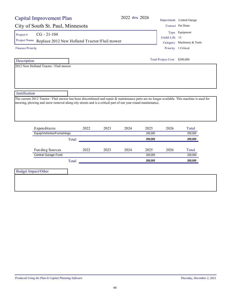| <b>Capital Improvement Plan</b>                                                                                                               |       |      |      | 2022 thru 2026 |                               | Department Central Garage  |  |
|-----------------------------------------------------------------------------------------------------------------------------------------------|-------|------|------|----------------|-------------------------------|----------------------------|--|
| City of South St. Paul, Minnesota                                                                                                             |       |      |      |                |                               | Contact Pat Dunn           |  |
| $CG - 21 - 104$<br>Project#                                                                                                                   |       |      |      |                |                               | Type Equipment             |  |
| Project Name Replace 2012 New Holland Tractor/Flail mower                                                                                     |       |      |      |                | Useful Life 15                |                            |  |
|                                                                                                                                               |       |      |      |                |                               | Category Machinery & Tools |  |
| <b>Finance Priority</b>                                                                                                                       |       |      |      |                |                               | Priority 1 Critical        |  |
| Description                                                                                                                                   |       |      |      |                | Total Project Cost: \$200,000 |                            |  |
| 2012 New Holland Tractor / Flail mower                                                                                                        |       |      |      |                |                               |                            |  |
|                                                                                                                                               |       |      |      |                |                               |                            |  |
|                                                                                                                                               |       |      |      |                |                               |                            |  |
|                                                                                                                                               |       |      |      |                |                               |                            |  |
|                                                                                                                                               |       |      |      |                |                               |                            |  |
|                                                                                                                                               |       |      |      |                |                               |                            |  |
|                                                                                                                                               |       |      |      |                |                               |                            |  |
| Justification                                                                                                                                 |       |      |      |                |                               |                            |  |
| The current 2012 Tractor / Flail mower has been discontinued and repair & maintenance parts are no longer available. This machine is used for |       |      |      |                |                               |                            |  |
| mowing, plowing and snow removal along city streets and is a critical part of our year round maintenance.                                     |       |      |      |                |                               |                            |  |
|                                                                                                                                               |       |      |      |                |                               |                            |  |
|                                                                                                                                               |       |      |      |                |                               |                            |  |
|                                                                                                                                               |       |      |      |                |                               |                            |  |
| Expenditures                                                                                                                                  | 2022  | 2023 | 2024 | 2025           | 2026                          | Total                      |  |
| Equip/Vehicles/Furnishings                                                                                                                    |       |      |      | 200,000        |                               | 200,000                    |  |
|                                                                                                                                               | Total |      |      | 200,000        |                               | 200,000                    |  |
|                                                                                                                                               |       |      |      |                |                               |                            |  |
| Fun ding Sources                                                                                                                              | 2022  | 2023 | 2024 | 2025           | 2026                          | Total                      |  |
| Central Garage Fund                                                                                                                           |       |      |      | 200,000        |                               | 200,000<br>200,000         |  |
|                                                                                                                                               | Total |      |      | 200,000        |                               |                            |  |
| <b>Budget Impact/Other</b>                                                                                                                    |       |      |      |                |                               |                            |  |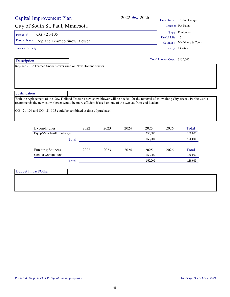| Capital Improvement Plan                                                                                                                                                                                                                             |       |                | 2022 thru 2026                               |         |                               | Department Central Garage |
|------------------------------------------------------------------------------------------------------------------------------------------------------------------------------------------------------------------------------------------------------|-------|----------------|----------------------------------------------|---------|-------------------------------|---------------------------|
| City of South St. Paul, Minnesota                                                                                                                                                                                                                    |       |                |                                              |         |                               | Contact Pat Dunn          |
| $CG - 21 - 105$<br>Project#<br>Project Name Replace Teamco Snow Blower                                                                                                                                                                               |       | Useful Life 15 | Type Equipment<br>Category Machinery & Tools |         |                               |                           |
| Finance Priority                                                                                                                                                                                                                                     |       |                | Priority 1 Critical                          |         |                               |                           |
| Description                                                                                                                                                                                                                                          |       |                |                                              |         | Total Project Cost: \$150,000 |                           |
| Replace 2012 Teamco Snow blower used on New Holland tractor.                                                                                                                                                                                         |       |                |                                              |         |                               |                           |
|                                                                                                                                                                                                                                                      |       |                |                                              |         |                               |                           |
|                                                                                                                                                                                                                                                      |       |                |                                              |         |                               |                           |
| Justification                                                                                                                                                                                                                                        |       |                |                                              |         |                               |                           |
| With the replacement of the New Holland Tractor a new snow blower will be needed for the removal of snow along City streets. Public works<br>recommends the new snow blower would be more efficient if used on one of the two cat front end loaders. |       |                |                                              |         |                               |                           |
| CG - 21-104 and CG - 21-105 could be combined at time of purchase!                                                                                                                                                                                   |       |                |                                              |         |                               |                           |
|                                                                                                                                                                                                                                                      |       |                |                                              |         |                               |                           |
| Expenditures                                                                                                                                                                                                                                         | 2022  | 2023           | 2024                                         | 2025    | 2026                          | Total                     |
| Equip/Vehicles/Furnishings                                                                                                                                                                                                                           |       |                |                                              | 150,000 |                               | 150,000                   |
|                                                                                                                                                                                                                                                      | Total |                |                                              | 150,000 |                               | 150,000                   |
| Fun ding Sources                                                                                                                                                                                                                                     | 2022  | 2023           | 2024                                         | 2025    | 2026                          | Total                     |
| Central Garage Fund                                                                                                                                                                                                                                  |       |                |                                              | 150,000 |                               | 150,000                   |
|                                                                                                                                                                                                                                                      | Total |                |                                              | 150,000 |                               | 150,000                   |
| <b>Budget Impact/Other</b>                                                                                                                                                                                                                           |       |                |                                              |         |                               |                           |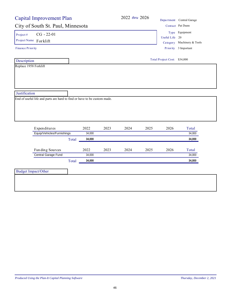|                                                                          | <b>Capital Improvement Plan</b> |        |      |      | 2022 thru 2026 |                              | Department Central Garage  |
|--------------------------------------------------------------------------|---------------------------------|--------|------|------|----------------|------------------------------|----------------------------|
| City of South St. Paul, Minnesota                                        |                                 |        |      |      |                |                              | Contact Pat Dunn           |
| $CG - 22-01$<br>Project#                                                 |                                 |        |      |      |                |                              | Type Equipment             |
| Project Name Forklift                                                    |                                 |        |      |      |                | Useful Life 20               |                            |
|                                                                          |                                 |        |      |      |                |                              | Category Machinery & Tools |
| <b>Finance Priority</b>                                                  |                                 |        |      |      |                |                              | Priority 3 Important       |
| Description                                                              |                                 |        |      |      |                | Total Project Cost: \$34,000 |                            |
| Replace 1958 Forklift                                                    |                                 |        |      |      |                |                              |                            |
|                                                                          |                                 |        |      |      |                |                              |                            |
|                                                                          |                                 |        |      |      |                |                              |                            |
|                                                                          |                                 |        |      |      |                |                              |                            |
| Justification                                                            |                                 |        |      |      |                |                              |                            |
|                                                                          |                                 |        |      |      |                |                              |                            |
| End of useful life and parts are hard to find or have to be custom made. |                                 |        |      |      |                |                              |                            |
|                                                                          |                                 |        |      |      |                |                              |                            |
|                                                                          |                                 |        |      |      |                |                              |                            |
|                                                                          |                                 |        |      |      |                |                              |                            |
|                                                                          |                                 |        |      |      |                |                              |                            |
| Expenditures                                                             |                                 | 2022   | 2023 | 2024 | 2025           | 2026                         | Total                      |
| Equip/Vehicles/Furnishings                                               |                                 | 34,000 |      |      |                |                              | 34,000                     |
|                                                                          | Total                           | 34,000 |      |      |                |                              | 34,000                     |
|                                                                          |                                 |        |      |      |                |                              |                            |
| Funding Sources                                                          |                                 | 2022   | 2023 | 2024 | 2025           | 2026                         | Total                      |
| Central Garage Fund                                                      |                                 | 34,000 |      |      |                |                              | 34,000                     |
|                                                                          | Total                           | 34,000 |      |      |                |                              | 34,000                     |
| <b>Budget Impact/Other</b>                                               |                                 |        |      |      |                |                              |                            |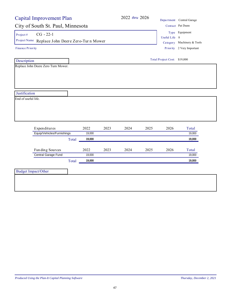|                                                                               | <b>Capital Improvement Plan</b> |                  |      |               |                                              |                              | Department Central Garage |
|-------------------------------------------------------------------------------|---------------------------------|------------------|------|---------------|----------------------------------------------|------------------------------|---------------------------|
| City of South St. Paul, Minnesota                                             |                                 |                  |      |               |                                              |                              | Contact Pat Dunn          |
| $CG - 22-1$<br>Project $#$<br>Project Name Replace John Deere Zero-Turn Mower |                                 |                  |      | Useful Life 8 | Type Equipment<br>Category Machinery & Tools |                              |                           |
| Finance Priority                                                              |                                 |                  |      |               |                                              |                              | Priority 2 Very Important |
| Description                                                                   |                                 |                  |      |               |                                              | Total Project Cost: \$19,000 |                           |
| Replace John Deere Zero Turn Mower.                                           |                                 |                  |      |               |                                              |                              |                           |
|                                                                               |                                 |                  |      |               |                                              |                              |                           |
|                                                                               |                                 |                  |      |               |                                              |                              |                           |
|                                                                               |                                 |                  |      |               |                                              |                              |                           |
| Justification                                                                 |                                 |                  |      |               |                                              |                              |                           |
| End of useful life.                                                           |                                 |                  |      |               |                                              |                              |                           |
|                                                                               |                                 |                  |      |               |                                              |                              |                           |
|                                                                               |                                 |                  |      |               |                                              |                              |                           |
|                                                                               |                                 |                  |      |               |                                              |                              |                           |
|                                                                               |                                 |                  |      |               |                                              |                              |                           |
| Expenditures                                                                  |                                 | 2022             | 2023 | 2024          | 2025                                         | 2026                         | Total                     |
| Equip/Vehicles/Furnishings                                                    |                                 | 19,000           |      |               |                                              |                              | 19,000                    |
|                                                                               | Total                           | 19,000           |      |               |                                              |                              | 19,000                    |
|                                                                               |                                 |                  |      |               |                                              |                              |                           |
| Funding Sources                                                               |                                 | 2022             | 2023 | 2024          | 2025                                         | 2026                         | Total                     |
| Central Garage Fund                                                           |                                 | 19,000<br>19,000 |      |               |                                              |                              | 19,000<br>19,000          |
|                                                                               | Total                           |                  |      |               |                                              |                              |                           |
| <b>Budget Impact/Other</b>                                                    |                                 |                  |      |               |                                              |                              |                           |
|                                                                               |                                 |                  |      |               |                                              |                              |                           |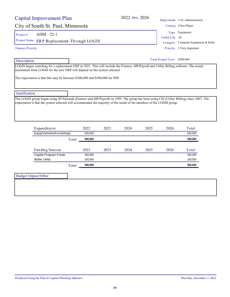| Capital Improvement Plan                                                                                                                                                                                                                                         |  |         |      | 2022 thru 2026 |             |                               | Department City Administration |
|------------------------------------------------------------------------------------------------------------------------------------------------------------------------------------------------------------------------------------------------------------------|--|---------|------|----------------|-------------|-------------------------------|--------------------------------|
| City of South St. Paul, Minnesota                                                                                                                                                                                                                                |  |         |      |                |             |                               | Contact Clara Hilger           |
| ADM - 22-1<br>Project#                                                                                                                                                                                                                                           |  |         |      |                |             |                               | Type Equipment                 |
| Project Name<br>ERP Replacement-Through LOGIS                                                                                                                                                                                                                    |  |         |      |                | Useful Life | 20                            |                                |
|                                                                                                                                                                                                                                                                  |  |         |      |                | Category    | Computer Equipment & Softw    |                                |
| <b>Finance Priority</b>                                                                                                                                                                                                                                          |  |         |      |                |             |                               | Priority 2 Very Important      |
| Description                                                                                                                                                                                                                                                      |  |         |      |                |             | Total Project Cost: \$500,000 |                                |
| Justification                                                                                                                                                                                                                                                    |  |         |      |                |             |                               |                                |
| The LOGIS group began using JD Edwards (Finance and HR/Payroll) in 1999. The group has been using CIS (Utility Billing) since 2007. The<br>expectation is that the system selected will accommodate the majority of the needs of the members of the LOGIS group. |  |         |      |                |             |                               |                                |
| Expenditures                                                                                                                                                                                                                                                     |  | 2022    | 2023 | 2024           | 2025        | 2026                          | Total                          |
| Equip/Vehicles/Furnishings                                                                                                                                                                                                                                       |  | 500,000 |      |                |             |                               | 500,000                        |
|                                                                                                                                                                                                                                                                  |  |         |      |                |             |                               |                                |

| Fun ding Sources      |       | 2022    | 2023 | 2024 | 2025 | 2026 | Total   |
|-----------------------|-------|---------|------|------|------|------|---------|
| Capital Program Funds |       | 350,000 |      |      |      |      | 350,000 |
| <b>Water Utility</b>  |       | 150.000 |      |      |      |      | 150,000 |
|                       | Total | 500.000 |      |      |      |      | 500.000 |

| Budget Impact/Other |  |
|---------------------|--|
|                     |  |
|                     |  |
|                     |  |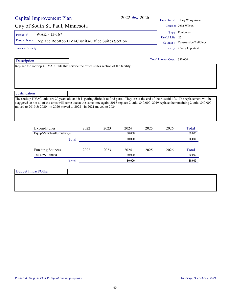| <b>Capital Improvement Plan</b>                                                                                                                                                                                                                                                                                                                                                                                                     |       |      | 2022 thru 2026 |      |                              | Department Doug Woog Arena                        |  |
|-------------------------------------------------------------------------------------------------------------------------------------------------------------------------------------------------------------------------------------------------------------------------------------------------------------------------------------------------------------------------------------------------------------------------------------|-------|------|----------------|------|------------------------------|---------------------------------------------------|--|
| City of South St. Paul, Minnesota                                                                                                                                                                                                                                                                                                                                                                                                   |       |      |                |      |                              | Contact John Wilcox                               |  |
| WAK - 13-167<br>Project#<br>Project Name Replace Rooftop HVAC units-Office Suites Section                                                                                                                                                                                                                                                                                                                                           |       |      |                |      | Useful Life 25               | Type Equipment<br>Category Construction/Buildings |  |
| <b>Finance Priority</b>                                                                                                                                                                                                                                                                                                                                                                                                             |       |      |                |      | Priority 2 Very Important    |                                                   |  |
| Description                                                                                                                                                                                                                                                                                                                                                                                                                         |       |      |                |      | Total Project Cost: \$80,000 |                                                   |  |
| Replace the rooftop 4 HVAC units that service the office suites section of the facility.                                                                                                                                                                                                                                                                                                                                            |       |      |                |      |                              |                                                   |  |
|                                                                                                                                                                                                                                                                                                                                                                                                                                     |       |      |                |      |                              |                                                   |  |
|                                                                                                                                                                                                                                                                                                                                                                                                                                     |       |      |                |      |                              |                                                   |  |
|                                                                                                                                                                                                                                                                                                                                                                                                                                     |       |      |                |      |                              |                                                   |  |
|                                                                                                                                                                                                                                                                                                                                                                                                                                     |       |      |                |      |                              |                                                   |  |
|                                                                                                                                                                                                                                                                                                                                                                                                                                     |       |      |                |      |                              |                                                   |  |
|                                                                                                                                                                                                                                                                                                                                                                                                                                     |       |      |                |      |                              |                                                   |  |
|                                                                                                                                                                                                                                                                                                                                                                                                                                     |       |      |                |      |                              |                                                   |  |
|                                                                                                                                                                                                                                                                                                                                                                                                                                     |       |      |                |      |                              |                                                   |  |
|                                                                                                                                                                                                                                                                                                                                                                                                                                     |       |      |                |      |                              |                                                   |  |
|                                                                                                                                                                                                                                                                                                                                                                                                                                     |       |      |                |      |                              |                                                   |  |
| Expenditures                                                                                                                                                                                                                                                                                                                                                                                                                        | 2022  | 2023 | 2024           | 2025 | 2026                         | Total                                             |  |
| Equip/Vehicles/Furnishings                                                                                                                                                                                                                                                                                                                                                                                                          |       |      | 80,000         |      |                              | 80.000                                            |  |
|                                                                                                                                                                                                                                                                                                                                                                                                                                     | Total |      | 80,000         |      |                              | 80,000                                            |  |
|                                                                                                                                                                                                                                                                                                                                                                                                                                     |       |      |                |      |                              |                                                   |  |
| Funding Sources                                                                                                                                                                                                                                                                                                                                                                                                                     | 2022  | 2023 | 2024           | 2025 | 2026                         | Total                                             |  |
| Tax Levy - Arena                                                                                                                                                                                                                                                                                                                                                                                                                    |       |      | 80,000         |      |                              | 80,000                                            |  |
|                                                                                                                                                                                                                                                                                                                                                                                                                                     | Total |      | 80,000         |      |                              | 80,000                                            |  |
| Justification<br>The rooftop HVAC units are 20 years old and it is getting difficult to find parts. They are at the end of their useful life. The replacement will be<br>staggered so not all of the units will come due at the same time again. 2018-replace 2 units-\$40,000 2019 replace the remaining 2 units-\$40,000 -<br>moved to 2019 & 2020 - in 2020 moved to 2022 - in 2021 moved to 2024.<br><b>Budget Impact/Other</b> |       |      |                |      |                              |                                                   |  |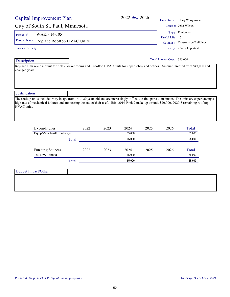| Capital Improvement Plan          |                                                                                                                                                                                                                                                                                                                            |      |        |          |                        | Department Doug Woog Arena |
|-----------------------------------|----------------------------------------------------------------------------------------------------------------------------------------------------------------------------------------------------------------------------------------------------------------------------------------------------------------------------|------|--------|----------|------------------------|----------------------------|
| City of South St. Paul, Minnesota |                                                                                                                                                                                                                                                                                                                            |      |        |          |                        | Contact John Wilcox        |
| WAK - 14-105<br>Project $#$       |                                                                                                                                                                                                                                                                                                                            |      |        |          |                        | Type Equipment             |
|                                   |                                                                                                                                                                                                                                                                                                                            |      |        |          | Useful Life            | 15                         |
|                                   | 2022 thru 2026<br>The rooftop units included vary in age from 14 to 20 years old and are increasingly difficult to find parts to maintain. The units are experiencing a<br>high rate of mechanical failures and are nearing the end of their useful life. 2019-Rink 2 make-up air unit-\$20,000, 2020-3 remaining roof top |      |        | Category | Construction/Buildings |                            |
| Finance Priority                  |                                                                                                                                                                                                                                                                                                                            |      |        |          | Priority               | 2 Very Important           |
| Description                       | Project Name Replace Rooftop HVAC Units<br>Replace 1 make-up air unit for rink 2 locker rooms and 3 rooftop HVAC units for upper lobby and offices. Amount inreased from \$47,000 and<br>changed years                                                                                                                     |      |        |          |                        |                            |
| Justification<br>HVAC units.      |                                                                                                                                                                                                                                                                                                                            |      |        |          |                        |                            |
| Expenditures                      | 2022                                                                                                                                                                                                                                                                                                                       | 2023 | 2024   | 2025     | 2026                   | Total                      |
| Equip/Vehicles/Furnishings        |                                                                                                                                                                                                                                                                                                                            |      | 65,000 |          |                        | 65.000                     |
|                                   | Total                                                                                                                                                                                                                                                                                                                      |      | 65,000 |          |                        | 65,000                     |
| Funding Sources                   | 2022                                                                                                                                                                                                                                                                                                                       | 2023 | 2024   | 2025     | 2026                   | Total                      |
| Tax Levy - Arena                  |                                                                                                                                                                                                                                                                                                                            |      | 65,000 |          |                        | 65,000                     |
|                                   | Total                                                                                                                                                                                                                                                                                                                      |      | 65,000 |          |                        | 65,000                     |
|                                   |                                                                                                                                                                                                                                                                                                                            |      |        |          |                        |                            |

Budget Impact/Other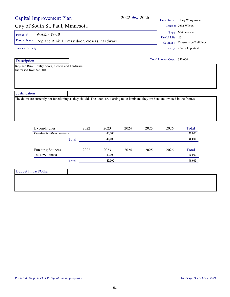# City of South St. Paul, Minnesota

Project #  $WAK - 19-10$ 

Project Name Replace Rink 1 Entry door, closers, hardware Category Construction/Buildings

Finance Priority

Description

Replace Rink 1 entry doors, closers and hardware Increased from \$20,000

| $2022$ thru $2026$ |                | Department Doug Woog Arena<br>Contact John Wilcox |
|--------------------|----------------|---------------------------------------------------|
|                    |                | Type Maintenance                                  |
|                    | Useful Life 20 |                                                   |
|                    |                | Category Construction/Build                       |

Priority 2 Very Important

| Total Project Cost: \$40,000 |  |  |
|------------------------------|--|--|
|------------------------------|--|--|

**Justification** 

The doors are currently not functioning as they should. The doors are starting to de-laminate, they are bent and twisted in the frames.

| Expenditures             |       | 2022 | 2023   | 2024 | 2025 | 2026 | Total  |
|--------------------------|-------|------|--------|------|------|------|--------|
| Construction/Maintenance |       |      | 40,000 |      |      |      | 40,000 |
|                          | Total |      | 40.000 |      |      |      | 40,000 |
|                          |       |      |        |      |      |      |        |
| Funding Sources          |       | 2022 | 2023   | 2024 | 2025 | 2026 | Total  |
| Tax Levy - Arena         |       |      | 40.000 |      |      |      | 40,000 |
|                          | Total |      | 40.000 |      |      |      | 40,000 |

Budget Impact/Other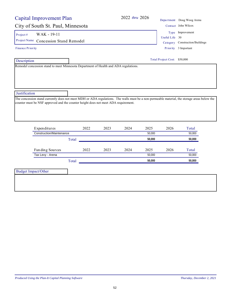| Capital Improvement Plan                                                                                                                     |       |      |      | 2022 thru 2026               |                      |                | Department Doug Woog Arena      |  |
|----------------------------------------------------------------------------------------------------------------------------------------------|-------|------|------|------------------------------|----------------------|----------------|---------------------------------|--|
| City of South St. Paul, Minnesota                                                                                                            |       |      |      |                              |                      |                | Contact John Wilcox             |  |
| WAK - 19-11<br>Project#                                                                                                                      |       |      |      |                              |                      |                | Type Improvement                |  |
| Project Name Concession Stand Remodel                                                                                                        |       |      |      |                              |                      | Useful Life 30 | Category Construction/Buildings |  |
| <b>Finance Priority</b>                                                                                                                      |       |      |      |                              | Priority 3 Important |                |                                 |  |
| Description                                                                                                                                  |       |      |      | Total Project Cost: \$50,000 |                      |                |                                 |  |
| Remodel concession stand to meet Minnesota Department of Health and ADA regulations.                                                         |       |      |      |                              |                      |                |                                 |  |
|                                                                                                                                              |       |      |      |                              |                      |                |                                 |  |
|                                                                                                                                              |       |      |      |                              |                      |                |                                 |  |
|                                                                                                                                              |       |      |      |                              |                      |                |                                 |  |
| Justification                                                                                                                                |       |      |      |                              |                      |                |                                 |  |
| The concession stand currently does not meet MDH or ADA regulations. The walls must be a non-permeable material, the storage areas below the |       |      |      |                              |                      |                |                                 |  |
| counter must be NSF approved and the counter height does not meet ADA requirement.                                                           |       |      |      |                              |                      |                |                                 |  |
|                                                                                                                                              |       |      |      |                              |                      |                |                                 |  |
|                                                                                                                                              |       |      |      |                              |                      |                |                                 |  |
|                                                                                                                                              |       |      |      |                              |                      |                |                                 |  |
| Expenditures<br><b>Construction/Maintenance</b>                                                                                              |       | 2022 | 2023 | 2024                         | 2025<br>50,000       | 2026           | Total<br>50,000                 |  |
|                                                                                                                                              | Total |      |      |                              | 50,000               |                | 50,000                          |  |
|                                                                                                                                              |       |      |      |                              |                      |                |                                 |  |
| Funding Sources                                                                                                                              |       | 2022 | 2023 | 2024                         | 2025                 | 2026           | Total                           |  |
| Tax Levy - Arena                                                                                                                             |       |      |      |                              | 50,000               |                | 50,000                          |  |
|                                                                                                                                              |       |      |      |                              |                      |                |                                 |  |
|                                                                                                                                              | Total |      |      |                              | 50,000               |                | 50,000                          |  |
|                                                                                                                                              |       |      |      |                              |                      |                |                                 |  |
| <b>Budget Impact/Other</b>                                                                                                                   |       |      |      |                              |                      |                |                                 |  |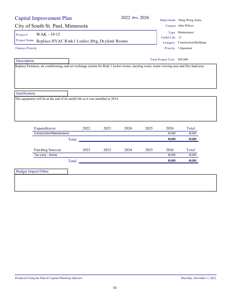|                         | <b>Capital Improvement Plan</b>                                                  |       |      |      | 2022 thru 2026 |      |                              | Department Doug Woog Arena      |
|-------------------------|----------------------------------------------------------------------------------|-------|------|------|----------------|------|------------------------------|---------------------------------|
|                         | City of South St. Paul, Minnesota                                                |       |      |      |                |      |                              | Contact John Wilcox             |
| Project#                | WAK - 19-12                                                                      |       |      |      |                |      |                              | Type Maintenance                |
|                         | Project Name Replace HVAC Rink 1 Locker, Mtg, Dryland Rooms                      |       |      |      |                |      | Useful Life 15               |                                 |
|                         |                                                                                  |       |      |      |                |      |                              | Category Construction/Buildings |
| <b>Finance Priority</b> |                                                                                  |       |      |      |                |      |                              | Priority 3 Important            |
| Description             |                                                                                  |       |      |      |                |      | Total Project Cost: \$45,000 |                                 |
|                         |                                                                                  |       |      |      |                |      |                              |                                 |
|                         | The equipment will be at the end of its useful life as it was installed in 2014. |       |      |      |                |      |                              |                                 |
|                         | Expenditures                                                                     |       | 2022 | 2023 | 2024           | 2025 | 2026                         | Total                           |
|                         | <b>Construction/Maintenance</b>                                                  |       |      |      |                |      | 45,000                       | 45,000                          |
|                         |                                                                                  | Total |      |      |                |      | 45,000                       | 45,000                          |
|                         |                                                                                  |       | 2022 | 2023 | 2024           | 2025 | 2026                         | Total                           |
|                         | Fun ding Sources<br>Tax Levy - Arena                                             |       |      |      |                |      | 45,000                       | 45,000                          |
|                         |                                                                                  | Total |      |      |                |      | 45,000                       | 45,000                          |
| Justification           |                                                                                  |       |      |      |                |      |                              |                                 |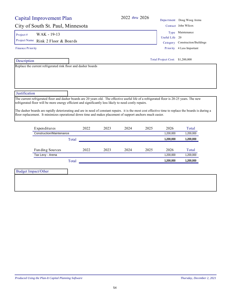|                          | Capital Improvement Plan                                                                                                                                                                                                                                                                                                                                                                                                                                                                                                     |       |      | 2022 thru 2026 |      |                                  | Department Doug Woog Arena                 |  |
|--------------------------|------------------------------------------------------------------------------------------------------------------------------------------------------------------------------------------------------------------------------------------------------------------------------------------------------------------------------------------------------------------------------------------------------------------------------------------------------------------------------------------------------------------------------|-------|------|----------------|------|----------------------------------|--------------------------------------------|--|
|                          | City of South St. Paul, Minnesota                                                                                                                                                                                                                                                                                                                                                                                                                                                                                            |       |      |                |      |                                  | Contact John Wilcox                        |  |
| Project#<br>Project Name | WAK - 19-13                                                                                                                                                                                                                                                                                                                                                                                                                                                                                                                  |       |      |                |      | Useful Life                      | Type Maintenance<br>20                     |  |
| Finance Priority         | Rink 2 Floor & Boards                                                                                                                                                                                                                                                                                                                                                                                                                                                                                                        |       |      |                |      | Ca <sub>tegory</sub><br>Priority | Construction/Buildings<br>4 Less Important |  |
| Description              |                                                                                                                                                                                                                                                                                                                                                                                                                                                                                                                              |       |      |                |      | Total Project Cost: \$1,200,000  |                                            |  |
| Justification            |                                                                                                                                                                                                                                                                                                                                                                                                                                                                                                                              |       |      |                |      |                                  |                                            |  |
|                          | The current refrigerated floor and dasher boards are 20 years old. The effective useful life of a refrigerated floor is 20-25 years. The new<br>refrigerated floor will be more energy efficient and significantly less likely to need costly repairs.<br>The dasher boards are rapidly deteriorating and are in need of constant repairs. it is the most cost effective time to replace the boards is during a<br>floor replacement. It minimizes operational down time and makes placement of support anchors much easier. |       |      |                |      |                                  |                                            |  |
|                          | Expenditures                                                                                                                                                                                                                                                                                                                                                                                                                                                                                                                 | 2022  | 2023 | 2024           | 2025 | 2026                             | Total                                      |  |
|                          | Construction/Maintenance                                                                                                                                                                                                                                                                                                                                                                                                                                                                                                     |       |      |                |      | 1,200,000                        | 1,200,000                                  |  |
|                          |                                                                                                                                                                                                                                                                                                                                                                                                                                                                                                                              | Total |      |                |      | 1,200,000                        | 1,200,000                                  |  |
|                          | Funding Sources                                                                                                                                                                                                                                                                                                                                                                                                                                                                                                              | 2022  | 2023 | 2024           | 2025 | 2026                             | Total                                      |  |
|                          | Tax Levy - Arena                                                                                                                                                                                                                                                                                                                                                                                                                                                                                                             |       |      |                |      | 1.200.000                        | 1,200,000                                  |  |

Total **1,200,000 1,200,000**

Budget Impact/Other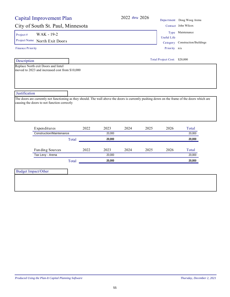## City of South St. Paul, Minnesota Contact John Wilcox

Project #  $WAK - 19-2$ 

Project Name North Exit Doors Category Construction/Buildings

Finance Priority

Description

Replace North exit Doors and lintel moved to 2023 and increased cost from \$10,000

Useful Life Type Maintenance

Priority n/a

Total Project Cost: \$20,000

**Justification** 

The doors are currently not functioning as they should. The wall above the doors is currently pushing down on the frame of the doors which are causing the doors to not function correctly

| Expenditures             |       | 2022 | 2023   | 2024 | 2025 | 2026 | Total  |
|--------------------------|-------|------|--------|------|------|------|--------|
| Construction/Maintenance |       |      | 20.000 |      |      |      | 20,000 |
|                          | Total |      | 20.000 |      |      |      | 20,000 |
| Funding Sources          |       | 2022 | 2023   | 2024 | 2025 | 2026 | Total  |
| Tax Levy - Arena         |       |      | 20.000 |      |      |      | 20,000 |
|                          |       |      |        |      |      |      |        |

Budget Impact/Other

2022 *thru* 2026 Depa rtment Doug Woog Arena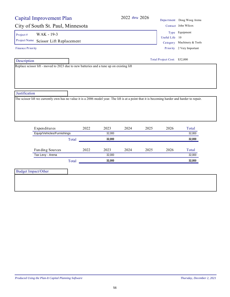| <b>Capital Improvement Plan</b>                                                                                                                 |                          |        | 2022 thru 2026 |      |                              | Department Doug Woog Arena |
|-------------------------------------------------------------------------------------------------------------------------------------------------|--------------------------|--------|----------------|------|------------------------------|----------------------------|
| City of South St. Paul, Minnesota                                                                                                               |                          |        |                |      |                              | Contact John Wilcox        |
| WAK - 19-3<br>Project#                                                                                                                          |                          |        |                |      |                              | Type Equipment             |
| Project Name                                                                                                                                    |                          |        |                |      | Useful Life 10               |                            |
|                                                                                                                                                 | Scissor Lift Replacement |        |                |      |                              | Category Machinery & Tools |
| <b>Finance Priority</b>                                                                                                                         |                          |        |                |      |                              | Priority 2 Very Important  |
| Description                                                                                                                                     |                          |        |                |      | Total Project Cost: \$32,000 |                            |
| Replace scissor lift - moved to 2023 due to new batteries and a tune up on existing lift                                                        |                          |        |                |      |                              |                            |
|                                                                                                                                                 |                          |        |                |      |                              |                            |
|                                                                                                                                                 |                          |        |                |      |                              |                            |
| Justification                                                                                                                                   |                          |        |                |      |                              |                            |
| The scissor lift we currently own has no value it is a 2006 model year. The lift is at a point that it is becoming harder and harder to repair. |                          |        |                |      |                              |                            |
|                                                                                                                                                 |                          |        |                |      |                              |                            |
|                                                                                                                                                 |                          |        |                |      |                              |                            |
|                                                                                                                                                 |                          |        |                |      |                              |                            |
| Expenditures                                                                                                                                    | 2022                     | 2023   | 2024           | 2025 | 2026                         | Total                      |
| Equip/Vehicles/Furnishings                                                                                                                      |                          | 32,000 |                |      |                              | 32,000                     |
|                                                                                                                                                 | Total                    | 32,000 |                |      |                              | 32,000                     |
| Funding Sources                                                                                                                                 | 2022                     | 2023   | 2024           | 2025 | 2026                         | Total                      |
| Tax Levy - Arena                                                                                                                                |                          | 32,000 |                |      |                              | 32,000                     |
|                                                                                                                                                 | Total                    | 32,000 |                |      |                              | 32,000                     |
| <b>Budget Impact/Other</b>                                                                                                                      |                          |        |                |      |                              |                            |
|                                                                                                                                                 |                          |        |                |      |                              |                            |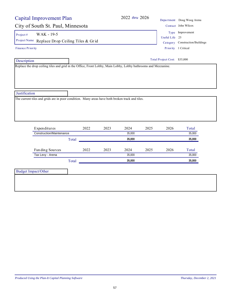| <b>Capital Improvement Plan</b>                                                                                | 2022 thru 2026                 |                              | Department Doug Woog Arena      |
|----------------------------------------------------------------------------------------------------------------|--------------------------------|------------------------------|---------------------------------|
| City of South St. Paul, Minnesota                                                                              |                                |                              | Contact John Wilcox             |
| WAK - 19-5<br>Project#                                                                                         |                                |                              | Type Improvement                |
| Project Name Replace Drop Ceiling Tiles & Grid                                                                 |                                | Useful Life 25               |                                 |
|                                                                                                                |                                |                              | Category Construction/Buildings |
| <b>Finance Priority</b>                                                                                        |                                |                              | Priority 1 Critical             |
| Description                                                                                                    |                                | Total Project Cost: \$35,000 |                                 |
| Replace the drop ceiling tiles and grid in the Office, Front Lobby, Main Lobby, Lobby bathrooms and Mezzanine. |                                |                              |                                 |
|                                                                                                                |                                |                              |                                 |
|                                                                                                                |                                |                              |                                 |
|                                                                                                                |                                |                              |                                 |
|                                                                                                                |                                |                              |                                 |
|                                                                                                                |                                |                              |                                 |
|                                                                                                                |                                |                              |                                 |
| Justification                                                                                                  |                                |                              |                                 |
| The current tiles and grids are in poor condition. Many areas have both broken track and tiles.                |                                |                              |                                 |
|                                                                                                                |                                |                              |                                 |
|                                                                                                                |                                |                              |                                 |
|                                                                                                                |                                |                              |                                 |
|                                                                                                                |                                |                              |                                 |
|                                                                                                                |                                |                              |                                 |
| Expenditures<br>2022<br>Construction/Maintenance                                                               | 2024<br>2023<br>2025<br>35,000 | 2026                         | Total<br>35,000                 |
| Total                                                                                                          | 35,000                         |                              | 35,000                          |
|                                                                                                                |                                |                              |                                 |
| Funding Sources<br>2022                                                                                        | 2023<br>2024<br>2025           | 2026                         | Total                           |
| Tax Levy - Arena                                                                                               | 35,000                         |                              | 35,000                          |
|                                                                                                                | 35,000                         |                              | 35,000                          |
| Total                                                                                                          |                                |                              |                                 |
| <b>Budget Impact/Other</b>                                                                                     |                                |                              |                                 |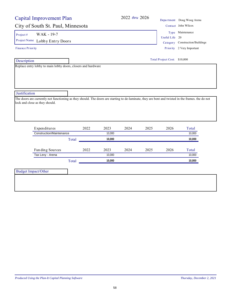# City of South St. Paul, Minnesota

Project #  $WAK - 19-7$ 

Project Name Lobby Entry Doors Category Construction/Buildings

Finance Priority

Description

Replace entry lobby to main lobby doors, closers and hardware

|                | Department Doug Woog Aren |
|----------------|---------------------------|
|                | Contact John Wilcox       |
|                | Type Maintenance          |
| Useful Life 20 |                           |
|                |                           |

Priority 2 Very Important

Total Project Cost: \$10,000

**Justification** 

The doors are currently not functioning as they should. The doors are starting to de-laminate, they are bent and twisted in the frames. the do not lock and close as they should.

| Expenditures             |       | 2022 | 2023   | 2024 | 2025 | 2026 | Total  |
|--------------------------|-------|------|--------|------|------|------|--------|
| Construction/Maintenance |       |      | 10.000 |      |      |      | 10,000 |
|                          | Total |      | 10.000 |      |      |      | 10,000 |
|                          |       |      |        |      |      |      |        |
| Funding Sources          |       | 2022 | 2023   | 2024 | 2025 | 2026 | Total  |
| Tax Levy - Arena         |       |      | 10.000 |      |      |      | 10.000 |
|                          | Total |      | 10.000 |      |      |      | 10.000 |

Budget Impact/Other

2022 *thru* 2026 Depa rtment Doug Woog Arena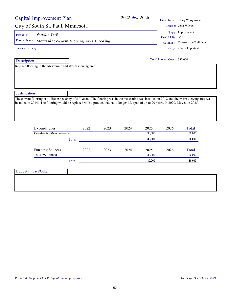| Capital Improvement Plan                                                                                                                                                                                                                                                                  |       |      | 2022 thru 2026 |                |                              | Department Doug Woog Arena      |
|-------------------------------------------------------------------------------------------------------------------------------------------------------------------------------------------------------------------------------------------------------------------------------------------|-------|------|----------------|----------------|------------------------------|---------------------------------|
| City of South St. Paul, Minnesota                                                                                                                                                                                                                                                         |       |      |                |                |                              | Contact John Wilcox             |
| WAK - 19-8<br>Project#                                                                                                                                                                                                                                                                    |       |      |                |                |                              | Type Improvement                |
| Project Name Mezzanine-Warm Viewing Area Flooring                                                                                                                                                                                                                                         |       |      |                |                | Useful Life 30               |                                 |
|                                                                                                                                                                                                                                                                                           |       |      |                |                |                              | Category Construction/Buildings |
| Finance Priority                                                                                                                                                                                                                                                                          |       |      |                |                |                              | Priority 2 Very Important       |
| Description                                                                                                                                                                                                                                                                               |       |      |                |                | Total Project Cost: \$30,000 |                                 |
| Replace flooring in the Mezzanine and Warm viewing area                                                                                                                                                                                                                                   |       |      |                |                |                              |                                 |
|                                                                                                                                                                                                                                                                                           |       |      |                |                |                              |                                 |
|                                                                                                                                                                                                                                                                                           |       |      |                |                |                              |                                 |
|                                                                                                                                                                                                                                                                                           |       |      |                |                |                              |                                 |
|                                                                                                                                                                                                                                                                                           |       |      |                |                |                              |                                 |
| Justification                                                                                                                                                                                                                                                                             |       |      |                |                |                              |                                 |
| The current flooring has a life expectancy of 5-7 years. The flooring was in the mezzanine was installed in 2012 and the warm viewing area was<br>installed in 2014. The flooring would be replaced with a product that has a longer life span of up to 20 years. In 2020, Moved to 2025. |       |      |                |                |                              |                                 |
| Expenditures                                                                                                                                                                                                                                                                              | 2022  | 2023 | 2024           | 2025           | 2026                         | Total                           |
| <b>Construction/Maintenance</b>                                                                                                                                                                                                                                                           |       |      |                | 30,000         |                              | 30,000                          |
|                                                                                                                                                                                                                                                                                           | Total |      |                |                |                              |                                 |
|                                                                                                                                                                                                                                                                                           |       |      |                | 30,000         |                              | 30,000                          |
|                                                                                                                                                                                                                                                                                           |       |      |                |                |                              |                                 |
| Fun ding Sources                                                                                                                                                                                                                                                                          | 2022  | 2023 | 2024           | 2025<br>30,000 | 2026                         | Total<br>30,000                 |
| Tax Levy - Arena                                                                                                                                                                                                                                                                          |       |      |                | 30,000         |                              | 30,000                          |
|                                                                                                                                                                                                                                                                                           | Total |      |                |                |                              |                                 |
| <b>Budget Impact/Other</b>                                                                                                                                                                                                                                                                |       |      |                |                |                              |                                 |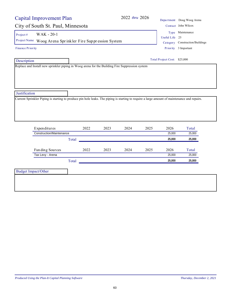| <b>Capital Improvement Plan</b>                                                                                                                               |       |      |      | 2022 thru 2026 |      |                              | Department Doug Woog Arena                              |
|---------------------------------------------------------------------------------------------------------------------------------------------------------------|-------|------|------|----------------|------|------------------------------|---------------------------------------------------------|
| City of South St. Paul, Minnesota                                                                                                                             |       |      |      |                |      |                              | Contact John Wilcox                                     |
| WAK - 20-1<br>Project#                                                                                                                                        |       |      |      |                |      |                              | Type Maintenance                                        |
| Project Name Woog Arena Sprinkler Fire Suppression System                                                                                                     |       |      |      |                |      | Useful Life 25               |                                                         |
| <b>Finance Priority</b>                                                                                                                                       |       |      |      |                |      |                              | Category Construction/Buildings<br>Priority 3 Important |
|                                                                                                                                                               |       |      |      |                |      |                              |                                                         |
| Description                                                                                                                                                   |       |      |      |                |      | Total Project Cost: \$25,000 |                                                         |
| Replace and Install new sprinkler piping in Woog arena for the Building Fire Suppression system                                                               |       |      |      |                |      |                              |                                                         |
|                                                                                                                                                               |       |      |      |                |      |                              |                                                         |
| Expenditures                                                                                                                                                  |       | 2022 | 2023 | 2024           | 2025 | 2026                         | Total                                                   |
| Construction/Maintenance                                                                                                                                      |       |      |      |                |      | 25,000                       | 25,000                                                  |
|                                                                                                                                                               | Total |      |      |                |      | 25,000                       | 25,000                                                  |
|                                                                                                                                                               |       |      |      |                |      |                              |                                                         |
| Funding Sources                                                                                                                                               |       | 2022 | 2023 | 2024           | 2025 | 2026                         | Total                                                   |
| Tax Levy - Arena                                                                                                                                              |       |      |      |                |      | 25,000                       | 25,000                                                  |
| Justification<br>Current Sprinkler Piping is starting to produce pin hole leaks. The piping is starting to require a large amount of maintenance and repairs. | Total |      |      |                |      | 25,000                       | 25,000                                                  |
| <b>Budget Impact/Other</b>                                                                                                                                    |       |      |      |                |      |                              |                                                         |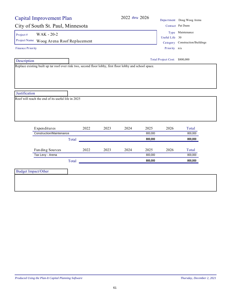| <b>Capital Improvement Plan</b>                                                                           |       |      | 2022 thru 2026                |         |                | Department Doug Woog Arena      |  |
|-----------------------------------------------------------------------------------------------------------|-------|------|-------------------------------|---------|----------------|---------------------------------|--|
| City of South St. Paul, Minnesota                                                                         |       |      |                               |         |                | Contact Pat Dunn                |  |
| WAK - 20-2<br>Project #                                                                                   |       |      |                               |         |                | Type Maintenance                |  |
| Project Name Woog Arena Roof Replacement                                                                  |       |      |                               |         | Useful Life 30 |                                 |  |
|                                                                                                           |       |      |                               |         |                | Category Construction/Buildings |  |
| <b>Finance Priority</b>                                                                                   |       |      |                               |         | Priority n/a   |                                 |  |
| Description                                                                                               |       |      | Total Project Cost: \$800,000 |         |                |                                 |  |
| Replace existing built up tar roof over rink two, second floor lobby, first floor lobby and school space. |       |      |                               |         |                |                                 |  |
|                                                                                                           |       |      |                               |         |                |                                 |  |
|                                                                                                           |       |      |                               |         |                |                                 |  |
|                                                                                                           |       |      |                               |         |                |                                 |  |
|                                                                                                           |       |      |                               |         |                |                                 |  |
|                                                                                                           |       |      |                               |         |                |                                 |  |
| Justification                                                                                             |       |      |                               |         |                |                                 |  |
| Roof will reach the end of its useful life in 2025                                                        |       |      |                               |         |                |                                 |  |
|                                                                                                           |       |      |                               |         |                |                                 |  |
|                                                                                                           |       |      |                               |         |                |                                 |  |
|                                                                                                           |       |      |                               |         |                |                                 |  |
|                                                                                                           |       |      |                               |         |                |                                 |  |
|                                                                                                           |       |      |                               |         |                |                                 |  |
| Expenditures                                                                                              | 2022  | 2023 | 2024                          | 2025    | 2026           | Total                           |  |
| <b>Construction/Maintenance</b>                                                                           |       |      |                               | 800,000 |                | 800,000                         |  |
|                                                                                                           | Total |      |                               | 800,000 |                | 800,000                         |  |
| Funding Sources                                                                                           | 2022  | 2023 | 2024                          | 2025    | 2026           | Total                           |  |
| Tax Levy - Arena                                                                                          |       |      |                               | 800,000 |                | 800,000                         |  |
|                                                                                                           |       |      |                               | 800,000 |                | 800,000                         |  |
|                                                                                                           | Total |      |                               |         |                |                                 |  |
|                                                                                                           |       |      |                               |         |                |                                 |  |
| <b>Budget Impact/Other</b>                                                                                |       |      |                               |         |                |                                 |  |
|                                                                                                           |       |      |                               |         |                |                                 |  |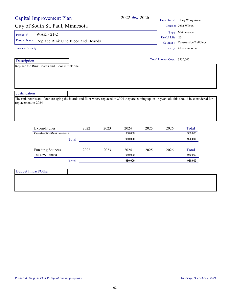# City of South St. Paul, Minnesota Contact John Wilcox

Project #  $WAK - 21-2$ 

Project Name Replace Rink One Floor and Boards Category Construction/Buildings

Finance Priority

 Description Replace the Rink Boards and Floor in rink one

Priority 4 Less Important Useful Life 20 Type Maintenance

Total Project Cost: \$950,000

**Justification** 

The rink boards and floor are aging the boards and floor where replaced in 2004 they are coming up on 16 years old this should be considered for replacement in 2024

| Expenditures             |       | 2022 | 2023 | 2024    | 2025 | 2026 | Total   |
|--------------------------|-------|------|------|---------|------|------|---------|
| Construction/Maintenance |       |      |      | 950.000 |      |      | 950,000 |
|                          | Total |      |      | 950.000 |      |      | 950.000 |
|                          |       |      |      |         |      |      |         |
| Funding Sources          |       | 2022 | 2023 | 2024    | 2025 | 2026 | Total   |
| Tax Levy - Arena         |       |      |      | 950.000 |      |      | 950.000 |
|                          | Total |      |      | 950.000 |      |      | 950.000 |
|                          |       |      |      |         |      |      |         |

Budget Impact/Other

2022 *thru* 2026 Depa rtment Doug Woog Arena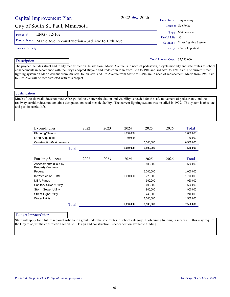#### 63

## Capital Improvement Plan

## City of South St. Paul, Minnesota Contact Sue Polka

Project #  $ENG - 12-102$ 

Project Name Marie Ave Reconstruction - 3rd Ave to 19th Ave Category Street Lighting System

Description

#### Total Project Cost: \$7,550,000

The project includes street and utility reconstruction. In addition, Marie Avenue is in need of pedestrian, bicycle mobility and safe routes to school enhancements in accordance with the City's adopted Bicycle and Pedestrian Plan from 12th to 19th and 3rd Ave. to 12th Ave. The current street lighting system on Marie Avenue from 4th Ave. to 8th Ave. and 7th Avenue from Marie to I-494 are in need of replacement. Marie from 19th Ave to 21st Ave will be reconstructed with this project.

### Justification

Much of the sidewalk does not meet ADA guidelines, better circulation and visibility is needed for the safe movement of pedestrians, and the roadway corridor does not contain a designated on-road bicycle facility. The current lighting system was installed in 1979. The system is obsolete and past its useful life.

| Expenditures                             | 2022  | 2023 | 2024      | 2025      | 2026 | Total     |
|------------------------------------------|-------|------|-----------|-----------|------|-----------|
| Planning/Design                          |       |      | 1,000,000 |           |      | 1,000,000 |
| Land Acquisition                         |       |      | 50,000    |           |      | 50,000    |
| Construction/Maintenance                 |       |      |           | 6,500,000 |      | 6,500,000 |
|                                          | Total |      | 1,050,000 | 6,500,000 |      | 7,550,000 |
|                                          |       |      |           |           |      |           |
| Funding Sources                          | 2022  | 2023 | 2024      | 2025      | 2026 | Total     |
| Assessments (Paid by<br>Property Owners) |       |      |           | 580.000   |      | 580,000   |
| Federal                                  |       |      |           | 1,000,000 |      | 1,000,000 |
| Infrastructure Fund                      |       |      | 1,050,000 | 720,000   |      | 1,770,000 |
| <b>MSA Funds</b>                         |       |      |           | 960,000   |      | 960,000   |
| <b>Sanitary Sewer Utility</b>            |       |      |           | 600.000   |      | 600.000   |
| <b>Storm Sewer Utility</b>               |       |      |           | 900.000   |      | 900,000   |
| <b>Street Light Utility</b>              |       |      |           | 240.000   |      | 240,000   |
| <b>Water Utility</b>                     |       |      |           | 1,500,000 |      | 1,500,000 |
|                                          | Total |      | 1,050,000 | 6,500,000 |      | 7,550,000 |

### Budget Impact/Other

Staff will apply for a future regional solicitation grant under the safe routes to school category. If obtaining funding is successful, this may require the City to adjust the construction schedule. Design and construction is dependent on available funding.

2022 *thru* 2026 Department Engineering Priority 2 Very Important Useful Life 30 Type Maintenance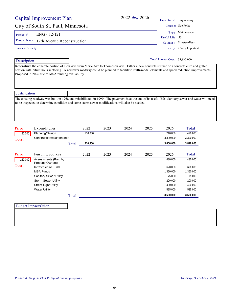# City of South St. Paul, Minnesota Contact Sue Polka

Project # ENG - 12-121

Project Name 12th Avenue Reconstruction Category Streets/Alleys

#### Finance Priority

Description

Reconstruct the concrete portion of 12th Ave from Marie Ave to Thompson Ave. Either a new concrete surface or a concrete curb and gutter section with bituminous surfacing. A narrower roadway could be planned to facilitate multi-modal elements and speed reduction improvements. Proposed in 2026 due to MSA funding availability.

### **Justification**

The existing roadway was built in 1968 and rehabilitated in 1990. The pavement is at the end of its useful life. Sanitary sewer and water will need to be inspected to determine condition and some storm sewer modifications will also be needed.

| Pri or  | Expenditures                             |       | 2022    | 2023 | 2024 | 2025 | 2026      | Total     |
|---------|------------------------------------------|-------|---------|------|------|------|-----------|-----------|
| 20,000  | Planning/Design                          |       | 210,000 |      |      |      | 210,000   | 420,000   |
| Total   | Construction/Maintenance                 |       |         |      |      |      | 3,390,000 | 3,390,000 |
|         |                                          | Total | 210,000 |      |      |      | 3,600,000 | 3,810,000 |
|         |                                          |       |         |      |      |      |           |           |
| Pri or  | Funding Sources                          |       | 2022    | 2023 | 2024 | 2025 | 2026      | Total     |
| 230,000 | Assessments (Paid by<br>Property Owners) |       |         |      |      |      | 430,000   | 430,000   |
| Total   | Infrastructure Fund                      |       |         |      |      |      | 620,000   | 620,000   |
|         | <b>MSA Funds</b>                         |       |         |      |      |      | 1,350,000 | 1,350,000 |
|         | <b>Sanitary Sewer Utility</b>            |       |         |      |      |      | 75.000    | 75,000    |
|         | <b>Storm Sewer Utility</b>               |       |         |      |      |      | 200,000   | 200,000   |
|         | <b>Street Light Utility</b>              |       |         |      |      |      | 400,000   | 400,000   |
|         | <b>Water Utility</b>                     |       |         |      |      |      | 525,000   | 525,000   |
|         |                                          | Total |         |      |      |      | 3,600,000 | 3,600,000 |

| <b>Budget Impact/Other</b> |  |  |
|----------------------------|--|--|
|                            |  |  |
|                            |  |  |
|                            |  |  |
|                            |  |  |

2022 *thru* 2026 Department Engineering Type Maintenance

Useful Life 50

Priority 2 Very Important

Total Project Cost: \$3,830,000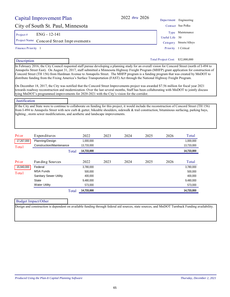|                    | Capital Improvement Plan                                                                                                                                                                                                                                                                                                                                                                                                                                                                                                                                                                                                                                                                                                                                                                                                                                           |                      | 2022 thru 2026 |      |      | Department Engineering     |                       |
|--------------------|--------------------------------------------------------------------------------------------------------------------------------------------------------------------------------------------------------------------------------------------------------------------------------------------------------------------------------------------------------------------------------------------------------------------------------------------------------------------------------------------------------------------------------------------------------------------------------------------------------------------------------------------------------------------------------------------------------------------------------------------------------------------------------------------------------------------------------------------------------------------|----------------------|----------------|------|------|----------------------------|-----------------------|
|                    | City of South St. Paul, Minnesota                                                                                                                                                                                                                                                                                                                                                                                                                                                                                                                                                                                                                                                                                                                                                                                                                                  |                      |                |      |      |                            | Contact Sue Polka     |
| Project#           | ENG - 12-141                                                                                                                                                                                                                                                                                                                                                                                                                                                                                                                                                                                                                                                                                                                                                                                                                                                       |                      |                |      |      |                            | Type Maintenance      |
| Project Name       | Concord Street Improvements                                                                                                                                                                                                                                                                                                                                                                                                                                                                                                                                                                                                                                                                                                                                                                                                                                        |                      |                |      |      | Useful Life<br>Category    | 50<br>Streets/Alleys  |
| Finance Priority 1 |                                                                                                                                                                                                                                                                                                                                                                                                                                                                                                                                                                                                                                                                                                                                                                                                                                                                    |                      |                |      |      | Priority                   | 1 Critical            |
| Description        |                                                                                                                                                                                                                                                                                                                                                                                                                                                                                                                                                                                                                                                                                                                                                                                                                                                                    |                      |                |      |      | <b>Total Project Cost:</b> | \$32,000,000          |
|                    | In February 2016, the City Council requested staff pursue developing a planning study for an overall vision for Concord Street (north of I-494 to<br>Annapolis Street East). On August 31, 2017, staff submitted a Minnesota Highway Freight Program (MHFP) grant application for construction of<br>Concord Street (TH 156) from Hardman Avenue to Annapolis Street. The MHFP program is a funding program that was created by MnDOT to<br>distribute funding from the Fixing America's Surface Transportation (FAST) Act through the National Highway Freight Program.<br>On December 18, 2017, the City was notified that the Concord Street Improvements project was awarded \$7.56 million for fiscal year 2021<br>towards roadway reconstruction and modernization. Over the last several months, Staff has been collaborating with MnDOT to jointly discuss |                      |                |      |      |                            |                       |
|                    | tying MnDOT's programmed improvements for 2020-2021 with the City's vision for the corridor.                                                                                                                                                                                                                                                                                                                                                                                                                                                                                                                                                                                                                                                                                                                                                                       |                      |                |      |      |                            |                       |
| Justification      |                                                                                                                                                                                                                                                                                                                                                                                                                                                                                                                                                                                                                                                                                                                                                                                                                                                                    |                      |                |      |      |                            |                       |
|                    | If the City and State were to continue to collaborate on funding for this project, it would include the reconstruction of Concord Street (TH 156)<br>from I-494 to Annapolis Street with new curb & gutter, bikeable shoulders, sidewalk & trail construction, bituminous surfacing, parking bays,<br>lighting, storm sewer modificiations, and aesthetic and landscape improvements.                                                                                                                                                                                                                                                                                                                                                                                                                                                                              |                      |                |      |      |                            |                       |
| Pri or             | Expenditures                                                                                                                                                                                                                                                                                                                                                                                                                                                                                                                                                                                                                                                                                                                                                                                                                                                       | 2022                 | 2023           | 2024 | 2025 | 2026                       | Total                 |
| 17,267,000         | Planning/Design                                                                                                                                                                                                                                                                                                                                                                                                                                                                                                                                                                                                                                                                                                                                                                                                                                                    | 1,000,000            |                |      |      |                            | 1,000,000             |
| Total              | Construction/Maintenance                                                                                                                                                                                                                                                                                                                                                                                                                                                                                                                                                                                                                                                                                                                                                                                                                                           | 13,733,000           |                |      |      |                            | 13,733,000            |
|                    |                                                                                                                                                                                                                                                                                                                                                                                                                                                                                                                                                                                                                                                                                                                                                                                                                                                                    | 14,733,000<br>Total  |                |      |      |                            | 14,733,000            |
| Pri or             | Funding Sources                                                                                                                                                                                                                                                                                                                                                                                                                                                                                                                                                                                                                                                                                                                                                                                                                                                    | 2022                 | 2023           | 2024 | 2025 | 2026                       | Total                 |
| 15,940,000         | Federal                                                                                                                                                                                                                                                                                                                                                                                                                                                                                                                                                                                                                                                                                                                                                                                                                                                            | 3,780,000            |                |      |      |                            | 3,780,000             |
| Total              | <b>MSA Funds</b>                                                                                                                                                                                                                                                                                                                                                                                                                                                                                                                                                                                                                                                                                                                                                                                                                                                   | 500,000              |                |      |      |                            | 500,000               |
|                    | <b>Sanitary Sewer Utility</b>                                                                                                                                                                                                                                                                                                                                                                                                                                                                                                                                                                                                                                                                                                                                                                                                                                      | 400,000              |                |      |      |                            | 400,000               |
|                    | <b>State</b>                                                                                                                                                                                                                                                                                                                                                                                                                                                                                                                                                                                                                                                                                                                                                                                                                                                       | 9,480,000<br>573,000 |                |      |      |                            | 9,480,000             |
|                    | <b>Water Utility</b>                                                                                                                                                                                                                                                                                                                                                                                                                                                                                                                                                                                                                                                                                                                                                                                                                                               | 14,733,000<br>Total  |                |      |      |                            | 573,000<br>14,733,000 |
|                    |                                                                                                                                                                                                                                                                                                                                                                                                                                                                                                                                                                                                                                                                                                                                                                                                                                                                    |                      |                |      |      |                            |                       |
|                    | <b>Budget Impact/Other</b>                                                                                                                                                                                                                                                                                                                                                                                                                                                                                                                                                                                                                                                                                                                                                                                                                                         |                      |                |      |      |                            |                       |
|                    | Design and construction is dependent on available funding through federal aid sources, state sources, and MnDOT Turnback Funding availability.                                                                                                                                                                                                                                                                                                                                                                                                                                                                                                                                                                                                                                                                                                                     |                      |                |      |      |                            |                       |
|                    |                                                                                                                                                                                                                                                                                                                                                                                                                                                                                                                                                                                                                                                                                                                                                                                                                                                                    |                      |                |      |      |                            |                       |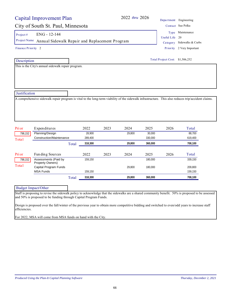# City of South St. Paul, Minnesota Contact Sue Polka

Project #  $ENG - 12-144$ 

Project Name Annual Sidewalk Repair and Replacement Program | Category Sidewalks & Curbs

Finance Priority 2

Description

This is the City's annual sidewalk repair program.

Total Project Cost: \$1,506,252

**Justification** 

A comprehensive sidewalk repair program is vital to the long-term viability of the sidewalk infrastructure. This also reduces trip/accident claims.

| Pri or  | Expenditures                             |       | 2022    | 2023 | 2024   | 2025    | 2026 | Total   |
|---------|------------------------------------------|-------|---------|------|--------|---------|------|---------|
| 798,152 | Planning/Design                          |       | 28.900  |      | 29.800 | 30,000  |      | 88.700  |
| Total   | Construction/Maintenance                 |       | 289.400 |      |        | 330.000 |      | 619,400 |
|         |                                          | Total | 318,300 |      | 29.800 | 360.000 |      | 708,100 |
|         |                                          |       |         |      |        |         |      |         |
|         |                                          |       |         |      |        |         |      |         |
| Pri or  | Fun ding Sources                         |       | 2022    | 2023 | 2024   | 2025    | 2026 | Total   |
| 798,152 | Assessments (Paid by<br>Property Owners) |       | 159.150 |      |        | 180,000 |      | 339.150 |
| Total   | Capital Program Funds                    |       |         |      | 29.800 | 180,000 |      | 209.800 |
|         | <b>MSA Funds</b>                         |       | 159,150 |      |        |         |      | 159,150 |

| Budget Impact/Other                                              |                                                                                                                                                   |  |
|------------------------------------------------------------------|---------------------------------------------------------------------------------------------------------------------------------------------------|--|
|                                                                  | Staff is proposing to revise the sidewalk policy to acknowledge that the sidewalks are a shared community benefit. 50% is proposed to be assessed |  |
| and 50% is proposed to be funding through Capital Program Funds. |                                                                                                                                                   |  |

Design is proposed over the fall/winter of the previous year to obtain more competitive bidding and switched to even/odd years to increase staff efficiencies.

For 2022, MSA will come from MSA funds on hand with the City.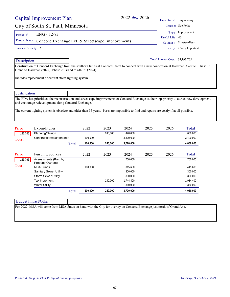|                                                                  | Capital Improvement Plan                                                                                                                                                                        |       |         |         | 2022 thru 2026       |          |                                 | Department Engineering                                                                                                                   |
|------------------------------------------------------------------|-------------------------------------------------------------------------------------------------------------------------------------------------------------------------------------------------|-------|---------|---------|----------------------|----------|---------------------------------|------------------------------------------------------------------------------------------------------------------------------------------|
|                                                                  | City of South St. Paul, Minnesota                                                                                                                                                               |       |         |         |                      |          |                                 | Contact Sue Polka                                                                                                                        |
| Project#                                                         | ENG - 12-83                                                                                                                                                                                     |       |         |         |                      |          | Type                            | Improvement                                                                                                                              |
| Project Name<br>Concord Exchange Ext. & Streetscape Improvements |                                                                                                                                                                                                 |       |         |         |                      |          | Useful Life                     | 40                                                                                                                                       |
|                                                                  |                                                                                                                                                                                                 |       |         |         |                      | Category | Streets/Alleys                  |                                                                                                                                          |
| Finance Priority 2                                               |                                                                                                                                                                                                 |       |         |         |                      |          | Priority                        | 2 Very Important                                                                                                                         |
| Description                                                      |                                                                                                                                                                                                 |       |         |         |                      |          | Total Project Cost: \$4,193,765 |                                                                                                                                          |
|                                                                  | Grand to Hardman (2022). Phase 2: Grand to 6th St. (2024)                                                                                                                                       |       |         |         |                      |          |                                 | Construction of Concord Exchange from the southern limits at Concord Street to connect with a new connection at Hardman Avenue. Phase 1: |
|                                                                  |                                                                                                                                                                                                 |       |         |         |                      |          |                                 |                                                                                                                                          |
|                                                                  | Includes replacement of current street lighting system.                                                                                                                                         |       |         |         |                      |          |                                 |                                                                                                                                          |
|                                                                  |                                                                                                                                                                                                 |       |         |         |                      |          |                                 |                                                                                                                                          |
| Justification                                                    |                                                                                                                                                                                                 |       |         |         |                      |          |                                 |                                                                                                                                          |
|                                                                  | and encourage redevelopment along Concord Exchange.<br>The current lighting system is obsolete and older than 35 years. Parts are impossible to find and repairs are costly if at all possible. |       |         |         |                      |          |                                 |                                                                                                                                          |
|                                                                  |                                                                                                                                                                                                 |       |         |         |                      |          |                                 |                                                                                                                                          |
| Pri or                                                           | Expenditures<br>Planning/Design                                                                                                                                                                 |       | 2022    | 2023    | 2024                 | 2025     | 2026                            | Total                                                                                                                                    |
| 133,765                                                          | Construction/Maintenance                                                                                                                                                                        |       | 100,000 | 240,000 | 420,000<br>3,300,000 |          |                                 | 660,000<br>3,400,000                                                                                                                     |
| Total                                                            |                                                                                                                                                                                                 | Total | 100,000 | 240,000 | 3,720,000            |          |                                 | 4,060,000                                                                                                                                |
|                                                                  |                                                                                                                                                                                                 |       |         |         |                      |          |                                 |                                                                                                                                          |
| Pri or                                                           | Funding Sources                                                                                                                                                                                 |       | 2022    | 2023    | 2024                 | 2025     | 2026                            | Total                                                                                                                                    |
| 133,765                                                          | Assessments (Paid by<br>Property Owners)                                                                                                                                                        |       |         |         | 700,000              |          |                                 | 700,000                                                                                                                                  |
| Total                                                            | <b>MSA Funds</b>                                                                                                                                                                                |       | 100,000 |         | 315,600              |          |                                 | 415,600                                                                                                                                  |
|                                                                  | <b>Sanitary Sewer Utility</b>                                                                                                                                                                   |       |         |         | 300,000              |          |                                 | 300,000                                                                                                                                  |
|                                                                  | <b>Storm Sewer Utility</b>                                                                                                                                                                      |       |         |         | 300,000              |          |                                 | 300,000                                                                                                                                  |
|                                                                  | Tax Increment                                                                                                                                                                                   |       |         | 240,000 | 1,744,400            |          |                                 | 1,984,400                                                                                                                                |
|                                                                  | <b>Water Utility</b>                                                                                                                                                                            |       |         |         | 360,000              |          |                                 | 360,000                                                                                                                                  |
|                                                                  |                                                                                                                                                                                                 | Total | 100,000 | 240,000 | 3,720,000            |          |                                 | 4,060,000                                                                                                                                |
|                                                                  | <b>Budget Impact/Other</b>                                                                                                                                                                      |       |         |         |                      |          |                                 |                                                                                                                                          |
|                                                                  | For 2022, MSA will come from MSA funds on hand with the City for overlay on Concord Exchange just north of Grand Ave.                                                                           |       |         |         |                      |          |                                 |                                                                                                                                          |
|                                                                  |                                                                                                                                                                                                 |       |         |         |                      |          |                                 |                                                                                                                                          |
|                                                                  |                                                                                                                                                                                                 |       |         |         |                      |          |                                 |                                                                                                                                          |
|                                                                  |                                                                                                                                                                                                 |       |         |         |                      |          |                                 |                                                                                                                                          |
|                                                                  |                                                                                                                                                                                                 |       |         |         |                      |          |                                 |                                                                                                                                          |
|                                                                  |                                                                                                                                                                                                 |       |         |         |                      |          |                                 |                                                                                                                                          |
|                                                                  |                                                                                                                                                                                                 |       |         |         |                      |          |                                 |                                                                                                                                          |
|                                                                  |                                                                                                                                                                                                 |       |         |         |                      |          |                                 |                                                                                                                                          |
|                                                                  |                                                                                                                                                                                                 |       |         |         |                      |          |                                 |                                                                                                                                          |
|                                                                  |                                                                                                                                                                                                 |       |         |         |                      |          |                                 |                                                                                                                                          |
|                                                                  |                                                                                                                                                                                                 |       |         |         |                      |          |                                 |                                                                                                                                          |
|                                                                  |                                                                                                                                                                                                 |       |         |         |                      |          |                                 |                                                                                                                                          |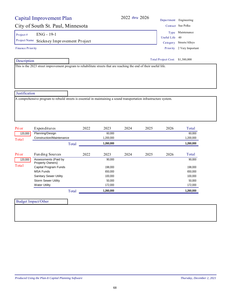| City of South St. Paul, Minnesota                                                                                    |           |      |      |                                 | Department Engineering    |
|----------------------------------------------------------------------------------------------------------------------|-----------|------|------|---------------------------------|---------------------------|
|                                                                                                                      |           |      |      |                                 | Contact Sue Polka         |
| ENG - 19-1<br>Project#                                                                                               |           |      |      |                                 | Type Maintenance          |
| Project Name                                                                                                         |           |      |      | Useful Life 40                  |                           |
| Stickney Improvement Project                                                                                         |           |      |      | Category                        | Streets/Alleys            |
| <b>Finance Priority</b>                                                                                              |           |      |      |                                 | Priority 2 Very Important |
| Description                                                                                                          |           |      |      | Total Project Cost: \$1,380,000 |                           |
| This is the 2023 street improvement program to rehabilitate streets that are reaching the end of their useful life.  |           |      |      |                                 |                           |
|                                                                                                                      |           |      |      |                                 |                           |
|                                                                                                                      |           |      |      |                                 |                           |
|                                                                                                                      |           |      |      |                                 |                           |
| Justification                                                                                                        |           |      |      |                                 |                           |
| A comprehensive program to rebuild streets is essential in maintaining a sound transportation infrastructure system. |           |      |      |                                 |                           |
|                                                                                                                      |           |      |      |                                 |                           |
|                                                                                                                      |           |      |      |                                 |                           |
|                                                                                                                      |           |      |      |                                 |                           |
|                                                                                                                      |           |      |      |                                 |                           |
|                                                                                                                      |           |      |      |                                 |                           |
| Pri or<br>2022<br>Expenditures                                                                                       | 2023      | 2024 | 2025 |                                 |                           |
| Planning/Design<br>120,000                                                                                           | 60,000    |      |      | 2026                            | Total                     |
|                                                                                                                      |           |      |      |                                 | 60,000                    |
| Construction/Maintenance<br>Total                                                                                    | 1,200,000 |      |      |                                 | 1,200,000                 |
| Total                                                                                                                | 1,260,000 |      |      |                                 | 1,260,000                 |
| 2022<br>Pri or<br>Funding Sources                                                                                    | 2023      | 2024 | 2025 | 2026                            | Total                     |
| Assessments (Paid by<br>120,000                                                                                      | 90,000    |      |      |                                 | 90,000                    |
| Property Owners)<br>Total                                                                                            | 198,000   |      |      |                                 | 198,000                   |
| Capital Program Funds<br><b>MSA Funds</b>                                                                            | 650,000   |      |      |                                 | 650,000                   |
| Sanitary Sewer Utility                                                                                               | 100,000   |      |      |                                 | 100,000                   |
| <b>Storm Sewer Utility</b>                                                                                           | 50,000    |      |      |                                 | 50,000                    |
| <b>Water Utility</b>                                                                                                 | 172,000   |      |      |                                 | 172,000                   |
| Total                                                                                                                | 1,260,000 |      |      |                                 | 1,260,000                 |
|                                                                                                                      |           |      |      |                                 |                           |
| <b>Budget Impact/Other</b>                                                                                           |           |      |      |                                 |                           |
|                                                                                                                      |           |      |      |                                 |                           |
|                                                                                                                      |           |      |      |                                 |                           |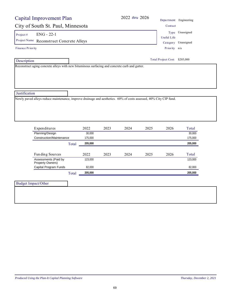| City of South St. Paul, Minnesota<br>ENG - 22-1<br>Project#<br>Project Name Reconstruct Concrete Alleys           |       |                    |      |      |      |                               | Department Engineering |
|-------------------------------------------------------------------------------------------------------------------|-------|--------------------|------|------|------|-------------------------------|------------------------|
|                                                                                                                   |       |                    |      |      |      | Contact                       |                        |
|                                                                                                                   |       |                    |      |      |      |                               | Type Unassigned        |
|                                                                                                                   |       |                    |      |      |      | <b>Useful Life</b>            |                        |
|                                                                                                                   |       |                    |      |      |      |                               | Category Unassigned    |
| <b>Finance Priority</b>                                                                                           |       |                    |      |      |      | Priority n/a                  |                        |
| Description                                                                                                       |       |                    |      |      |      | Total Project Cost: \$205,000 |                        |
| Justification                                                                                                     |       |                    |      |      |      |                               |                        |
| Newly paved alleys reduce maintenance, improve drainage and aesthetics. 60% of costs assessed, 40% City CIP fund. |       |                    |      |      |      |                               |                        |
| Expenditures                                                                                                      |       | 2022               | 2023 | 2024 | 2025 | 2026                          | Total                  |
| Planning/Design                                                                                                   |       | 30,000             |      |      |      |                               | 30,000                 |
| Construction/Maintenance                                                                                          | Total | 175,000<br>205,000 |      |      |      |                               | 175,000<br>205,000     |
|                                                                                                                   |       | 2022               | 2023 | 2024 | 2025 | 2026                          | Total                  |
| Funding Sources<br>Assessments (Paid by                                                                           |       | 123,000            |      |      |      |                               | 123,000                |
| Property Owners)<br>Capital Program Funds                                                                         |       | 82,000             |      |      |      |                               | 82,000                 |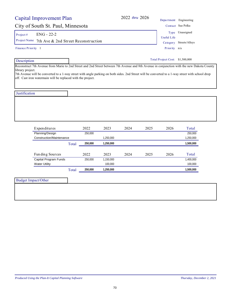| Capital Improvement Plan                                                                                                                                                                                                                                                                                                                                                          |         |                      | 2022 thru 2026 |      |                                 | Department Engineering |
|-----------------------------------------------------------------------------------------------------------------------------------------------------------------------------------------------------------------------------------------------------------------------------------------------------------------------------------------------------------------------------------|---------|----------------------|----------------|------|---------------------------------|------------------------|
| City of South St. Paul, Minnesota                                                                                                                                                                                                                                                                                                                                                 |         |                      |                |      |                                 | Contact Sue Polka      |
| $ENG - 22-2$<br>Project#                                                                                                                                                                                                                                                                                                                                                          |         |                      |                |      | Type<br><b>Useful Life</b>      | Unassigned             |
| Project Name<br>7th Ave & 2nd Street Reconstruction                                                                                                                                                                                                                                                                                                                               |         |                      |                |      | Category                        | Streets/Alleys         |
| Finance Priority 1                                                                                                                                                                                                                                                                                                                                                                |         |                      |                |      | Priority n/a                    |                        |
| Description                                                                                                                                                                                                                                                                                                                                                                       |         |                      |                |      | Total Project Cost: \$1,500,000 |                        |
| Reconstruct 7th Avenue from Marie to 2nd Street and 2nd Street between 7th Avenue and 8th Avenue in conjunction with the new Dakota County<br>library project.<br>7th Avenue will be converted to a 1-way street with angle parking on both sides. 2nd Street will be converted to a 1-way street with school drop<br>off. Cast iron watermain will be replaced with the project. |         |                      |                |      |                                 |                        |
| Justification                                                                                                                                                                                                                                                                                                                                                                     |         |                      |                |      |                                 |                        |
|                                                                                                                                                                                                                                                                                                                                                                                   |         |                      |                |      |                                 |                        |
| Expenditures                                                                                                                                                                                                                                                                                                                                                                      | 2022    | 2023                 | 2024           | 2025 | 2026                            | Total                  |
| Planning/Design                                                                                                                                                                                                                                                                                                                                                                   | 250,000 |                      |                |      |                                 | 250,000                |
| Construction/Maintenance                                                                                                                                                                                                                                                                                                                                                          |         | 1,250,000            |                |      |                                 | 1,250,000              |
| Total                                                                                                                                                                                                                                                                                                                                                                             | 250,000 | 1,250,000            |                |      |                                 | 1,500,000              |
| Funding Sources                                                                                                                                                                                                                                                                                                                                                                   | 2022    | 2023                 | 2024           | 2025 | 2026                            | Total                  |
| Capital Program Funds<br><b>Water Utility</b>                                                                                                                                                                                                                                                                                                                                     | 250,000 | 1,150,000<br>100,000 |                |      |                                 | 1,400,000<br>100,000   |
| Total                                                                                                                                                                                                                                                                                                                                                                             | 250,000 | 1,250,000            |                |      |                                 | 1,500,000              |

| Budget Impact/Other |  |
|---------------------|--|
|                     |  |
|                     |  |
|                     |  |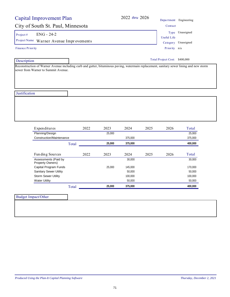|                  | Capital Improvement Plan                                                                                                                                                        |       |      |        | 2022 thru 2026 |      |                               | Department Engineering |
|------------------|---------------------------------------------------------------------------------------------------------------------------------------------------------------------------------|-------|------|--------|----------------|------|-------------------------------|------------------------|
|                  | City of South St. Paul, Minnesota                                                                                                                                               |       |      |        |                |      | Contact                       |                        |
| Project#         | <b>ENG - 24-2</b>                                                                                                                                                               |       |      |        |                |      |                               | Type Unassigned        |
|                  | Project Name Warner Avenue Improvements                                                                                                                                         |       |      |        |                |      | <b>Useful Life</b>            |                        |
|                  |                                                                                                                                                                                 |       |      |        |                |      |                               | Category Unassigned    |
| Finance Priority |                                                                                                                                                                                 |       |      |        |                |      | Priority n/a                  |                        |
| Description      |                                                                                                                                                                                 |       |      |        |                |      | Total Project Cost: \$400,000 |                        |
|                  | Reconstruction of Warner Avenue including curb and gutter, bituminous paving, watermain replacement, sanitary sewer lining and new storm<br>sewer from Warner to Summit Avenue. |       |      |        |                |      |                               |                        |
| Justification    |                                                                                                                                                                                 |       |      |        |                |      |                               |                        |
|                  |                                                                                                                                                                                 |       |      |        |                |      |                               |                        |
|                  |                                                                                                                                                                                 |       |      |        |                |      |                               |                        |
|                  | Expenditures                                                                                                                                                                    |       | 2022 | 2023   | 2024           | 2025 | 2026                          | Total                  |
|                  | Planning/Design                                                                                                                                                                 |       |      | 25,000 |                |      |                               | 25,000                 |
|                  | Construction/Maintenance                                                                                                                                                        |       |      |        | 375,000        |      |                               | 375,000                |
|                  |                                                                                                                                                                                 | Total |      | 25,000 | 375,000        |      |                               | 400,000                |
|                  | Funding Sources                                                                                                                                                                 |       | 2022 | 2023   | 2024           | 2025 | 2026                          | Total                  |
|                  | Assessments (Paid by                                                                                                                                                            |       |      |        | 30,000         |      |                               | 30,000                 |
|                  | Property Owners)<br>Capital Program Funds                                                                                                                                       |       |      | 25,000 | 145,000        |      |                               | 170,000                |
|                  | <b>Sanitary Sewer Utility</b>                                                                                                                                                   |       |      |        | 50,000         |      |                               | 50,000                 |
|                  | Storm Sewer Utility                                                                                                                                                             |       |      |        | 100,000        |      |                               | 100,000                |
|                  | <b>Water Utility</b>                                                                                                                                                            |       |      |        | 50,000         |      |                               | 50,000                 |
|                  |                                                                                                                                                                                 | Total |      | 25,000 | 375,000        |      |                               | 400,000                |
|                  |                                                                                                                                                                                 |       |      |        |                |      |                               |                        |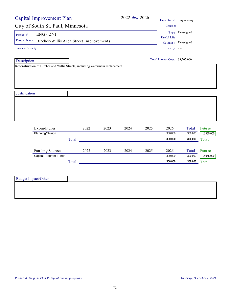|                         | <b>Capital Improvement Plan</b>                                                |       |      |      |      | 2022 thru 2026 |                                 | Department Engineering |           |
|-------------------------|--------------------------------------------------------------------------------|-------|------|------|------|----------------|---------------------------------|------------------------|-----------|
|                         | City of South St. Paul, Minnesota                                              |       |      |      |      |                | Contact                         |                        |           |
| Project $#$             | $ENG - 27-1$                                                                   |       |      |      |      |                | <b>Useful Life</b>              | Type Unassigned        |           |
|                         | Project Name Bircher/Willis Area Street Improvements                           |       |      |      |      |                |                                 | Category Unassigned    |           |
| <b>Finance Priority</b> |                                                                                |       |      |      |      |                | Priority n/a                    |                        |           |
| Description             |                                                                                |       |      |      |      |                | Total Project Cost: \$3,265,000 |                        |           |
|                         | Reconstruction of Bircher and Willis Streets, including watermain replacement. |       |      |      |      |                |                                 |                        |           |
| Justification           |                                                                                |       |      |      |      |                |                                 |                        |           |
|                         |                                                                                |       |      |      |      |                |                                 |                        |           |
|                         | Expenditures                                                                   |       | 2022 | 2023 | 2024 | 2025           | 2026                            | Total                  | Futu re   |
|                         | Planning/Design                                                                |       |      |      |      |                | 300,000                         | 300,000                | 2,965,000 |
|                         |                                                                                | Total |      |      |      |                | 300,000                         | 300,000                | Total     |
|                         | Funding Sources                                                                |       | 2022 | 2023 | 2024 | 2025           | 2026                            | Total                  | Futu re   |
|                         | Capital Program Funds                                                          |       |      |      |      |                | 300,000                         | 300,000                | 2,965,000 |
|                         |                                                                                | Total |      |      |      |                | 300,000                         | 300,000                | Total     |
|                         | <b>Budget Impact/Other</b>                                                     |       |      |      |      |                |                                 |                        |           |
|                         |                                                                                |       |      |      |      |                |                                 |                        |           |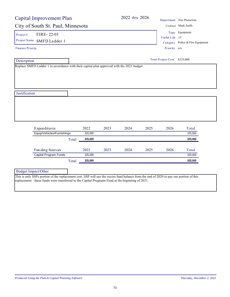| <b>Capital Improvement Plan</b>                                                           |         |      | 2022 thru 2026 |      |                               | Department Fire Protection       |
|-------------------------------------------------------------------------------------------|---------|------|----------------|------|-------------------------------|----------------------------------|
| City of South St. Paul, Minnesota                                                         |         |      |                |      |                               | Contact Mark Juelfs              |
| FIRE-22-03<br>Project#                                                                    |         |      |                |      |                               | Type Equipment                   |
| Project Name<br>SMFD Ladder 1                                                             |         |      |                |      | Useful Life 15                |                                  |
|                                                                                           |         |      |                |      |                               | Category Police & Fire Equipment |
| <b>Finance Priority</b>                                                                   |         |      |                |      | Priority n/a                  |                                  |
| Description                                                                               |         |      |                |      | Total Project Cost: \$325,000 |                                  |
| Replace SMFD Ladder 1 in accordance with their capital plan approved with the 2021 budget |         |      |                |      |                               |                                  |
|                                                                                           |         |      |                |      |                               |                                  |
|                                                                                           |         |      |                |      |                               |                                  |
|                                                                                           |         |      |                |      |                               |                                  |
|                                                                                           |         |      |                |      |                               |                                  |
| Justification                                                                             |         |      |                |      |                               |                                  |
|                                                                                           |         |      |                |      |                               |                                  |
|                                                                                           |         |      |                |      |                               |                                  |
|                                                                                           |         |      |                |      |                               |                                  |
|                                                                                           |         |      |                |      |                               |                                  |
|                                                                                           |         |      |                |      |                               |                                  |
|                                                                                           |         |      |                |      |                               |                                  |
| Expenditures                                                                              | 2022    | 2023 | 2024           | 2025 | 2026                          | Total                            |
| Equip/Vehicles/Furnishings                                                                | 325,000 |      |                |      |                               | 325,000                          |
| Total                                                                                     | 325,000 |      |                |      |                               | 325,000                          |
|                                                                                           |         |      |                |      |                               |                                  |
| Fun ding Sources                                                                          | 2022    | 2023 | 2024           | 2025 | 2026                          | Total                            |
| Capital Program Funds                                                                     | 325,000 |      |                |      |                               | 325,000                          |
| Total                                                                                     | 325,000 |      |                |      |                               | 325,000                          |
|                                                                                           |         |      |                |      |                               |                                  |
| <b>Budget Impact/Other</b>                                                                |         |      |                |      |                               |                                  |

This is only SSPs portion of the replacement cost. SSP will use the excess fund balance from the end of 2020 to pay our portion of this replacement - these funds were transferred to the Capital Programs Fund at the beginning of 2021.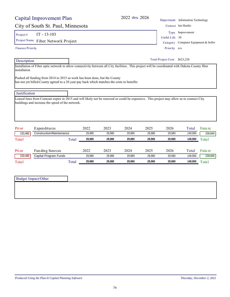| Pri or  | Expenditures             | 2022   | 2023   | 2024   | 2025   | 2026   | Total   | Futu re |
|---------|--------------------------|--------|--------|--------|--------|--------|---------|---------|
| 233,480 | Construction/Maintenance | 29.980 | 29.980 | 29.980 | 29.980 | 29.980 | 149,900 | 239,840 |
| Total   | Total                    | 29,980 | 29.980 | 29.980 | 29.980 | 29.980 | 149,900 | Total   |
| Pri or  | Fun ding Sources         | 2022   | 2023   | 2024   | 2025   | 2026   | Total   | Futu re |
| 233,480 | Capital Program Funds    | 29.980 | 29.980 | 29.980 | 29.980 | 29.980 | 149,900 | 239,840 |
| Total   | Total                    | 29,980 | 29.980 | 29.980 | 29.980 | 29.980 | 149,900 | Total   |

| <b>Justification</b>                             |                                                                                                                                          |  |
|--------------------------------------------------|------------------------------------------------------------------------------------------------------------------------------------------|--|
| buildings and increase the speed of the network. | Leased lines from Comcast expire in 2015 and will likely not be renewed or could be expensive. This project may allow us to connect City |  |
|                                                  |                                                                                                                                          |  |

Installation of Fiber optic network to allow connectivity between all City facilities. This project will be coordinated with Dakota County fiber

| Project $#$ | IT - 13-103                        |
|-------------|------------------------------------|
|             | Project Name Fiber Network Project |

Pushed all funding from 2014 to 2015 as work has been done, but the County

has not yet billed.County agreed to a 20 year pay back which matches the costs to benefits

#### Finance Priority

Capital Improvement Plan

Description

Budget Impact/Other

installation

Priority n/a Total Project Cost: \$623,220

Category Computer Equipment & Softw

Type Improvement

Useful Life 30

City of South St. Paul, Minnesota Contact Ian Hardie 2022 *thru* 2026 Department Information Technology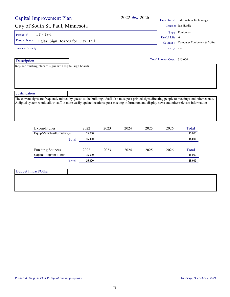## City of South St. Paul, Minnesota

#### Project # IT -  $18-1$

Project Name Digital Sign Boards for City Hall Category Computer Equipment & Softw

Finance Priority

Description

Replace existing placard signs with digital sign boards

|               | <u>separ unione - mnormauch rechnicity</u> |
|---------------|--------------------------------------------|
|               | Contact Ian Hardie                         |
|               | Type Equipment                             |
| Useful Life 6 |                                            |
|               | Category Computer Equipment &              |

Total Project Cost: \$15,000

Priority n/a

**Justification** 

The current signs are frequently missed by guests to the building. Staff also must post printed signs directing people to meetings and other events. A digital system would allow staff to more easily update locations, post meeting information and display news and other relevant information

| Expenditures               | 2022   | 2023 | 2024 | 2025 | 2026 | Total  |
|----------------------------|--------|------|------|------|------|--------|
| Equip/Vehicles/Furnishings | 15.000 |      |      |      |      | 15,000 |
| Total                      | 15,000 |      |      |      |      | 15,000 |
| Funding Sources            | 2022   | 2023 | 2024 | 2025 | 2026 | Total  |
| Capital Program Funds      | 15.000 |      |      |      |      | 15,000 |
|                            |        |      |      |      |      |        |

Budget Impact/Other

2022 *thru* 2026 Department Information Technology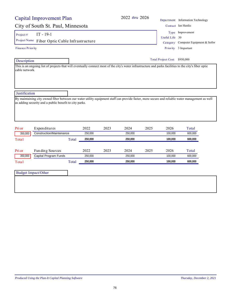|                                    | Capital Improvement Plan   |         |      | 2022 thru 2026 |      |                         | Department Information Technology |
|------------------------------------|----------------------------|---------|------|----------------|------|-------------------------|-----------------------------------|
| City of South St. Paul, Minnesota  |                            |         |      |                |      |                         | Contact Ian Hardie                |
| Project#                           | $IT - 19-1$                |         |      |                |      |                         | Type Improvement                  |
| Project Name                       |                            |         |      |                |      | Useful Life<br>Category | 30                                |
| Fiber Optic Cable Infrastructure   |                            |         |      |                |      |                         | Computer Equipment & Softw        |
| <b>Finance Priority</b>            |                            |         |      |                |      | Priority                | 3 Important                       |
|                                    | Description                |         |      |                |      |                         | Total Project Cost: \$950,000     |
|                                    |                            |         |      |                |      |                         |                                   |
| Justification                      |                            |         |      |                |      |                         |                                   |
|                                    |                            |         |      |                |      |                         |                                   |
|                                    |                            |         |      |                |      |                         |                                   |
|                                    | Expenditures               | 2022    | 2023 | 2024           | 2025 | 2026                    | Total                             |
| 350,000                            | Construction/Maintenance   | 250,000 |      | 250,000        |      | 100,000                 | 600,000                           |
|                                    | Total                      | 250,000 |      | 250,000        |      | 100,000                 | 600,000                           |
|                                    | Fun ding Sources           | 2022    | 2023 | 2024           | 2025 | 2026                    | Total                             |
| 350,000                            | Capital Program Funds      | 250,000 |      | 250,000        |      | 100,000                 | 600,000                           |
|                                    | Total                      | 250,000 |      | 250,000        |      | 100,000                 | 600,000                           |
| Pri or<br>Total<br>Pri or<br>Total | <b>Budget Impact/Other</b> |         |      |                |      |                         |                                   |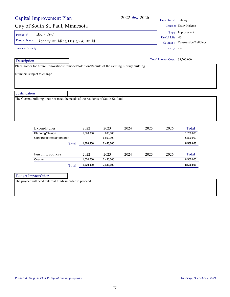| Capital Improvement Plan                                                                                                      |       |                   |                        | 2022 thru 2026 |      | Department Library              |                                 |
|-------------------------------------------------------------------------------------------------------------------------------|-------|-------------------|------------------------|----------------|------|---------------------------------|---------------------------------|
| City of South St. Paul, Minnesota                                                                                             |       |                   |                        |                |      |                                 | Contact Kathy Halgren           |
| Bld - 18-7<br>Project#                                                                                                        |       |                   |                        |                |      |                                 | Type Improvement                |
|                                                                                                                               |       |                   |                        |                |      | Useful Life 40                  |                                 |
| Project Name Library Building Design & Build                                                                                  |       |                   |                        |                |      |                                 | Category Construction/Buildings |
| <b>Finance Priority</b>                                                                                                       |       |                   |                        |                |      | Priority n/a                    |                                 |
| Description                                                                                                                   |       |                   |                        |                |      | Total Project Cost: \$8,500,000 |                                 |
| Place holder for future Renovations/Remodel/Addition/Rebuild of the existing Library building                                 |       |                   |                        |                |      |                                 |                                 |
|                                                                                                                               |       |                   |                        |                |      |                                 |                                 |
|                                                                                                                               |       |                   |                        |                |      |                                 |                                 |
|                                                                                                                               |       |                   |                        |                |      |                                 |                                 |
| Expenditures                                                                                                                  |       | 2022              | 2023                   | 2024           | 2025 | 2026                            | Total                           |
| Planning/Design                                                                                                               |       | 1,020,000         | 680,000                |                |      |                                 | 1,700,000                       |
| Construction/Maintenance                                                                                                      | Total | 1,020,000         | 6,800,000<br>7,480,000 |                |      |                                 | 6,800,000<br>8,500,000          |
|                                                                                                                               |       |                   |                        |                |      |                                 |                                 |
| Justification<br>The Current building does not meet the needs of the residents of South St. Paul<br>Funding Sources<br>County |       | 2022<br>1,020,000 | 2023<br>7,480,000      | 2024           | 2025 | 2026                            | Total<br>8,500,000              |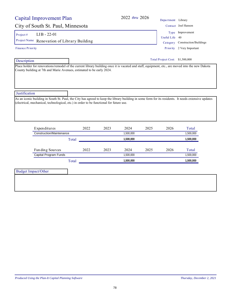## City of South St. Paul, Minnesota Contact Joel Hanson

Project #  $LIB - 22-01$ 

Project Name Renovation of Library Building Category Construction/Buildings

Finance Priority

Description

Total Project Cost: \$1,500,000

Place holder for renovations/remodel of the current library building once it is vacated and staff, equipment, etc., are moved into the new Dakota County building at 7th and Marie Avenues, estimated to be early 2024.

**Justification** 

As an iconic building in South St. Paul, the City has agreed to keep the library building in some form for its residents. It needs extensive updates (electrical, mechanical, technological, etc.) in order to be functional for future use.

| Expenditures             |       | 2022 | 2023 | 2024      | 2025 | 2026 | Total     |
|--------------------------|-------|------|------|-----------|------|------|-----------|
| Construction/Maintenance |       |      |      | 1,500,000 |      |      | 1,500,000 |
|                          | Total |      |      | 1,500,000 |      |      | 1,500,000 |
| Funding Sources          |       | 2022 | 2023 | 2024      | 2025 | 2026 | Total     |
| Capital Program Funds    |       |      |      | 1,500,000 |      |      | 1,500,000 |
|                          | Total |      |      | 1,500,000 |      |      | 1,500,000 |

Budget Impact/Other

2022 *thru* 2026 Department Library

Useful Life 40 Type Improvement

Priority 2 Very Important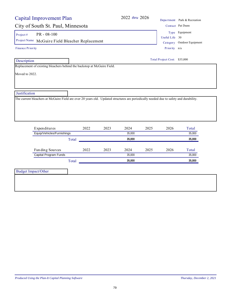| <b>Capital Improvement Plan</b>                                                                                                                         |       |      | 2022 thru 2026 |      |                              | Department Park & Recreation |
|---------------------------------------------------------------------------------------------------------------------------------------------------------|-------|------|----------------|------|------------------------------|------------------------------|
| City of South St. Paul, Minnesota                                                                                                                       |       |      |                |      |                              | Contact Pat Dunn             |
| $PR - 08 - 100$<br>Project#                                                                                                                             |       |      |                |      |                              | Type Equipment               |
| Project Name McGuire Field Bleacher Replacement                                                                                                         |       |      |                |      | Useful Life 30               |                              |
| <b>Finance Priority</b>                                                                                                                                 |       |      |                |      | Category<br>Priority n/a     | Outdoor Equipment            |
| Description                                                                                                                                             |       |      |                |      | Total Project Cost: \$35,000 |                              |
| Replacement of existing bleachers behind the backstop at McGuire Field.                                                                                 |       |      |                |      |                              |                              |
|                                                                                                                                                         |       |      |                |      |                              |                              |
| Justification<br>The current bleachers at McGuire Field are over 20 years old. Updated structures are periodically needed due to safety and durability. |       |      |                |      |                              |                              |
|                                                                                                                                                         | 2022  | 2023 | 2024           | 2025 | 2026                         |                              |
| Expenditures<br>Equip/Vehicles/Furnishings                                                                                                              |       |      | 35,000         |      |                              | Total<br>35,000              |
|                                                                                                                                                         | Total |      | 35,000         |      |                              | 35,000                       |
| Funding Sources                                                                                                                                         | 2022  | 2023 | 2024           | 2025 | 2026                         | Total                        |
| Capital Program Funds                                                                                                                                   |       |      | 35,000         |      |                              | 35,000                       |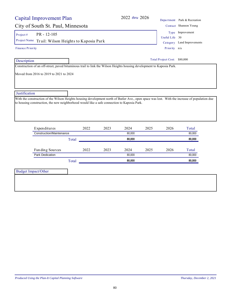| Capital Improvement Plan                                                                                                                                                                                                                                       |       |      |      | 2022 thru 2026 |                                                |                              | Department Park & Recreation |
|----------------------------------------------------------------------------------------------------------------------------------------------------------------------------------------------------------------------------------------------------------------|-------|------|------|----------------|------------------------------------------------|------------------------------|------------------------------|
| City of South St. Paul, Minnesota                                                                                                                                                                                                                              |       |      |      |                |                                                |                              | Contact Shannon Young        |
| PR - 12-105<br>Project#<br>Project Name Trail: Wilson Heights to Kaposia Park                                                                                                                                                                                  |       |      |      | Useful Life 30 | Type Improvement<br>Category Land Improvements |                              |                              |
| Finance Priority                                                                                                                                                                                                                                               |       |      |      |                |                                                | Priority n/a                 |                              |
| Description                                                                                                                                                                                                                                                    |       |      |      |                |                                                | Total Project Cost: \$80,000 |                              |
| Justification<br>With the construction of the Wilson Heights housing development north of Butler Ave., open space was lost. With the increase of population due<br>to housing construction, the new neighborhood would like a safe connection to Kaposia Park. |       |      |      |                |                                                |                              |                              |
| Expenditures                                                                                                                                                                                                                                                   |       | 2022 | 2023 | 2024           | 2025                                           | 2026                         | Total                        |
| Construction/Maintenance                                                                                                                                                                                                                                       |       |      |      | 80,000         |                                                |                              | 80,000                       |
|                                                                                                                                                                                                                                                                | Total |      |      | 80,000         |                                                |                              | 80,000                       |
| Funding Sources                                                                                                                                                                                                                                                |       | 2022 | 2023 | 2024           | 2025                                           | 2026                         | Total                        |
| <b>Park Dedication</b>                                                                                                                                                                                                                                         |       |      |      | 80.000         |                                                |                              | 80,000                       |
|                                                                                                                                                                                                                                                                | Total |      |      | 80,000         |                                                |                              | 80,000                       |
| <b>Budget Impact/Other</b>                                                                                                                                                                                                                                     |       |      |      |                |                                                |                              |                              |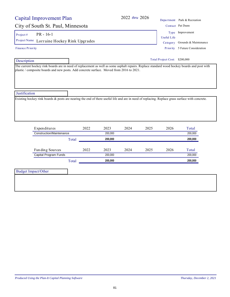| Capital Improvement Plan                                                                                                                        |       |      |         | 2022 thru 2026 |      |                               | Department Park & Recreation    |
|-------------------------------------------------------------------------------------------------------------------------------------------------|-------|------|---------|----------------|------|-------------------------------|---------------------------------|
| City of South St. Paul, Minnesota                                                                                                               |       |      |         |                |      |                               | Contact Pat Dunn                |
| $PR - 16-1$<br>Project#                                                                                                                         |       |      |         |                |      |                               | Type Improvement                |
| Project Name<br>Lorraine Hockey Rink Upgrades                                                                                                   |       |      |         |                |      | <b>Useful Life</b>            | Category Grounds & Maintenance  |
| <b>Finance Priority</b>                                                                                                                         |       |      |         |                |      |                               | Priority 5 Future Consideration |
| Description                                                                                                                                     |       |      |         |                |      | Total Project Cost: \$200,000 |                                 |
| plastic / composite boards and new posts. Add concrete surface. Moved from 2016 to 2021.                                                        |       |      |         |                |      |                               |                                 |
| Justification                                                                                                                                   |       |      |         |                |      |                               |                                 |
| Existing hockey rink boards & posts are nearing the end of there useful life and are in need of replacing. Replace grass surface with concrete. |       |      |         |                |      |                               |                                 |
| Expenditures                                                                                                                                    |       | 2022 | 2023    | 2024           | 2025 | 2026                          | Total                           |
| Construction/Maintenance                                                                                                                        |       |      | 200.000 |                |      |                               | 200,000                         |
|                                                                                                                                                 | Total |      | 200,000 |                |      |                               | 200,000                         |
| Fun ding Sources                                                                                                                                |       | 2022 | 2023    | 2024           | 2025 | 2026                          | Total                           |
| Capital Program Funds                                                                                                                           |       |      | 200.000 |                |      |                               | 200.000                         |

Total **200,000 200,000**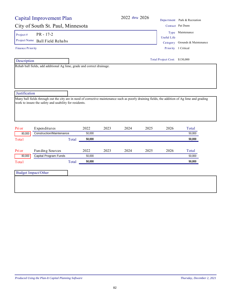|                         | <b>Capital Improvement Plan</b>                                                                                                                                                                           |       |        |      | 2022 thru 2026 |                               | Department Park & Recreation   |
|-------------------------|-----------------------------------------------------------------------------------------------------------------------------------------------------------------------------------------------------------|-------|--------|------|----------------|-------------------------------|--------------------------------|
|                         | City of South St. Paul, Minnesota                                                                                                                                                                         |       |        |      |                |                               | Contact Pat Dunn               |
| Project#                | PR - 17-2                                                                                                                                                                                                 |       |        |      |                | <b>Useful Life</b>            | Type Maintenance               |
|                         | Project Name Ball Field Rehabs                                                                                                                                                                            |       |        |      |                |                               | Category Grounds & Maintenance |
| <b>Finance Priority</b> |                                                                                                                                                                                                           |       |        |      |                |                               | Priority 1 Critical            |
| Description             |                                                                                                                                                                                                           |       |        |      |                | Total Project Cost: \$130,000 |                                |
|                         | Rehab ball fields, add additional Ag lime, grade and correct drainage.                                                                                                                                    |       |        |      |                |                               |                                |
| Justification<br>Pri or | Many ball fields through out the city are in need of corrective maintenance such as poorly draining fields, the addition of Ag lime and grading<br>work to insure the safety and usability for residents. |       | 2022   | 2023 | 2024           | 2025<br>2026                  | Total                          |
| 80,000                  | Expenditures<br><b>Construction/Maintenance</b>                                                                                                                                                           |       | 50,000 |      |                |                               | 50,000                         |
| Total                   |                                                                                                                                                                                                           | Total | 50,000 |      |                |                               | 50,000                         |
| Pri or                  | Fun ding Sources                                                                                                                                                                                          |       | 2022   | 2023 | 2024           | 2025<br>2026                  | Total                          |
|                         | Capital Program Funds                                                                                                                                                                                     |       | 50,000 |      |                |                               | 50,000                         |
| 80,000                  |                                                                                                                                                                                                           |       |        |      |                |                               |                                |
|                         |                                                                                                                                                                                                           | Total | 50,000 |      |                |                               | 50,000                         |
| Total                   | <b>Budget Impact/Other</b>                                                                                                                                                                                |       |        |      |                |                               |                                |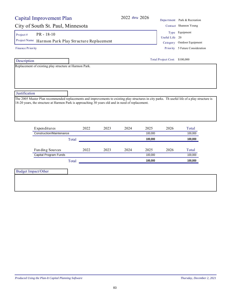## City of South St. Paul, Minnesota Contact Shannon Young

Project #  $PR - 18-10$ 

Project Name Harmon Park Play Structure Replacement Category Outdoor Equipment

Finance Priority

Description

Replacement of existing play structure at Harmon Park.

**Justification** 

The 2005 Master Plan recommended replacements and improvements to existing play structures in city parks. Th useful life of a play structure is 18-20 years, the structure at Harmon Park is approaching 30 years old and in need of replacement.

| Total |      |      | 100,000<br>100,000 |      | 100,000 |
|-------|------|------|--------------------|------|---------|
|       |      |      |                    |      | 100,000 |
|       |      |      |                    |      |         |
| 2022  | 2023 | 2024 | 2025               | 2026 | Total   |
|       |      |      | 100,000            |      | 100.000 |
| Total |      |      | 100,000            |      | 100.000 |
|       |      |      |                    |      |         |

83

Budget Impact/Other

Useful Life 20 Type Equipment

| Total Project Cost: | \$100,000 |
|---------------------|-----------|
|---------------------|-----------|

Priority 5 Future Consideration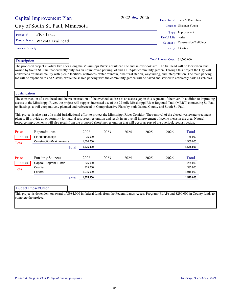|                         | Capital Improvement Plan                                                                                                                                                                                                                                                                                                                                                                                                                                        |                        |      | 2022 thru 2026 |      |                                 | Department Park & Recreation                                                                                                                       |
|-------------------------|-----------------------------------------------------------------------------------------------------------------------------------------------------------------------------------------------------------------------------------------------------------------------------------------------------------------------------------------------------------------------------------------------------------------------------------------------------------------|------------------------|------|----------------|------|---------------------------------|----------------------------------------------------------------------------------------------------------------------------------------------------|
|                         | City of South St. Paul, Minnesota                                                                                                                                                                                                                                                                                                                                                                                                                               |                        |      |                |      |                                 | Contact Shannon Young                                                                                                                              |
| Project#                | PR - 18-11                                                                                                                                                                                                                                                                                                                                                                                                                                                      |                        |      |                |      | Type                            | Improvement                                                                                                                                        |
| Project Name            | Wakota Trailhead                                                                                                                                                                                                                                                                                                                                                                                                                                                |                        |      |                |      | Useful Life                     | varies                                                                                                                                             |
|                         |                                                                                                                                                                                                                                                                                                                                                                                                                                                                 |                        |      |                |      | Category                        | Construction/Buildings                                                                                                                             |
| <b>Finance Priority</b> |                                                                                                                                                                                                                                                                                                                                                                                                                                                                 |                        |      |                |      | Priority                        | 1 Critical                                                                                                                                         |
| Description             |                                                                                                                                                                                                                                                                                                                                                                                                                                                                 |                        |      |                |      | Total Project Cost: \$1,700,000 |                                                                                                                                                    |
|                         | owned by South St. Paul that currently only has an unimproved parking lot and a 107-plot community garden. Through this project the City will<br>construct a trailhead facility with picnic facilities, restrooms, water fountain, bike fix-it station, wayfinding, and interpretation. The main parking<br>lot will be expanded to add 5 stalls, while the shared parking with the community garden will be paved and striped to efficiently park 44 vehicles. |                        |      |                |      |                                 |                                                                                                                                                    |
| Justification           |                                                                                                                                                                                                                                                                                                                                                                                                                                                                 |                        |      |                |      |                                 |                                                                                                                                                    |
|                         | to Hastings, a trail cooperatively planned and referenced in Comprehensive Plans by both Dakota County and South St. Paul.                                                                                                                                                                                                                                                                                                                                      |                        |      |                |      |                                 | access to the Mississippi River, the project will support increased use of the 27-mile Mississippi River Regional Trail (MRRT) connecting St. Paul |
|                         | This project is also part of a multi-jurisdictional effort to protect the Mississippi River Corridor. The removal of the closed wastewater treatment<br>plant w ill provide an opportunity for natural resources restoration and result in an overall improvement of scenic views in the area. Natural<br>resource improvements will also result from the proposed shoreline restoration that will occur as part of the overlook reconstruction.                |                        |      |                |      |                                 |                                                                                                                                                    |
| Pri or                  | Expenditures                                                                                                                                                                                                                                                                                                                                                                                                                                                    | 2022                   | 2023 | 2024           | 2025 | 2026                            | Total                                                                                                                                              |
| 125,000                 | Planning/Design<br>Construction/Maintenance                                                                                                                                                                                                                                                                                                                                                                                                                     | 75,000                 |      |                |      |                                 | 75,000                                                                                                                                             |
| Total                   | Total                                                                                                                                                                                                                                                                                                                                                                                                                                                           | 1,500,000<br>1,575,000 |      |                |      |                                 | 1,500,000<br>1,575,000                                                                                                                             |
| Pri or                  | Funding Sources                                                                                                                                                                                                                                                                                                                                                                                                                                                 | 2022                   | 2023 | 2024           | 2025 | 2026                            | Total                                                                                                                                              |
| 125,000                 | Capital Program Funds                                                                                                                                                                                                                                                                                                                                                                                                                                           | 225,000                |      |                |      |                                 | 225,000                                                                                                                                            |
|                         | County                                                                                                                                                                                                                                                                                                                                                                                                                                                          | 335,000                |      |                |      |                                 | 335,000                                                                                                                                            |
| Total                   | Federal                                                                                                                                                                                                                                                                                                                                                                                                                                                         | 1,015,000              |      |                |      |                                 | 1,015,000                                                                                                                                          |
|                         | Total                                                                                                                                                                                                                                                                                                                                                                                                                                                           | 1,575,000              |      |                |      |                                 | 1,575,000                                                                                                                                          |
|                         |                                                                                                                                                                                                                                                                                                                                                                                                                                                                 |                        |      |                |      |                                 |                                                                                                                                                    |
|                         | <b>Budget Impact/Other</b><br>This project is dependent on award of \$984,000 in federal funds from the Federal Lands Access Program (FLAP) and \$290,000 in County funds to                                                                                                                                                                                                                                                                                    |                        |      |                |      |                                 |                                                                                                                                                    |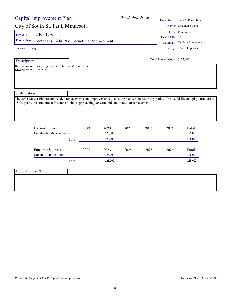## City of South St. Paul, Minnesota Contact Shannon Contact Shannon Contact Shannon Contact Shannon Co

Project #  $PR - 18-6$ 

Project Name Veterans Field Play Structure Replacement Category Out

Finance Priority

#### Description

Replacement of existing play structure at Veterans Field. Moved from 2019 to 2021.

# **Justification**

The 2005 Master Plan recommended replacements and improvements to existing play structures in city parks. The useful life of a play structure is 18-20 years, the structure at Veterans Field is approaching 30 years old and in need of replacement.

| Expenditures             |       | 2022 | 2023    | 2024 | 2025 | 2026 | Total   |
|--------------------------|-------|------|---------|------|------|------|---------|
| Construction/Maintenance |       |      | 125.000 |      |      |      | 125,000 |
|                          | Total |      | 125.000 |      |      |      | 125,000 |
| Funding Sources          |       | 2022 | 2023    | 2024 | 2025 | 2026 | Total   |
| Capital Program Funds    |       |      | 125.000 |      |      |      | 125.000 |
|                          | Total |      | 125.000 |      |      |      | 125.000 |
|                          |       |      |         |      |      |      |         |

Budget Impact/Other

|                | Department Park & Recreation |
|----------------|------------------------------|
|                | Contact Shannon Young        |
|                | Type Equipment               |
| Useful Life 20 |                              |
|                | Category Outdoor Equipmen    |
|                |                              |

Priority 2 Very Important

Total Project Cost: \$125,000

2022 *thru* 2026 Depa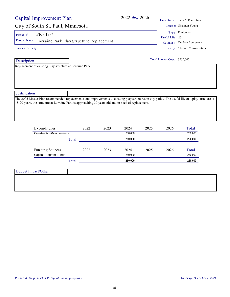## City of South St. Paul, Minnesota Contact Shannon Young

Project #  $PR - 18-7$ 

Project Name Lorraine Park Play Structure Replacement Category Outdoor Equipment

Finance Priority

 Description Replacement of existing play structure at Lorraine Park.

**Justification** 

The 2005 Master Plan recommended replacements and improvements to existing play structures in city parks. The useful life of a play structure is 18-20 years, the structure at Lorraine Park is approaching 30 years old and in need of replacement.

| Expenditures             | 2022  | 2023 | 2024    | 2025 | 2026 | Total   |
|--------------------------|-------|------|---------|------|------|---------|
| Construction/Maintenance |       |      | 250.000 |      |      | 250,000 |
|                          | Total |      | 250.000 |      |      | 250.000 |
| Funding Sources          | 2022  | 2023 | 2024    | 2025 | 2026 | Total   |
| Capital Program Funds    |       |      | 250.000 |      |      | 250.000 |
|                          |       |      |         |      |      |         |

Budget Impact/Other

2022 *thru* 2026 Department Park & Recreation Priority 5 Future Consideration Useful Life 20 Type Equipment

Total Project Cost: \$250,000

86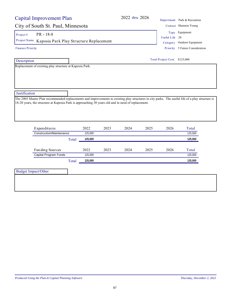## City of South St. Paul, Minnesota

Project #  $PR - 18-8$ 

Project Name Kaposia Park Play Structure Replacement  $C_a$ 

Finance Priority

Description

Replacement of existing play structure at Kaposia Park.

#### **Justification**

The 2005 Master Plan recommended replacements and improvements to existing play structures in city parks. The useful life of a play structure is 18-20 years, the structure at Kaposia Park is approaching 30 years old and in need of replacement.

| Expenditures             | 2022    | 2023 | 2024 | 2025 | 2026 | Total   |
|--------------------------|---------|------|------|------|------|---------|
| Construction/Maintenance | 125.000 |      |      |      |      | 125,000 |
| Total                    | 125,000 |      |      |      |      | 125,000 |
| Funding Sources          | 2022    | 2023 | 2024 | 2025 | 2026 | Total   |
| Capital Program Funds    | 125.000 |      |      |      |      | 125,000 |
|                          |         |      |      |      |      |         |

87

Budget Impact/Other

|                | Department Park & Recreation |
|----------------|------------------------------|
|                | Contact Shannon Young        |
|                | Type Equipment               |
| Useful Life 20 |                              |
|                | Category Outdoor Equipment   |

Priority 5 Future Consideration

Total Project Cost: \$125,000

2022 *thru* 2026 Depa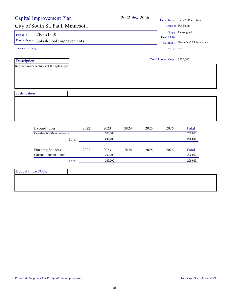| City of South St. Paul, Minnesota               | Capital Improvement Plan |      |                 | 2022 thru 2026 |                    |                               | Department Park & Recreation   |
|-------------------------------------------------|--------------------------|------|-----------------|----------------|--------------------|-------------------------------|--------------------------------|
|                                                 |                          |      |                 |                |                    |                               | Contact Pat Dunn               |
| $PR - 21 - 10$<br>Project#                      |                          |      |                 |                |                    |                               | Type Unassigned                |
| Project Name                                    |                          |      |                 |                | <b>Useful Life</b> |                               |                                |
|                                                 | Splash Pool Improvements |      |                 |                |                    |                               | Category Grounds & Maintenance |
| <b>Finance Priority</b>                         |                          |      |                 |                |                    | Priority n/a                  |                                |
| Description                                     |                          |      |                 |                |                    | Total Project Cost: \$200,000 |                                |
| Replace water features at the splash pad.       |                          |      |                 |                |                    |                               |                                |
|                                                 |                          |      |                 |                |                    |                               |                                |
|                                                 |                          |      |                 |                |                    |                               |                                |
|                                                 |                          |      |                 |                |                    |                               |                                |
|                                                 |                          |      |                 |                |                    |                               |                                |
| Justification                                   |                          |      |                 |                |                    |                               |                                |
|                                                 |                          |      |                 |                |                    |                               |                                |
|                                                 |                          |      |                 |                |                    |                               |                                |
|                                                 |                          |      |                 |                |                    |                               |                                |
|                                                 |                          |      |                 |                |                    |                               |                                |
|                                                 |                          |      |                 |                |                    |                               |                                |
|                                                 |                          |      |                 |                |                    |                               |                                |
| Expenditures<br><b>Construction/Maintenance</b> |                          | 2022 | 2023<br>200,000 | 2024           | 2025               | 2026                          | Total<br>200,000               |
|                                                 |                          |      |                 |                |                    |                               |                                |
|                                                 | Total                    |      | 200,000         |                |                    |                               | 200,000                        |
|                                                 |                          |      |                 |                |                    |                               |                                |
|                                                 |                          |      |                 |                |                    |                               |                                |
| Funding Sources                                 |                          | 2022 | 2023            | 2024           | 2025               | 2026                          | Total                          |
| Capital Program Funds                           |                          |      | 200,000         |                |                    |                               | 200,000                        |
|                                                 | Total                    |      | 200,000         |                |                    |                               | 200,000                        |
| <b>Budget Impact/Other</b>                      |                          |      |                 |                |                    |                               |                                |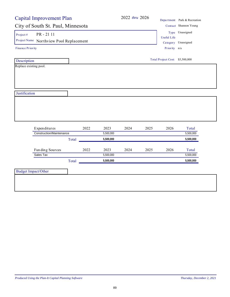|                                         | <b>Capital Improvement Plan</b> |      |           |                     |                    |                                 | Department Park & Recreation |
|-----------------------------------------|---------------------------------|------|-----------|---------------------|--------------------|---------------------------------|------------------------------|
| City of South St. Paul, Minnesota       |                                 |      |           |                     |                    |                                 | Contact Shannon Young        |
| PR-2111<br>Project#                     |                                 |      |           |                     | <b>Useful Life</b> | Type Unassigned                 |                              |
| Project Name Northview Pool Replacement |                                 |      |           | Category Unassigned |                    |                                 |                              |
| Finance Priority                        |                                 |      |           |                     |                    | Priority n/a                    |                              |
| Description                             |                                 |      |           |                     |                    | Total Project Cost: \$5,500,000 |                              |
| Replace existing pool.                  |                                 |      |           |                     |                    |                                 |                              |
|                                         |                                 |      |           |                     |                    |                                 |                              |
|                                         |                                 |      |           |                     |                    |                                 |                              |
|                                         |                                 |      |           |                     |                    |                                 |                              |
| Justification                           |                                 |      |           |                     |                    |                                 |                              |
|                                         |                                 |      |           |                     |                    |                                 |                              |
|                                         |                                 |      |           |                     |                    |                                 |                              |
|                                         |                                 |      |           |                     |                    |                                 |                              |
|                                         |                                 |      |           |                     |                    |                                 |                              |
|                                         |                                 |      |           |                     |                    |                                 |                              |
|                                         |                                 |      |           |                     |                    |                                 |                              |
| Expenditures                            |                                 | 2022 | 2023      | 2024                | 2025               | 2026                            | Total                        |
| <b>Construction/Maintenance</b>         |                                 |      | 5,500,000 |                     |                    |                                 | 5,500,000                    |
|                                         | Total                           |      | 5,500,000 |                     |                    |                                 | 5,500,000                    |
|                                         |                                 |      |           |                     |                    |                                 |                              |
| Funding Sources                         |                                 | 2022 | 2023      | 2024                | 2025               | 2026                            | Total                        |
| Sales Tax                               |                                 |      | 5,500,000 |                     |                    |                                 | 5,500,000                    |
|                                         | Total                           |      | 5,500,000 |                     |                    |                                 | 5,500,000                    |
| <b>Budget Impact/Other</b>              |                                 |      |           |                     |                    |                                 |                              |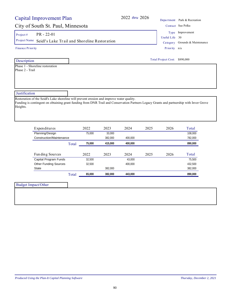Project #  $PR - 22-01$ 

Phase 1 - Shoreline restoration

Project Name Seidl's Lake Tr ail and Shoreline Restoration Category Grounds & Maintenance

| Finance Priority |  |
|------------------|--|
|------------------|--|

Description

Phase 2 - Trail

Total Project Cost: \$890,000

**Justification** 

Restoration of the Seidl's Lake shoreline will prevent erosion and improve water quality. Funding is contingent on obtaining grant funding from DNR Trail and Conservation Partners Legacy Grants and partnership with Inver Grove Heights.

| Expenditures                 |       | 2022   | 2023    | 2024    | 2025 | 2026 | Total   |
|------------------------------|-------|--------|---------|---------|------|------|---------|
| Planning/Design              |       | 75.000 | 33.000  |         |      |      | 108.000 |
| Construction/Maintenance     |       |        | 382.000 | 400.000 |      |      | 782.000 |
|                              | Total | 75.000 | 415.000 | 400.000 |      |      | 890,000 |
|                              |       |        |         |         |      |      |         |
|                              |       |        |         |         |      |      |         |
| Fun ding Sources             |       | 2022   | 2023    | 2024    | 2025 | 2026 | Total   |
| Capital Program Funds        |       | 32.500 |         | 43.000  |      |      | 75.500  |
| <b>Other Funding Sources</b> |       | 32.500 |         | 400.000 |      |      | 432.500 |
| <b>State</b>                 |       |        | 382.000 |         |      |      | 382.000 |
|                              | Total | 65.000 | 382.000 | 443.000 |      |      | 890.000 |

| <b>Budget Impact/Other</b> |  |
|----------------------------|--|
|                            |  |
|                            |  |

Useful Life 30 Type Improvement

Priority n/a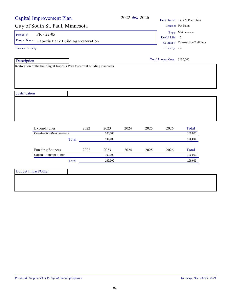| <b>Capital Improvement Plan</b>                                              |       |      |                    | 2022 thru 2026 |                |                                                     | Department Park & Recreation |
|------------------------------------------------------------------------------|-------|------|--------------------|----------------|----------------|-----------------------------------------------------|------------------------------|
| City of South St. Paul, Minnesota                                            |       |      |                    |                |                |                                                     | Contact Pat Dunn             |
| $PR - 22 - 05$<br>Project#<br>Project Name Kaposia Park Building Restoration |       |      |                    |                | Useful Life 15 | Type Maintenance<br>Category Construction/Buildings |                              |
| <b>Finance Priority</b>                                                      |       |      |                    |                |                | Priority n/a                                        |                              |
| Description                                                                  |       |      |                    |                |                | Total Project Cost: \$100,000                       |                              |
| Restoration of the building at Kaposia Park to current building standards.   |       |      |                    |                |                |                                                     |                              |
| Justification                                                                |       |      |                    |                |                |                                                     |                              |
|                                                                              |       |      |                    |                |                |                                                     |                              |
| Expenditures                                                                 |       | 2022 | 2023               | 2024           | 2025           | 2026                                                | Total                        |
| <b>Construction/Maintenance</b>                                              | Total |      | 100,000<br>100,000 |                |                |                                                     | 100,000<br>100,000           |
| Fun ding Sources                                                             |       | 2022 | 2023               | 2024           | 2025           | 2026                                                | Total                        |
| Capital Program Funds                                                        |       |      | 100,000            |                |                |                                                     | 100,000                      |
|                                                                              | Total |      | 100,000            |                |                |                                                     | 100,000                      |
| <b>Budget Impact/Other</b>                                                   |       |      |                    |                |                |                                                     |                              |
|                                                                              |       |      |                    |                |                |                                                     |                              |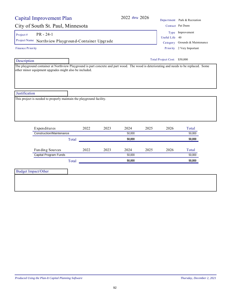92

Project #  $PR - 24-1$ 

Project Name Northview Playground-Container Upgrade Category Grounds & Maintenance

Finance Priority

#### Description

The playground container at Northview Playground is part concrete and part wood. The wood is deteriorating and needs to be replaced. Some other minor equipment upgrades might also be included.

**Justification** 

This project is needed to properly maintain the playground facility.

| Expenditures             |       | 2022 | 2023 | 2024   | 2025 | 2026 | Total  |
|--------------------------|-------|------|------|--------|------|------|--------|
| Construction/Maintenance |       |      |      | 50,000 |      |      | 50,000 |
|                          | Total |      |      | 50,000 |      |      | 50,000 |
| Funding Sources          |       | 2022 | 2023 | 2024   | 2025 | 2026 | Total  |
| Capital Program Funds    |       |      |      | 50,000 |      |      | 50,000 |
|                          |       |      |      | 50.000 |      |      | 50,000 |

Budget Impact/Other

City of South St. Paul, Minnesota Contact Pat Dunn Useful Life 40 Type Improvement

#### Total Project Cost: \$50,000

## Capital Improvement Plan

Priority 2 Very Important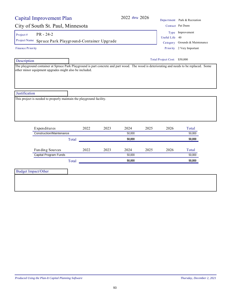#### The playground container at Spruce Park Playground is part concrete and part wood. The wood is deteriorating and needs to be replaced. Some

other minor equipment upgrades might also be included.

**Justification** 

Description

Finance Priority

This project is needed to properly maintain the playground facility.

| Expenditures             | 2022  | 2023 | 2024   | 2025 | 2026 | Total  |
|--------------------------|-------|------|--------|------|------|--------|
| Construction/Maintenance |       |      | 50,000 |      |      | 50,000 |
|                          | Total |      | 50.000 |      |      | 50,000 |
| Funding Sources          | 2022  | 2023 | 2024   | 2025 | 2026 | Total  |
| Capital Program Funds    |       |      | 50,000 |      |      | 50,000 |
|                          | Total |      | 50,000 |      |      | 50,000 |
|                          |       |      |        |      |      |        |

Budget Impact/Other



Priority 2 Very Important

#### Total Project Cost: \$50,000

2022 *thru* 2026 Department Park & Recreation

Capital Improvement Plan

Project #  $PR - 24-2$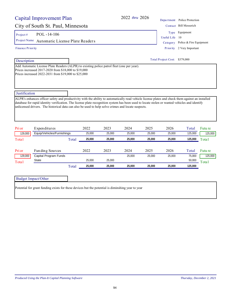| Project#                           | $POL - 14 - 106$                                                                                                                                                                                           |       |        |        |        |        |                            | Type Equipment                              |         |
|------------------------------------|------------------------------------------------------------------------------------------------------------------------------------------------------------------------------------------------------------|-------|--------|--------|--------|--------|----------------------------|---------------------------------------------|---------|
| Project Name                       | Automatic License Plate Readers                                                                                                                                                                            |       |        |        |        |        | Useful Life                | 10                                          |         |
|                                    | Finance Priority                                                                                                                                                                                           |       |        |        |        |        | Category<br>Priority       | Police & Fire Equipment<br>2 Very Important |         |
| Description                        |                                                                                                                                                                                                            |       |        |        |        |        | <b>Total Project Cost:</b> | \$379,000                                   |         |
|                                    | Add Automatic License Plate Readers (ALPR) to existing police patrol fleet (one per year).<br>Prices increased 2017-2020 from \$18,000 to \$19,000<br>Prices increased 2022-2031 from \$19,000 to \$25,000 |       |        |        |        |        |                            |                                             |         |
| Justification                      |                                                                                                                                                                                                            |       |        |        |        |        |                            |                                             |         |
|                                    | unlicensed drivers. The historical data can also be used to help solve crimes and locate suspects.                                                                                                         |       |        |        |        |        |                            |                                             |         |
|                                    |                                                                                                                                                                                                            |       |        |        |        |        |                            |                                             |         |
|                                    | Expenditures                                                                                                                                                                                               |       | 2022   | 2023   | 2024   | 2025   | 2026                       | Total                                       | Futu re |
| 129,000                            | Equip/Vehicles/Furnishings                                                                                                                                                                                 |       | 25,000 | 25,000 | 25,000 | 25,000 | 25,000                     | 125,000                                     | 125,000 |
|                                    |                                                                                                                                                                                                            | Total | 25,000 | 25,000 | 25,000 | 25,000 | 25,000                     | 125,000                                     | Total   |
|                                    | Funding Sources                                                                                                                                                                                            |       | 2022   | 2023   | 2024   | 2025   | 2026                       | Total                                       | Futu re |
| 129,000                            | Capital Program Funds<br><b>State</b>                                                                                                                                                                      |       | 25,000 | 25,000 | 25,000 | 25,000 | 25,000                     | 75,000<br>50,000                            | 125,000 |
| Pri or<br>Total<br>Pri or<br>Total |                                                                                                                                                                                                            | Total | 25,000 | 25,000 | 25,000 | 25,000 | 25,000                     | 125,000                                     | Total   |
|                                    | <b>Budget Impact/Other</b><br>Potential for grant funding exists for these devices but the potential is diminshing year to year                                                                            |       |        |        |        |        |                            |                                             |         |

City of South St. Paul, Minnesota Contact Bill Messerich

2022 *thru* 2026 Department Police Protection

Capital Improvement Plan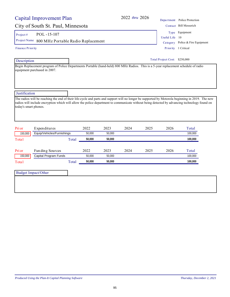|                                                                              | Capital Improvement Plan           |       |        |        |      | 2022 thru 2026 |                               | Department Police Protection                                                                                                                                                                                                                                                                     |
|------------------------------------------------------------------------------|------------------------------------|-------|--------|--------|------|----------------|-------------------------------|--------------------------------------------------------------------------------------------------------------------------------------------------------------------------------------------------------------------------------------------------------------------------------------------------|
|                                                                              | City of South St. Paul, Minnesota  |       |        |        |      |                |                               | Contact Bill Messerich                                                                                                                                                                                                                                                                           |
| Project#                                                                     | POL-15-107                         |       |        |        |      |                |                               | Type Equipment                                                                                                                                                                                                                                                                                   |
| Project Name                                                                 | 800 MHz Portable Radio Replacement |       |        |        |      |                | Useful Life                   | -10                                                                                                                                                                                                                                                                                              |
|                                                                              |                                    |       |        |        |      |                |                               | Category Police & Fire Equipment                                                                                                                                                                                                                                                                 |
| <b>Finance Priority</b>                                                      |                                    |       |        |        |      |                |                               | Priority 1 Critical                                                                                                                                                                                                                                                                              |
| Description                                                                  |                                    |       |        |        |      |                | Total Project Cost: \$250,000 |                                                                                                                                                                                                                                                                                                  |
|                                                                              | equipment purchased in 2007.       |       |        |        |      |                |                               |                                                                                                                                                                                                                                                                                                  |
|                                                                              |                                    |       |        |        |      |                |                               | The radios will be reaching the end of their life-cycle and parts and support will no longer be supported by Motorola beginning in 2019. The new<br>radios will include encryption which will allow the police department to communicate without being detected by advancing technology found on |
|                                                                              |                                    |       |        |        |      |                |                               |                                                                                                                                                                                                                                                                                                  |
|                                                                              | Expenditures                       |       | 2022   | 2023   | 2024 | 2025           | 2026                          | Total                                                                                                                                                                                                                                                                                            |
| 150,000                                                                      | Equip/Vehicles/Furnishings         |       | 50,000 | 50,000 |      |                |                               | 100,000                                                                                                                                                                                                                                                                                          |
|                                                                              |                                    | Total | 50,000 | 50,000 |      |                |                               | 100,000                                                                                                                                                                                                                                                                                          |
|                                                                              | Fun ding Sources                   |       | 2022   | 2023   | 2024 | 2025           | 2026                          | Total                                                                                                                                                                                                                                                                                            |
| 150,000                                                                      | Capital Program Funds              |       | 50,000 | 50,000 |      |                |                               | 100,000                                                                                                                                                                                                                                                                                          |
|                                                                              |                                    | Total | 50,000 | 50,000 |      |                |                               | 100,000                                                                                                                                                                                                                                                                                          |
| Justification<br>today's smart phones.<br>Pri or<br>Total<br>Pri or<br>Total | <b>Budget Impact/Other</b>         |       |        |        |      |                |                               |                                                                                                                                                                                                                                                                                                  |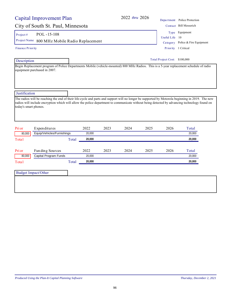|                                                                              | Capital Improvement Plan                                                                                                                                                                                                                                                                         |       |        |      |      | 2022 thru 2026 |                               | Department Police Protection     |
|------------------------------------------------------------------------------|--------------------------------------------------------------------------------------------------------------------------------------------------------------------------------------------------------------------------------------------------------------------------------------------------|-------|--------|------|------|----------------|-------------------------------|----------------------------------|
|                                                                              | City of South St. Paul, Minnesota                                                                                                                                                                                                                                                                |       |        |      |      |                |                               | Contact Bill Messerich           |
| Project#                                                                     | POL-15-108                                                                                                                                                                                                                                                                                       |       |        |      |      |                |                               | Type Equipment                   |
| Project Name                                                                 |                                                                                                                                                                                                                                                                                                  |       |        |      |      |                | Useful Life                   | 10                               |
|                                                                              | 800 MHz Mobile Radio Replacement                                                                                                                                                                                                                                                                 |       |        |      |      |                |                               | Category Police & Fire Equipment |
| Finance Priority                                                             |                                                                                                                                                                                                                                                                                                  |       |        |      |      |                |                               | Priority 1 Critical              |
| Description                                                                  |                                                                                                                                                                                                                                                                                                  |       |        |      |      |                | Total Project Cost: \$100,000 |                                  |
|                                                                              | Begin Replacement program of Police Departments Mobile (vehicle-mounted) 800 MHz Radios. This is a 5-year replacement schedule of radio<br>equipment purchased in 2007.                                                                                                                          |       |        |      |      |                |                               |                                  |
|                                                                              |                                                                                                                                                                                                                                                                                                  |       |        |      |      |                |                               |                                  |
|                                                                              | The radios will be reaching the end of their life-cycle and parts and support will no longer be supported by Motorola beginning in 2019. The new<br>radios will include encryption which will allow the police department to communicate without being detected by advancing technology found on |       |        |      |      |                |                               |                                  |
|                                                                              |                                                                                                                                                                                                                                                                                                  |       |        |      |      |                |                               |                                  |
|                                                                              | Expenditures                                                                                                                                                                                                                                                                                     |       | 2022   | 2023 | 2024 | 2025           | 2026                          | Total                            |
| 80,000                                                                       | Equip/Vehicles/Furnishings                                                                                                                                                                                                                                                                       |       | 20,000 |      |      |                |                               | 20,000                           |
|                                                                              |                                                                                                                                                                                                                                                                                                  | Total | 20,000 |      |      |                |                               | 20,000                           |
|                                                                              | Fun ding Sources                                                                                                                                                                                                                                                                                 |       | 2022   | 2023 | 2024 | 2025           | 2026                          | Total                            |
| 80,000                                                                       | Capital Program Funds                                                                                                                                                                                                                                                                            |       | 20,000 |      |      |                |                               | 20,000                           |
|                                                                              |                                                                                                                                                                                                                                                                                                  | Total | 20,000 |      |      |                |                               | 20,000                           |
| Justification<br>today's smart phones.<br>Pri or<br>Total<br>Pri or<br>Total | <b>Budget Impact/Other</b>                                                                                                                                                                                                                                                                       |       |        |      |      |                |                               |                                  |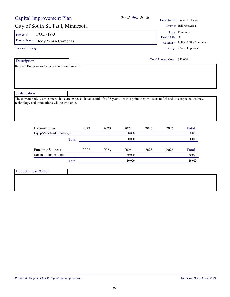## City of South St. Paul, Minnesota

**Description** 

Replace Body-Worn Cameras purchased in 2018.

| City of South St. Paul, Minnesota |               | Contact Bill Messerich           |
|-----------------------------------|---------------|----------------------------------|
| $POL - 19-3$<br>Project#          |               | Type Equipment                   |
|                                   | Useful Life 5 |                                  |
| Project Name Body Worn Cameras    |               | Category Police & Fire Equipment |
| <b>Finance Priority</b>           |               | Priority 2 Very Important        |

| Total Project Cost: \$50,000 |  |
|------------------------------|--|
|------------------------------|--|

**Justification** 

The current body-worn cameras have are expected have useful life of 5 years. At this point they will start to fail and it is expected that new technology and innovations will be available.

| Expenditures               | 2022 | 2023 | 2024   | 2025 | 2026 | Total  |
|----------------------------|------|------|--------|------|------|--------|
| Equip/Vehicles/Furnishings |      |      | 50.000 |      |      | 50,000 |
| Total                      |      |      | 50.000 |      |      | 50,000 |
|                            |      |      |        |      |      |        |
| Fun ding Sources           | 2022 | 2023 | 2024   | 2025 | 2026 | Total  |
| Capital Program Funds      |      |      | 50.000 |      |      | 50,000 |
| Total                      |      |      | 50.000 |      |      | 50,000 |

Budget Impact/Other

2022 *thru* 2026 Department Police Protection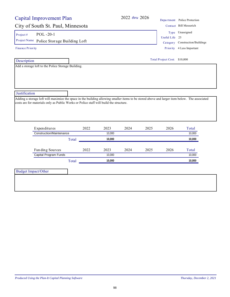## 2022 *thru* 2026 Depa

#### City of South St. Paul, Minnesota

Project #  $POL - 20-1$ 

Project Name Police Storage Building Loft Category Construction/Buildings

Finance Priority

Description

Add a storage loft to the Police Storage Building.

|                | Department Police Protection           |
|----------------|----------------------------------------|
|                | Contact Bill Messerich                 |
|                | Type Unassigned                        |
| Useful Life 25 |                                        |
|                | $\alpha$ , $\alpha$ , $\alpha$ $\beta$ |

Priority 4 Less Important

Total Project Cost: \$10,000

**Justification** 

Adding a storage loft will maximize the space in the building allowing smaller items to be stored above and larger item below. The associated costs are for materials only as Public Works or Police staff will build the structure.

| Expenditures                             | 2022 | 2023   | 2024 | 2025 | 2026 | Total  |
|------------------------------------------|------|--------|------|------|------|--------|
| Construction/Maintenance                 |      | 10.000 |      |      |      | 10,000 |
| Total                                    |      | 10.000 |      |      |      | 10,000 |
|                                          |      |        |      |      |      |        |
|                                          | 2022 | 2023   | 2024 | 2025 | 2026 | Total  |
| Funding Sources<br>Capital Program Funds |      | 10.000 |      |      |      | 10,000 |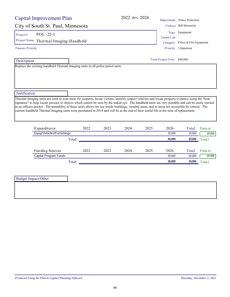| Capital Improvement Plan                                                                                                                                                                                                                                                                                                                                                                                                                                                                                                                                                                                              |       |      |      | 2022 thru 2026 |      |                              | Department Police Protection     |         |
|-----------------------------------------------------------------------------------------------------------------------------------------------------------------------------------------------------------------------------------------------------------------------------------------------------------------------------------------------------------------------------------------------------------------------------------------------------------------------------------------------------------------------------------------------------------------------------------------------------------------------|-------|------|------|----------------|------|------------------------------|----------------------------------|---------|
| City of South St. Paul, Minnesota                                                                                                                                                                                                                                                                                                                                                                                                                                                                                                                                                                                     |       |      |      |                |      |                              | Contact Bill Messerich           |         |
| POL-22-1<br>Project#                                                                                                                                                                                                                                                                                                                                                                                                                                                                                                                                                                                                  |       |      |      |                |      |                              | Type Equipment                   |         |
|                                                                                                                                                                                                                                                                                                                                                                                                                                                                                                                                                                                                                       |       |      |      |                |      | Useful Life                  |                                  |         |
| Project Name Thermal Imaging-Handheld                                                                                                                                                                                                                                                                                                                                                                                                                                                                                                                                                                                 |       |      |      |                |      |                              | Category Police & Fire Equipment |         |
| <b>Finance Priority</b>                                                                                                                                                                                                                                                                                                                                                                                                                                                                                                                                                                                               |       |      |      |                |      | Priority                     | 3 Important                      |         |
| Description                                                                                                                                                                                                                                                                                                                                                                                                                                                                                                                                                                                                           |       |      |      |                |      | Total Project Cost: \$40,000 |                                  |         |
| Replace the existing handheld Thermal Imaging units in all police patrol units.                                                                                                                                                                                                                                                                                                                                                                                                                                                                                                                                       |       |      |      |                |      |                              |                                  |         |
| Justification<br>Thermal Imaging units are used to scan areas for suspects, locate victims, identify suspect vehicles and locate property/evidence using the "heat<br>signature" to help locate persons or objects which cannot be seen by the naked eye. The handheld units are very portable and can be easily carried<br>in an officers pocket. The portability of these units allows for use inside buildings, wooded areas, and in areas not accessible by vehicle. The<br>current handheld Thermal Imaging units were purchased in 2014 and will be at the end of their useful life at the time of replacement. |       |      |      |                |      |                              |                                  |         |
| Expenditures                                                                                                                                                                                                                                                                                                                                                                                                                                                                                                                                                                                                          |       | 2022 | 2023 | 2024           | 2025 | 2026                         | Total                            | Futu re |
| Equip/Vehicles/Furnishings                                                                                                                                                                                                                                                                                                                                                                                                                                                                                                                                                                                            |       |      |      |                |      | 20,000                       | 20,000                           | 20,000  |
|                                                                                                                                                                                                                                                                                                                                                                                                                                                                                                                                                                                                                       | Total |      |      |                |      | 20,000                       | 20,000                           | Total   |
| Fun ding Sources                                                                                                                                                                                                                                                                                                                                                                                                                                                                                                                                                                                                      |       | 2022 | 2023 | 2024           | 2025 | 2026                         | Total                            | Futu re |
| Capital Program Funds                                                                                                                                                                                                                                                                                                                                                                                                                                                                                                                                                                                                 |       |      |      |                |      | 20,000                       | 20,000                           | 20,000  |
|                                                                                                                                                                                                                                                                                                                                                                                                                                                                                                                                                                                                                       | Total |      |      |                |      | 20,000                       | 20,000                           | Total   |
|                                                                                                                                                                                                                                                                                                                                                                                                                                                                                                                                                                                                                       |       |      |      |                |      |                              |                                  |         |
| <b>Budget Impact/Other</b>                                                                                                                                                                                                                                                                                                                                                                                                                                                                                                                                                                                            |       |      |      |                |      |                              |                                  |         |
|                                                                                                                                                                                                                                                                                                                                                                                                                                                                                                                                                                                                                       |       |      |      |                |      |                              |                                  |         |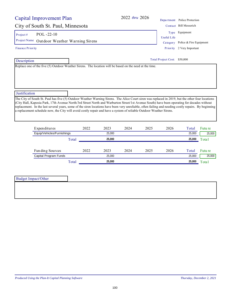| Capital Improvement Plan                                                                                                                                                                                                                                                                                                                                                                                                                                                                                                                                                        | $2022$ thru $2026$ |                              | Department Police Protection |
|---------------------------------------------------------------------------------------------------------------------------------------------------------------------------------------------------------------------------------------------------------------------------------------------------------------------------------------------------------------------------------------------------------------------------------------------------------------------------------------------------------------------------------------------------------------------------------|--------------------|------------------------------|------------------------------|
| City of South St. Paul, Minnesota                                                                                                                                                                                                                                                                                                                                                                                                                                                                                                                                               |                    |                              | Contact Bill Messerich       |
| $POL - 22-10$<br>Project $#$                                                                                                                                                                                                                                                                                                                                                                                                                                                                                                                                                    |                    | Type                         | Equipment                    |
| Project Name<br>Outdoor Weather Warning Sirens                                                                                                                                                                                                                                                                                                                                                                                                                                                                                                                                  |                    | Useful Life<br>Category      | Police & Fire Equipment      |
| Finance Priority                                                                                                                                                                                                                                                                                                                                                                                                                                                                                                                                                                |                    | Priority                     | 2 Very Important             |
| Description                                                                                                                                                                                                                                                                                                                                                                                                                                                                                                                                                                     |                    | Total Project Cost: \$50,000 |                              |
| Replace one of the five (5) Outdoor Weather Sirens. The location will be based on the need at the time.                                                                                                                                                                                                                                                                                                                                                                                                                                                                         |                    |                              |                              |
| Justification                                                                                                                                                                                                                                                                                                                                                                                                                                                                                                                                                                   |                    |                              |                              |
| The City of South St. Paul has five (5) Outdoor Weather Warning Sirens. The Alice Court siren was replaced in 2019, but the other four locations<br>(City Hall, Kaposia Park, 17th Avenue North/3rd Street North and Warburton Street/1st Avenue South) have been operating for decades without<br>replacement. In the last several years, some of the siren locations have been very unreliable, often failing and needing costly repairs. By beginning<br>a replacement schedule now, the City will avoid costly repair and have a system of reliable Outdoor Weather Sirens. |                    |                              |                              |

| Expenditures               | 2022 | 2023   | 2024 | 2025 | 2026 | Total  | Futu re |
|----------------------------|------|--------|------|------|------|--------|---------|
| Equip/Vehicles/Furnishings |      | 25,000 |      |      |      | 25,000 | 25,000  |
| Total                      |      | 25,000 |      |      |      | 25,000 | Total   |
|                            |      |        |      |      |      |        |         |
| Fun ding Sources           | 2022 | 2023   | 2024 | 2025 | 2026 | Total  | Futu re |
| Capital Program Funds      |      | 25.000 |      |      |      | 25,000 | 25,000  |
| Total                      |      | 25,000 |      |      |      | 25,000 | Total   |

| <b>Budget Impact/Other</b> |  |
|----------------------------|--|
|                            |  |
|                            |  |
|                            |  |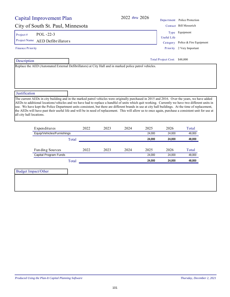|                          | Capital Improvement Plan                                                                               |       |      |      | 2022 thru 2026 |        |                              | Department Police Protection                                                                                                                                                                                                                                                                                                                                                                                                                                                                                                                                                                                      |
|--------------------------|--------------------------------------------------------------------------------------------------------|-------|------|------|----------------|--------|------------------------------|-------------------------------------------------------------------------------------------------------------------------------------------------------------------------------------------------------------------------------------------------------------------------------------------------------------------------------------------------------------------------------------------------------------------------------------------------------------------------------------------------------------------------------------------------------------------------------------------------------------------|
|                          | City of South St. Paul, Minnesota                                                                      |       |      |      |                |        |                              | Contact Bill Messerich                                                                                                                                                                                                                                                                                                                                                                                                                                                                                                                                                                                            |
| Project#                 | POL-22-3                                                                                               |       |      |      |                |        | <b>Useful Life</b>           | Type Equipment                                                                                                                                                                                                                                                                                                                                                                                                                                                                                                                                                                                                    |
| Project Name             | <b>AED</b> Defibrillators                                                                              |       |      |      |                |        | Category                     | Police & Fire Equipment                                                                                                                                                                                                                                                                                                                                                                                                                                                                                                                                                                                           |
| <b>Finance Priority</b>  |                                                                                                        |       |      |      |                |        | Priority                     | 2 Very Important                                                                                                                                                                                                                                                                                                                                                                                                                                                                                                                                                                                                  |
| Description              |                                                                                                        |       |      |      |                |        | Total Project Cost: \$48,000 |                                                                                                                                                                                                                                                                                                                                                                                                                                                                                                                                                                                                                   |
|                          | Replace the AED (Automated External Defibrillators) at City Hall and in marked police patrol vehicles. |       |      |      |                |        |                              |                                                                                                                                                                                                                                                                                                                                                                                                                                                                                                                                                                                                                   |
|                          |                                                                                                        |       |      |      |                |        |                              |                                                                                                                                                                                                                                                                                                                                                                                                                                                                                                                                                                                                                   |
| Justification            |                                                                                                        |       |      |      |                |        |                              |                                                                                                                                                                                                                                                                                                                                                                                                                                                                                                                                                                                                                   |
| all city hall locations. |                                                                                                        |       |      |      |                |        |                              | The current AEDs in city building and in the marked patrol vehicles were originally purchased in 2015 and 2016. Over the years, we have added<br>AEDs to additional locations/vehicles and we have had to replace a handful of units which quit working. Currently we have two different units in<br>use. We have kept the Police Department units consistent, but there are different brands in use at city hall buildings. At the time of replacement,<br>the AEDs will have past their useful life and will be in need of replacement. This will allow us to once again, purchase a consistent unit for use at |
|                          | Expenditures                                                                                           |       | 2022 | 2023 | 2024           | 2025   | 2026                         | Total                                                                                                                                                                                                                                                                                                                                                                                                                                                                                                                                                                                                             |
|                          | Equip/Vehicles/Furnishings                                                                             |       |      |      |                | 24.000 | 24.000                       | 48,000                                                                                                                                                                                                                                                                                                                                                                                                                                                                                                                                                                                                            |
|                          |                                                                                                        | Total |      |      |                | 24,000 | 24,000                       | 48,000                                                                                                                                                                                                                                                                                                                                                                                                                                                                                                                                                                                                            |
|                          | Funding Sources                                                                                        |       | 2022 | 2023 | 2024           | 2025   | 2026                         | Total                                                                                                                                                                                                                                                                                                                                                                                                                                                                                                                                                                                                             |

**Capital Program Funds** 24,000 24,000 24,000 48,000

Total **24,000 24,000 48,000**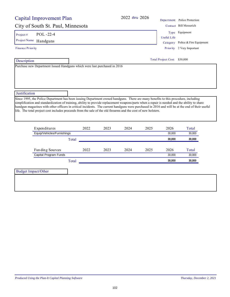| Capital Improvement Plan                                                                                                                                                                                                                                                                                                                                                                                                                                                                                                                                 |              | 2022 thru 2026 |                                            | Department Police Protection                                  |
|----------------------------------------------------------------------------------------------------------------------------------------------------------------------------------------------------------------------------------------------------------------------------------------------------------------------------------------------------------------------------------------------------------------------------------------------------------------------------------------------------------------------------------------------------------|--------------|----------------|--------------------------------------------|---------------------------------------------------------------|
| City of South St. Paul, Minnesota                                                                                                                                                                                                                                                                                                                                                                                                                                                                                                                        |              |                |                                            | Contact Bill Messerich                                        |
| POL-22-4<br>Project#<br>Project Name Handguns<br><b>Finance Priority</b>                                                                                                                                                                                                                                                                                                                                                                                                                                                                                 |              |                | <b>Useful Life</b><br>Category<br>Priority | Type Equipment<br>Police & Fire Equipment<br>2 Very Important |
| Description<br>Purchase new Department Issued Handguns which were last purchased in 2016                                                                                                                                                                                                                                                                                                                                                                                                                                                                 |              |                | Total Project Cost: \$30,000               |                                                               |
| Justification                                                                                                                                                                                                                                                                                                                                                                                                                                                                                                                                            |              |                |                                            |                                                               |
| Since 1995, the Police Department has been issuing Department owned handguns. There are many benefits to this procedure, including<br>simplification and standardization of training, ability to provide replacement weapons/parts when a repair is needed and the ability to share<br>handgun magazines with other officers in critical incidents. The current handguns were purchased in 2016 and will be at the end of their useful<br>life. The total project cost includes proceeds from the sale of the old firearms and the cost of new holsters. |              |                |                                            |                                                               |
| Expenditures                                                                                                                                                                                                                                                                                                                                                                                                                                                                                                                                             | 2022<br>2023 | 2024<br>2025   | 2026                                       | Total                                                         |
| Equip/Vehicles/Furnishings                                                                                                                                                                                                                                                                                                                                                                                                                                                                                                                               |              |                | 30.000                                     | 30,000                                                        |
| Total                                                                                                                                                                                                                                                                                                                                                                                                                                                                                                                                                    |              |                | 30,000                                     | 30,000                                                        |
| Funding Sources                                                                                                                                                                                                                                                                                                                                                                                                                                                                                                                                          | 2022<br>2023 | 2024<br>2025   | 2026                                       | Total                                                         |
| Capital Program Funds                                                                                                                                                                                                                                                                                                                                                                                                                                                                                                                                    |              |                | 30.000                                     | 30,000                                                        |
| Total                                                                                                                                                                                                                                                                                                                                                                                                                                                                                                                                                    |              |                | 30,000                                     | 30,000                                                        |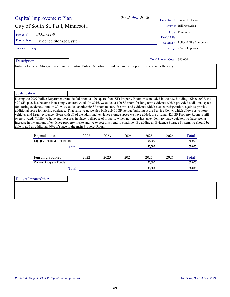| Install a Evidence Storage System in the existing Police Department Evidence room to optimize space and efficiency.<br>During the 2007 Police Department remodel/addition, a 420 square foot (SF) Property Room was included in the new building. Since 2007, the |        | <b>Useful Life</b><br>Category<br><b>Priority</b><br>Total Project Cost: \$65,000 | Department Police Protection<br>Contact Bill Messerich<br>Type Equipment<br>Police & Fire Equipment<br>2 Very Important                                                                                                                                                                                                                                                                                                                                                                                                                                                                                                                                                                                                                   |
|-------------------------------------------------------------------------------------------------------------------------------------------------------------------------------------------------------------------------------------------------------------------|--------|-----------------------------------------------------------------------------------|-------------------------------------------------------------------------------------------------------------------------------------------------------------------------------------------------------------------------------------------------------------------------------------------------------------------------------------------------------------------------------------------------------------------------------------------------------------------------------------------------------------------------------------------------------------------------------------------------------------------------------------------------------------------------------------------------------------------------------------------|
|                                                                                                                                                                                                                                                                   |        |                                                                                   |                                                                                                                                                                                                                                                                                                                                                                                                                                                                                                                                                                                                                                                                                                                                           |
|                                                                                                                                                                                                                                                                   |        |                                                                                   |                                                                                                                                                                                                                                                                                                                                                                                                                                                                                                                                                                                                                                                                                                                                           |
|                                                                                                                                                                                                                                                                   |        |                                                                                   |                                                                                                                                                                                                                                                                                                                                                                                                                                                                                                                                                                                                                                                                                                                                           |
|                                                                                                                                                                                                                                                                   |        |                                                                                   |                                                                                                                                                                                                                                                                                                                                                                                                                                                                                                                                                                                                                                                                                                                                           |
|                                                                                                                                                                                                                                                                   |        |                                                                                   |                                                                                                                                                                                                                                                                                                                                                                                                                                                                                                                                                                                                                                                                                                                                           |
|                                                                                                                                                                                                                                                                   |        |                                                                                   |                                                                                                                                                                                                                                                                                                                                                                                                                                                                                                                                                                                                                                                                                                                                           |
|                                                                                                                                                                                                                                                                   |        |                                                                                   |                                                                                                                                                                                                                                                                                                                                                                                                                                                                                                                                                                                                                                                                                                                                           |
| 2024                                                                                                                                                                                                                                                              | 2025   | 2026                                                                              | 420 SF space has become increasingly overcrowded. In 2016, we added a 100 SF room for long term evidence which provided additional space<br>Total                                                                                                                                                                                                                                                                                                                                                                                                                                                                                                                                                                                         |
|                                                                                                                                                                                                                                                                   | 65.000 |                                                                                   | 65.000                                                                                                                                                                                                                                                                                                                                                                                                                                                                                                                                                                                                                                                                                                                                    |
|                                                                                                                                                                                                                                                                   | 65,000 |                                                                                   | 65,000                                                                                                                                                                                                                                                                                                                                                                                                                                                                                                                                                                                                                                                                                                                                    |
| 2024                                                                                                                                                                                                                                                              | 2025   | 2026                                                                              | Total                                                                                                                                                                                                                                                                                                                                                                                                                                                                                                                                                                                                                                                                                                                                     |
|                                                                                                                                                                                                                                                                   | 65,000 |                                                                                   | 65,000                                                                                                                                                                                                                                                                                                                                                                                                                                                                                                                                                                                                                                                                                                                                    |
|                                                                                                                                                                                                                                                                   | 65,000 |                                                                                   | 65,000                                                                                                                                                                                                                                                                                                                                                                                                                                                                                                                                                                                                                                                                                                                                    |
|                                                                                                                                                                                                                                                                   |        |                                                                                   | for storing evidence. And in 2019, we added another 60 SF room to store firearms and evidence which needed refrigeration, again to provide<br>additional space for storing evidence. That same year, we also built a 2400 SF storage building at the Service Center which allows us to store<br>vehicles and larger evidence. Even with all of the additional evidence storage space we have added, the original 420 SF Property Room is still<br>overcrowded. While we have put measures in place to dispose of property which no longer has an evidentiary value quicker, we have seen a<br>increase in the amount of evidence/property intake and we expect this trend to continue. By adding an Evidence Storage System, we should be |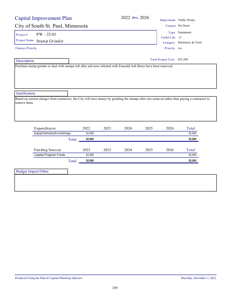| Capital Improvement Plan                                                                                                                                        |                 |      | 2022 thru 2026 |      |                                | Department Public Works                      |
|-----------------------------------------------------------------------------------------------------------------------------------------------------------------|-----------------|------|----------------|------|--------------------------------|----------------------------------------------|
| City of South St. Paul, Minnesota                                                                                                                               |                 |      |                |      |                                | Contact Pat Dunn                             |
| $PW - 22-01$<br>Project#<br>Project Name<br>Stump Grinder<br><b>Finance Priority</b>                                                                            |                 |      |                |      | Useful Life 15<br>Priority n/a | Type Equipment<br>Category Machinery & Tools |
| Description<br>Purchase stump grinder to deal with stumps left after ash trees infested with Emerald Ash Borer have been removed.                               |                 |      |                |      | Total Project Cost: \$52,500   |                                              |
|                                                                                                                                                                 |                 |      |                |      |                                |                                              |
|                                                                                                                                                                 |                 |      |                |      |                                |                                              |
| Justification                                                                                                                                                   |                 |      |                |      |                                |                                              |
| Based on current charges from contactors, the City will save money by grinding the stumps after tree removal rather than paying a contractor to<br>remove them. |                 |      |                |      |                                |                                              |
| Expenditures                                                                                                                                                    | 2022            | 2023 | 2024           | 2025 | 2026                           | Total                                        |
| Equip/Vehicles/Furnishings                                                                                                                                      | 52,500          |      |                |      |                                | 52,500                                       |
|                                                                                                                                                                 | 52,500<br>Total |      |                |      |                                | 52,500                                       |
| Funding Sources                                                                                                                                                 | 2022            | 2023 | 2024           | 2025 | 2026                           | Total                                        |
| Capital Program Funds                                                                                                                                           | 52,500          |      |                |      |                                | 52,500                                       |
|                                                                                                                                                                 | 52,500<br>Total |      |                |      |                                | 52,500                                       |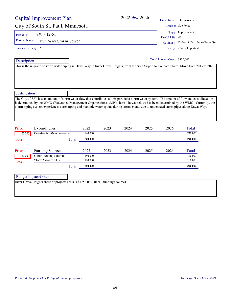|                                   | Capital Improvement Plan                                                                                                                                                                                                                                                                                                                                                                                                             |       |                    |      | 2022 thru 2026 |      |                               | Department Storm Water                                            |  |
|-----------------------------------|--------------------------------------------------------------------------------------------------------------------------------------------------------------------------------------------------------------------------------------------------------------------------------------------------------------------------------------------------------------------------------------------------------------------------------------|-------|--------------------|------|----------------|------|-------------------------------|-------------------------------------------------------------------|--|
| City of South St. Paul, Minnesota |                                                                                                                                                                                                                                                                                                                                                                                                                                      |       |                    |      |                |      |                               | Contact Sue Polka                                                 |  |
| Project#                          | $SW - 12 - 51$<br>Project Name Dawn Way Storm Sewer                                                                                                                                                                                                                                                                                                                                                                                  |       |                    |      |                |      | Useful Life                   | Type Improvement<br>40<br>Category Collect & Distribute (Water/Se |  |
| Finance Priority 2                |                                                                                                                                                                                                                                                                                                                                                                                                                                      |       |                    |      |                |      |                               | Priority 2 Very Important                                         |  |
| Description                       | This is the upgrade of storm water piping in Dawn Way in Inver Grove Heights, from the SSP Airport to Concord Street. Move from 2015 to 2020                                                                                                                                                                                                                                                                                         |       |                    |      |                |      | Total Project Cost: \$300,000 |                                                                   |  |
|                                   |                                                                                                                                                                                                                                                                                                                                                                                                                                      |       |                    |      |                |      |                               |                                                                   |  |
| Justification                     | The City of SSP has an amount of storm water flow that contributes to this particular storm water system. The amount of flow and cost allocation<br>is determined by the WMO (Watershed Management Organization). SSP's share (shown below) has been determined by the WMO. Currently, the<br>storm piping system experiences surcharging and manhole water spouts during storm events due to undersized storm pipes along Dawn Way. |       |                    |      |                |      |                               |                                                                   |  |
| Pri or                            | Expenditures                                                                                                                                                                                                                                                                                                                                                                                                                         |       | 2022               | 2023 | 2024           | 2025 | 2026                          | Total                                                             |  |
| 60,000                            | Construction/Maintenance                                                                                                                                                                                                                                                                                                                                                                                                             |       | 240,000            |      |                |      |                               | 240,000                                                           |  |
| Total                             |                                                                                                                                                                                                                                                                                                                                                                                                                                      | Total | 240,000            |      |                |      |                               | 240,000                                                           |  |
| Pri or                            | Funding Sources                                                                                                                                                                                                                                                                                                                                                                                                                      |       | 2022               | 2023 | 2024           | 2025 | 2026                          | Total                                                             |  |
| 60,000<br>Total                   | <b>Other Funding Sources</b><br><b>Storm Sewer Utility</b>                                                                                                                                                                                                                                                                                                                                                                           |       | 140,000<br>100,000 |      |                |      |                               | 140,000<br>100,000                                                |  |
|                                   |                                                                                                                                                                                                                                                                                                                                                                                                                                      | Total | 240,000            |      |                |      |                               | 240,000                                                           |  |
|                                   | <b>Budget Impact/Other</b>                                                                                                                                                                                                                                                                                                                                                                                                           |       |                    |      |                |      |                               |                                                                   |  |
|                                   | Inver Grove Heights share of projects costs is \$175,000 (Other - fundings source)                                                                                                                                                                                                                                                                                                                                                   |       |                    |      |                |      |                               |                                                                   |  |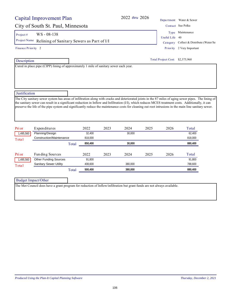| Capital Improvement Plan          | 2022 thru 2026                                                                                                                                                                                                                                                                                                                                                                                                                                                         |                                 | Department Water & Sewer       |
|-----------------------------------|------------------------------------------------------------------------------------------------------------------------------------------------------------------------------------------------------------------------------------------------------------------------------------------------------------------------------------------------------------------------------------------------------------------------------------------------------------------------|---------------------------------|--------------------------------|
| City of South St. Paul, Minnesota |                                                                                                                                                                                                                                                                                                                                                                                                                                                                        |                                 | Contact Sue Polka              |
| $WS - 08 - 138$<br>Project #      |                                                                                                                                                                                                                                                                                                                                                                                                                                                                        | Type                            | Maintenance                    |
| Project Name                      |                                                                                                                                                                                                                                                                                                                                                                                                                                                                        | Useful Life                     | 40                             |
|                                   | Relining of Sanitary Sewers as Part of I/I                                                                                                                                                                                                                                                                                                                                                                                                                             | Category                        | Collect & Distribute (Water/Se |
| Finance Priority 2                |                                                                                                                                                                                                                                                                                                                                                                                                                                                                        |                                 | Priority 2 Very Important      |
| Description                       |                                                                                                                                                                                                                                                                                                                                                                                                                                                                        | Total Project Cost: \$2,375,960 |                                |
|                                   | Cured in place pipe (CIPP) lining of approximately 1 mile of sanitary sewer each year.                                                                                                                                                                                                                                                                                                                                                                                 |                                 |                                |
| Justification                     |                                                                                                                                                                                                                                                                                                                                                                                                                                                                        |                                 |                                |
|                                   | The City sanitary sewer system has areas of infiltration along with cracks and deteriorated joints in the 87 miles of aging sewer pipes. The lining of<br>the sanitary sewer can result in a significant reduction in Inflow and Infiltration (I/I), which reduces MCES treatment costs. Additionally, it can<br>preserve the life of the pipe system and significantly reduce the maintenance costs for cleaning out root intrusions in the main line sanitary sewer. |                                 |                                |

| Pri or    | Expenditures                  | 2022             | 2023 | 2024    | 2025 | 2026 | Total   |
|-----------|-------------------------------|------------------|------|---------|------|------|---------|
| 1,495,560 | Planning/Design               | 32.400           |      | 30,000  |      |      | 62,400  |
| Total     | Construction/Maintenance      | 818,000          |      |         |      |      | 818,000 |
|           |                               | 850,400<br>Total |      | 30,000  |      |      | 880,400 |
|           |                               |                  |      |         |      |      |         |
| Pri or    | Fun ding Sources              | 2022             | 2023 | 2024    | 2025 | 2026 | Total   |
| 1,495,560 | <b>Other Funding Sources</b>  |                  |      |         |      |      | 91,800  |
|           |                               | 91,800           |      |         |      |      |         |
| Total     | <b>Sanitary Sewer Utility</b> | 408,600          |      | 380,000 |      |      | 788,600 |

| Budget Impact/Other |                                                                                                                          |
|---------------------|--------------------------------------------------------------------------------------------------------------------------|
|                     | The Met Council does have a grant program for reduction of Inflow/infiltration but grant funds are not always available. |

┑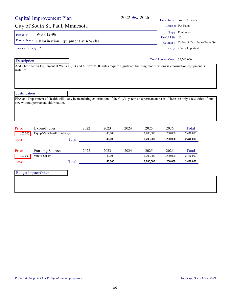|                                    | Capital Improvement Plan             |       |      |        | 2022 thru 2026 |           |                                 | Department Water & Sewer                |  |
|------------------------------------|--------------------------------------|-------|------|--------|----------------|-----------|---------------------------------|-----------------------------------------|--|
| City of South St. Paul, Minnesota  |                                      |       |      |        |                |           |                                 | Contact Pat Dunn                        |  |
| Project#                           | WS-12-96                             |       |      |        |                |           |                                 | Type Equipment                          |  |
| Project Name                       |                                      |       |      |        |                |           | Useful Life 20                  |                                         |  |
| Chlorination Equipment at 4 Wells  |                                      |       |      |        |                |           |                                 | Category Collect & Distribute (Water/Se |  |
| Finance Priority 2                 |                                      |       |      |        |                |           |                                 | Priority 2 Very Important               |  |
| Description                        |                                      |       |      |        |                |           | Total Project Cost: \$2,540,000 |                                         |  |
| installed.                         |                                      |       |      |        |                |           |                                 |                                         |  |
|                                    | size without permanent chlorination. |       |      |        |                |           |                                 |                                         |  |
|                                    |                                      |       |      |        |                |           |                                 |                                         |  |
|                                    | Expenditures                         |       | 2022 | 2023   | 2024           | 2025      | 2026                            | Total                                   |  |
| 100,000                            | Equip/Vehicles/Furnishings           |       |      | 40,000 |                | 1,200,000 | 1,200,000                       | 2,440,000                               |  |
|                                    |                                      | Total |      | 40,000 |                | 1,200,000 | 1,200,000                       | 2,440,000                               |  |
|                                    | Funding Sources                      |       | 2022 | 2023   | 2024           | 2025      | 2026                            | Total                                   |  |
| 100,000                            | <b>Water Utility</b>                 |       |      | 40,000 |                | 1,200,000 | 1,200,000                       | 2,440,000                               |  |
|                                    |                                      | Total |      | 40,000 |                | 1,200,000 | 1,200,000                       | 2,440,000                               |  |
| Pri or<br>Total<br>Pri or<br>Total | <b>Budget Impact/Other</b>           |       |      |        |                |           |                                 |                                         |  |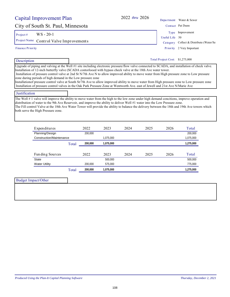City of South St. Paul, Minnesota Contact Pat Dunn 2022 *thru* 2026 Department Water & Sewer Type Improvement

Project #  $WS - 20-1$ 

Project Name Control Valve Improvements Category Collect & Distribute (Water/Se

Finance Priority

Description

Useful Life 50

Priority 2 Very Important

Total Project Cost: \$1,275,000

Upgrade of piping and valving at the Well #1 site including electronic pressure/flow valve connected to SCADA, and installation of check valve. Installation of 12-inch butterfly valve (SCADA contorlooed with bypass check valve at the 18th Ave water tower. Installation of pressure control valve at 2nd St N/7th Ave N to allow improved ability to move water from High pressure zone to Low pressure

zone during periods of high demand in the Low pressure zone

Installationof pressure control valve at South St/7th Ave to allow improved ability to move water from High pressure zone to Low pressure zone Installation of pressure control valves in the Oak Park Pressure Zone at Wentworth Ave. east of Jewell and 21st Ave N/Marie Ave

## Justification

The Well #1 valve will improve the ability to move water from the high to the low zone under high demand concitions, improve operation and distribution of water to the 9th Ave Reservoir, and improve the ability to deliver Well #1 water into the Low Pressure zone. The Fill control Valve at the 18th Ave Water Tower will provide the ability to balance the delivery between the 18th and 19th Ave towers which

both serve the High Pressure zone.

| Expenditures             |       | 2022    | 2023      | 2024 | 2025 | 2026 | Total     |
|--------------------------|-------|---------|-----------|------|------|------|-----------|
| Planning/Design          |       | 200,000 |           |      |      |      | 200,000   |
| Construction/Maintenance |       |         | 1,075,000 |      |      |      | 1,075,000 |
|                          | Total | 200,000 | 1,075,000 |      |      |      | 1,275,000 |
|                          |       |         |           |      |      |      |           |
| Fun ding Sources         |       | 2022    | 2023      | 2024 | 2025 | 2026 | Total     |
| <b>State</b>             |       |         | 500.000   |      |      |      | 500.000   |
| <b>Water Utility</b>     |       | 200.000 | 575.000   |      |      |      | 775,000   |
|                          | Total | 200.000 | .075.000  |      |      |      | 1.275.000 |

| <b>Budget Impact/Other</b> |  |
|----------------------------|--|
|                            |  |
|                            |  |
|                            |  |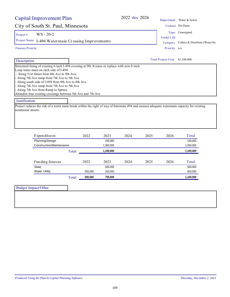| <b>Capital Improvement Plan</b>                                                                                                                                                                                                                                                                                                                                                                                                                                                                                                                                                                                                          |       |         |           | 2022 thru 2026 |      |                                 | Department Water & Sewer       |
|------------------------------------------------------------------------------------------------------------------------------------------------------------------------------------------------------------------------------------------------------------------------------------------------------------------------------------------------------------------------------------------------------------------------------------------------------------------------------------------------------------------------------------------------------------------------------------------------------------------------------------------|-------|---------|-----------|----------------|------|---------------------------------|--------------------------------|
| City of South St. Paul, Minnesota                                                                                                                                                                                                                                                                                                                                                                                                                                                                                                                                                                                                        |       |         |           |                |      |                                 | Contact Pat Dunn               |
| $WS - 20-2$<br>Project#                                                                                                                                                                                                                                                                                                                                                                                                                                                                                                                                                                                                                  |       |         |           |                |      | Useful Life                     | Type Unassigned                |
| Project Name I-494 Watermain Crossing Improvements                                                                                                                                                                                                                                                                                                                                                                                                                                                                                                                                                                                       |       |         |           |                |      | Category                        | Collect & Distribute (Water/Se |
| <b>Finance Priority</b>                                                                                                                                                                                                                                                                                                                                                                                                                                                                                                                                                                                                                  |       |         |           |                |      | Priority n/a                    |                                |
| Description                                                                                                                                                                                                                                                                                                                                                                                                                                                                                                                                                                                                                              |       |         |           |                |      | Total Project Cost: \$1,100,000 |                                |
| Structural lining of existing 6-inch I-494 crossing at 9th Avenue or replace with new 8-inch.<br>Loop water main on each side of I-494:<br>- Along 51st Street from 8th Ave to 9th Ave,<br>- Along 5th Ave ramp from 7th Ave to 5th Ave<br>Along south side of I-494 from 9th Ave to 8th Ave<br>Along 7th Ave ramp from 7th Ave to 5th Ave<br>Along 7th Ave from Ramp to Spruce<br>Abandon four existing crossings between 5th Ave and 7th Ave<br>Justification<br>Project reduces the risk of a water main break within the right of way of Interstate 494 and ensures adequate watermain capacity for existing<br>residential streets. |       |         |           |                |      |                                 |                                |
| Expenditures                                                                                                                                                                                                                                                                                                                                                                                                                                                                                                                                                                                                                             |       | 2022    | 2023      | 2024           | 2025 | 2026                            | Total                          |
| Planning/Design                                                                                                                                                                                                                                                                                                                                                                                                                                                                                                                                                                                                                          |       |         | 100,000   |                |      |                                 | 100,000                        |
| Construction/Maintenance                                                                                                                                                                                                                                                                                                                                                                                                                                                                                                                                                                                                                 |       |         | 1,000,000 |                |      |                                 | 1,000,000                      |
|                                                                                                                                                                                                                                                                                                                                                                                                                                                                                                                                                                                                                                          | Total |         | 1,100,000 |                |      |                                 | 1,100,000                      |
| Funding Sources                                                                                                                                                                                                                                                                                                                                                                                                                                                                                                                                                                                                                          |       | 2022    | 2023      | 2024           | 2025 | 2026                            | Total                          |
| <b>State</b>                                                                                                                                                                                                                                                                                                                                                                                                                                                                                                                                                                                                                             |       |         | 500,000   |                |      |                                 | 500,000                        |
| <b>Water Utility</b>                                                                                                                                                                                                                                                                                                                                                                                                                                                                                                                                                                                                                     |       | 350,000 | 250,000   |                |      |                                 | 600,000                        |
|                                                                                                                                                                                                                                                                                                                                                                                                                                                                                                                                                                                                                                          | Total | 350,000 | 750,000   |                |      |                                 | 1,100,000                      |
| <b>Budget Impact/Other</b>                                                                                                                                                                                                                                                                                                                                                                                                                                                                                                                                                                                                               |       |         |           |                |      |                                 |                                |
|                                                                                                                                                                                                                                                                                                                                                                                                                                                                                                                                                                                                                                          |       |         |           |                |      |                                 |                                |